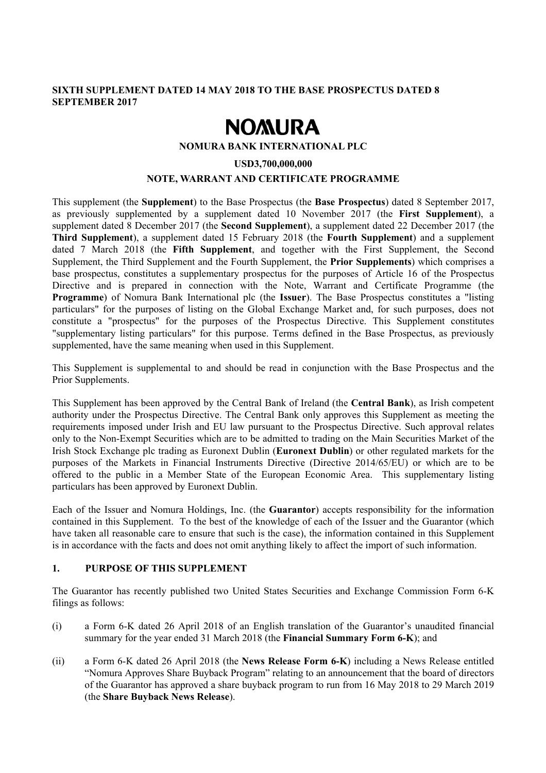#### **SIXTH SUPPLEMENT DATED 14 MAY 2018 TO THE BASE PROSPECTUS DATED 8 SEPTEMBER 2017**

# **NOMURA**

#### **NOMURA BANK INTERNATIONAL PLC**

## **USD3,700,000,000 NOTE, WARRANT AND CERTIFICATE PROGRAMME**

This supplement (the **Supplement**) to the Base Prospectus (the **Base Prospectus**) dated 8 September 2017, as previously supplemented by a supplement dated 10 November 2017 (the **First Supplement**), a supplement dated 8 December 2017 (the **Second Supplement**), a supplement dated 22 December 2017 (the **Third Supplement**), a supplement dated 15 February 2018 (the **Fourth Supplement**) and a supplement dated 7 March 2018 (the **Fifth Supplement**, and together with the First Supplement, the Second Supplement, the Third Supplement and the Fourth Supplement, the **Prior Supplements**) which comprises a base prospectus, constitutes a supplementary prospectus for the purposes of Article 16 of the Prospectus Directive and is prepared in connection with the Note, Warrant and Certificate Programme (the **Programme**) of Nomura Bank International plc (the **Issuer**). The Base Prospectus constitutes a "listing particulars" for the purposes of listing on the Global Exchange Market and, for such purposes, does not constitute a "prospectus" for the purposes of the Prospectus Directive. This Supplement constitutes "supplementary listing particulars" for this purpose. Terms defined in the Base Prospectus, as previously supplemented, have the same meaning when used in this Supplement.

This Supplement is supplemental to and should be read in conjunction with the Base Prospectus and the Prior Supplements.

This Supplement has been approved by the Central Bank of Ireland (the **Central Bank**), as Irish competent authority under the Prospectus Directive. The Central Bank only approves this Supplement as meeting the requirements imposed under Irish and EU law pursuant to the Prospectus Directive. Such approval relates only to the Non-Exempt Securities which are to be admitted to trading on the Main Securities Market of the Irish Stock Exchange plc trading as Euronext Dublin (**Euronext Dublin**) or other regulated markets for the purposes of the Markets in Financial Instruments Directive (Directive 2014/65/EU) or which are to be offered to the public in a Member State of the European Economic Area. This supplementary listing particulars has been approved by Euronext Dublin.

Each of the Issuer and Nomura Holdings, Inc. (the **Guarantor**) accepts responsibility for the information contained in this Supplement. To the best of the knowledge of each of the Issuer and the Guarantor (which have taken all reasonable care to ensure that such is the case), the information contained in this Supplement is in accordance with the facts and does not omit anything likely to affect the import of such information.

### **1. PURPOSE OF THIS SUPPLEMENT**

The Guarantor has recently published two United States Securities and Exchange Commission Form 6-K filings as follows:

- (i) a Form 6-K dated 26 April 2018 of an English translation of the Guarantor's unaudited financial summary for the year ended 31 March 2018 (the **Financial Summary Form 6-K**); and
- (ii) a Form 6-K dated 26 April 2018 (the **News Release Form 6-K**) including a News Release entitled "Nomura Approves Share Buyback Program" relating to an announcement that the board of directors of the Guarantor has approved a share buyback program to run from 16 May 2018 to 29 March 2019 (the **Share Buyback News Release**).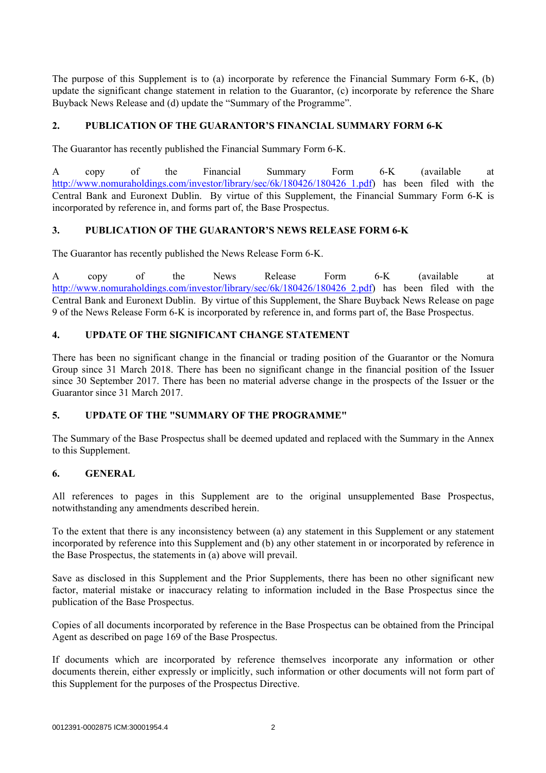The purpose of this Supplement is to (a) incorporate by reference the Financial Summary Form 6-K, (b) update the significant change statement in relation to the Guarantor, (c) incorporate by reference the Share Buyback News Release and (d) update the "Summary of the Programme".

#### **2. PUBLICATION OF THE GUARANTOR'S FINANCIAL SUMMARY FORM 6-K**

The Guarantor has recently published the Financial Summary Form 6-K.

A copy of the Financial Summary Form 6-K (available at http://www.nomuraholdings.com/investor/library/sec/6k/180426/180426 1.pdf) has been filed with the Central Bank and Euronext Dublin. By virtue of this Supplement, the Financial Summary Form 6-K is incorporated by reference in, and forms part of, the Base Prospectus.

#### **3. PUBLICATION OF THE GUARANTOR'S NEWS RELEASE FORM 6-K**

The Guarantor has recently published the News Release Form 6-K.

A copy of the News Release Form 6-K (available at http://www.nomuraholdings.com/investor/library/sec/6k/180426/180426\_2.pdf) has been filed with the Central Bank and Euronext Dublin. By virtue of this Supplement, the Share Buyback News Release on page 9 of the News Release Form 6-K is incorporated by reference in, and forms part of, the Base Prospectus.

#### **4. UPDATE OF THE SIGNIFICANT CHANGE STATEMENT**

There has been no significant change in the financial or trading position of the Guarantor or the Nomura Group since 31 March 2018. There has been no significant change in the financial position of the Issuer since 30 September 2017. There has been no material adverse change in the prospects of the Issuer or the Guarantor since 31 March 2017.

#### **5. UPDATE OF THE "SUMMARY OF THE PROGRAMME"**

The Summary of the Base Prospectus shall be deemed updated and replaced with the Summary in the Annex to this Supplement.

#### **6. GENERAL**

All references to pages in this Supplement are to the original unsupplemented Base Prospectus, notwithstanding any amendments described herein.

To the extent that there is any inconsistency between (a) any statement in this Supplement or any statement incorporated by reference into this Supplement and (b) any other statement in or incorporated by reference in the Base Prospectus, the statements in (a) above will prevail.

Save as disclosed in this Supplement and the Prior Supplements, there has been no other significant new factor, material mistake or inaccuracy relating to information included in the Base Prospectus since the publication of the Base Prospectus.

Copies of all documents incorporated by reference in the Base Prospectus can be obtained from the Principal Agent as described on page 169 of the Base Prospectus.

If documents which are incorporated by reference themselves incorporate any information or other documents therein, either expressly or implicitly, such information or other documents will not form part of this Supplement for the purposes of the Prospectus Directive.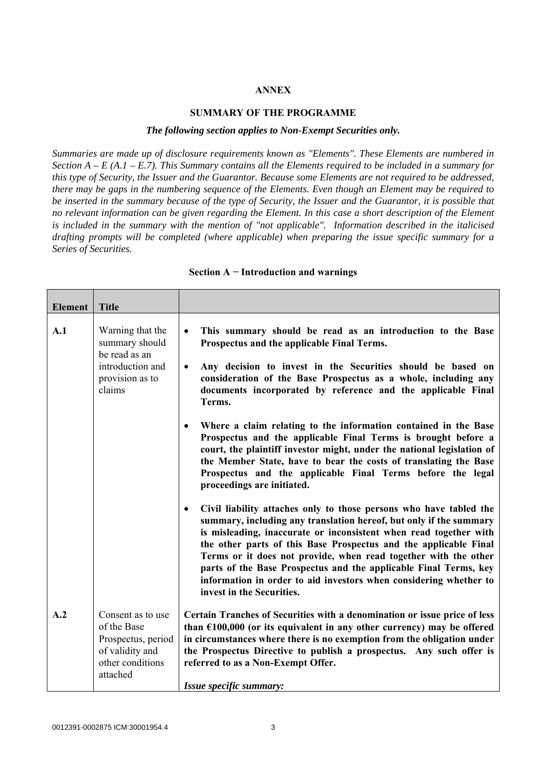#### **ANNEX**

#### **SUMMARY OF THE PROGRAMME**

#### *The following section applies to Non-Exempt Securities only.*

*Summaries are made up of disclosure requirements known as "Elements". These Elements are numbered in Section A – E (A.1 – E.7). This Summary contains all the Elements required to be included in a summary for this type of Security, the Issuer and the Guarantor. Because some Elements are not required to be addressed, there may be gaps in the numbering sequence of the Elements. Even though an Element may be required to be inserted in the summary because of the type of Security, the Issuer and the Guarantor, it is possible that no relevant information can be given regarding the Element. In this case a short description of the Element is included in the summary with the mention of "not applicable". Information described in the italicised drafting prompts will be completed (where applicable) when preparing the issue specific summary for a Series of Securities.*

| <b>Element</b> | <b>Title</b>                                                                                              |                                                                                                                                                                                                                                                                                                                                                                                                                                                                                                                                         |
|----------------|-----------------------------------------------------------------------------------------------------------|-----------------------------------------------------------------------------------------------------------------------------------------------------------------------------------------------------------------------------------------------------------------------------------------------------------------------------------------------------------------------------------------------------------------------------------------------------------------------------------------------------------------------------------------|
| A.1            | Warning that the<br>summary should<br>be read as an<br>introduction and<br>provision as to<br>claims      | This summary should be read as an introduction to the Base<br>$\bullet$<br>Prospectus and the applicable Final Terms.<br>Any decision to invest in the Securities should be based on<br>$\bullet$<br>consideration of the Base Prospectus as a whole, including any<br>documents incorporated by reference and the applicable Final<br>Terms.                                                                                                                                                                                           |
|                |                                                                                                           | Where a claim relating to the information contained in the Base<br>$\bullet$<br>Prospectus and the applicable Final Terms is brought before a<br>court, the plaintiff investor might, under the national legislation of<br>the Member State, have to bear the costs of translating the Base<br>Prospectus and the applicable Final Terms before the legal<br>proceedings are initiated.                                                                                                                                                 |
|                |                                                                                                           | Civil liability attaches only to those persons who have tabled the<br>$\bullet$<br>summary, including any translation hereof, but only if the summary<br>is misleading, inaccurate or inconsistent when read together with<br>the other parts of this Base Prospectus and the applicable Final<br>Terms or it does not provide, when read together with the other<br>parts of the Base Prospectus and the applicable Final Terms, key<br>information in order to aid investors when considering whether to<br>invest in the Securities. |
| A.2            | Consent as to use<br>of the Base<br>Prospectus, period<br>of validity and<br>other conditions<br>attached | Certain Tranches of Securities with a denomination or issue price of less<br>than $£100,000$ (or its equivalent in any other currency) may be offered<br>in circumstances where there is no exemption from the obligation under<br>the Prospectus Directive to publish a prospectus. Any such offer is<br>referred to as a Non-Exempt Offer.<br>Issue specific summary:                                                                                                                                                                 |

#### **Section A − Introduction and warnings**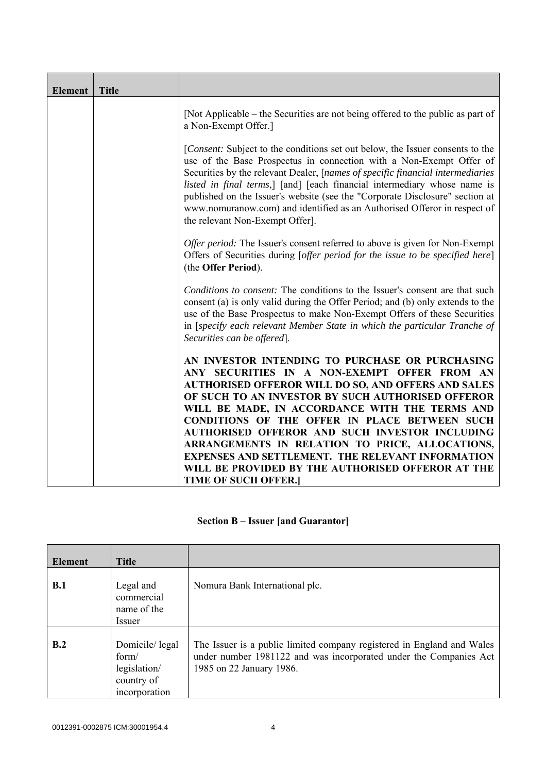| <b>Element</b> | <b>Title</b> |                                                                                                                                                                                                                                                                                                                                                                                                                                                                                                                   |
|----------------|--------------|-------------------------------------------------------------------------------------------------------------------------------------------------------------------------------------------------------------------------------------------------------------------------------------------------------------------------------------------------------------------------------------------------------------------------------------------------------------------------------------------------------------------|
|                |              | [Not Applicable – the Securities are not being offered to the public as part of<br>a Non-Exempt Offer.]                                                                                                                                                                                                                                                                                                                                                                                                           |
|                |              | [Consent: Subject to the conditions set out below, the Issuer consents to the<br>use of the Base Prospectus in connection with a Non-Exempt Offer of<br>Securities by the relevant Dealer, [names of specific financial intermediaries<br>listed in final terms,] [and] [each financial intermediary whose name is<br>published on the Issuer's website (see the "Corporate Disclosure" section at<br>www.nomuranow.com) and identified as an Authorised Offeror in respect of<br>the relevant Non-Exempt Offer]. |
|                |              | Offer period: The Issuer's consent referred to above is given for Non-Exempt<br>Offers of Securities during [offer period for the issue to be specified here]<br>(the Offer Period).                                                                                                                                                                                                                                                                                                                              |
|                |              | Conditions to consent: The conditions to the Issuer's consent are that such<br>consent (a) is only valid during the Offer Period; and (b) only extends to the<br>use of the Base Prospectus to make Non-Exempt Offers of these Securities<br>in [specify each relevant Member State in which the particular Tranche of<br>Securities can be offered.                                                                                                                                                              |
|                |              | AN INVESTOR INTENDING TO PURCHASE OR PURCHASING<br>ANY SECURITIES IN A NON-EXEMPT OFFER FROM AN<br><b>AUTHORISED OFFEROR WILL DO SO, AND OFFERS AND SALES</b><br>OF SUCH TO AN INVESTOR BY SUCH AUTHORISED OFFEROR<br>WILL BE MADE, IN ACCORDANCE WITH THE TERMS AND<br><b>CONDITIONS OF THE OFFER IN PLACE BETWEEN SUCH</b>                                                                                                                                                                                      |
|                |              | AUTHORISED OFFEROR AND SUCH INVESTOR INCLUDING<br>ARRANGEMENTS IN RELATION TO PRICE, ALLOCATIONS,<br><b>EXPENSES AND SETTLEMENT. THE RELEVANT INFORMATION</b><br>WILL BE PROVIDED BY THE AUTHORISED OFFEROR AT THE<br><b>TIME OF SUCH OFFER.]</b>                                                                                                                                                                                                                                                                 |

## **Section B – Issuer [and Guarantor]**

| <b>Element</b> | <b>Title</b>                                                           |                                                                                                                                                                         |
|----------------|------------------------------------------------------------------------|-------------------------------------------------------------------------------------------------------------------------------------------------------------------------|
| <b>B.1</b>     | Legal and<br>commercial<br>name of the<br>Issuer                       | Nomura Bank International plc.                                                                                                                                          |
| B.2            | Domicile/legal<br>form/<br>legislation/<br>country of<br>incorporation | The Issuer is a public limited company registered in England and Wales<br>under number 1981122 and was incorporated under the Companies Act<br>1985 on 22 January 1986. |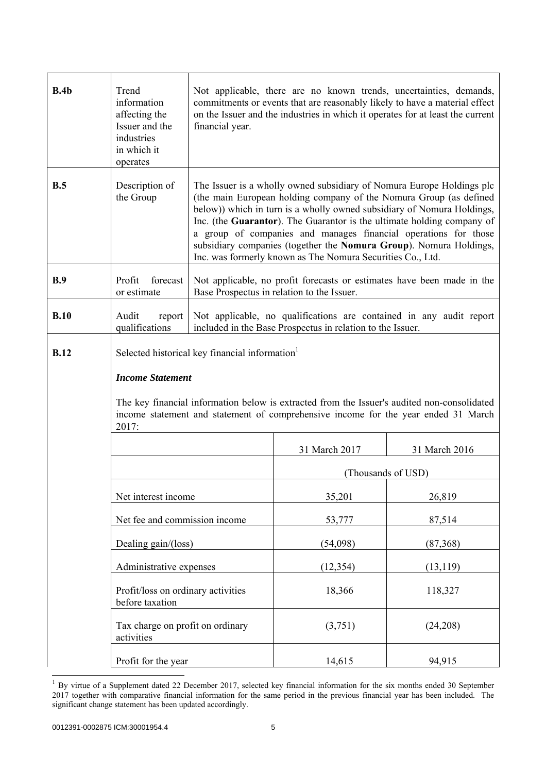| B.4b        | Trend<br>information<br>affecting the<br>Issuer and the<br>industries<br>in which it<br>operates                                                                                                                                                                                                                                                                                                                                                                                                                                      | Not applicable, there are no known trends, uncertainties, demands,<br>commitments or events that are reasonably likely to have a material effect<br>on the Issuer and the industries in which it operates for at least the current<br>financial year. |                                                                                                                      |                                                                     |
|-------------|---------------------------------------------------------------------------------------------------------------------------------------------------------------------------------------------------------------------------------------------------------------------------------------------------------------------------------------------------------------------------------------------------------------------------------------------------------------------------------------------------------------------------------------|-------------------------------------------------------------------------------------------------------------------------------------------------------------------------------------------------------------------------------------------------------|----------------------------------------------------------------------------------------------------------------------|---------------------------------------------------------------------|
| B.5         | Description of<br>The Issuer is a wholly owned subsidiary of Nomura Europe Holdings plc<br>(the main European holding company of the Nomura Group (as defined<br>the Group<br>below)) which in turn is a wholly owned subsidiary of Nomura Holdings,<br>Inc. (the Guarantor). The Guarantor is the ultimate holding company of<br>a group of companies and manages financial operations for those<br>subsidiary companies (together the Nomura Group). Nomura Holdings,<br>Inc. was formerly known as The Nomura Securities Co., Ltd. |                                                                                                                                                                                                                                                       |                                                                                                                      |                                                                     |
| B.9         | forecast<br>Profit<br>or estimate                                                                                                                                                                                                                                                                                                                                                                                                                                                                                                     |                                                                                                                                                                                                                                                       | Not applicable, no profit forecasts or estimates have been made in the<br>Base Prospectus in relation to the Issuer. |                                                                     |
| B.10        | Audit<br>report<br>qualifications                                                                                                                                                                                                                                                                                                                                                                                                                                                                                                     |                                                                                                                                                                                                                                                       | included in the Base Prospectus in relation to the Issuer.                                                           | Not applicable, no qualifications are contained in any audit report |
| <b>B.12</b> | Selected historical key financial information                                                                                                                                                                                                                                                                                                                                                                                                                                                                                         |                                                                                                                                                                                                                                                       |                                                                                                                      |                                                                     |
|             | <b>Income Statement</b><br>The key financial information below is extracted from the Issuer's audited non-consolidated                                                                                                                                                                                                                                                                                                                                                                                                                |                                                                                                                                                                                                                                                       |                                                                                                                      |                                                                     |
|             | income statement and statement of comprehensive income for the year ended 31 March<br>2017:                                                                                                                                                                                                                                                                                                                                                                                                                                           |                                                                                                                                                                                                                                                       |                                                                                                                      |                                                                     |
|             |                                                                                                                                                                                                                                                                                                                                                                                                                                                                                                                                       |                                                                                                                                                                                                                                                       | 31 March 2017                                                                                                        | 31 March 2016                                                       |
|             |                                                                                                                                                                                                                                                                                                                                                                                                                                                                                                                                       |                                                                                                                                                                                                                                                       |                                                                                                                      | (Thousands of USD)                                                  |
|             | Net interest income                                                                                                                                                                                                                                                                                                                                                                                                                                                                                                                   |                                                                                                                                                                                                                                                       | 35,201                                                                                                               | 26,819                                                              |
|             | Net fee and commission income                                                                                                                                                                                                                                                                                                                                                                                                                                                                                                         |                                                                                                                                                                                                                                                       | 53,777                                                                                                               | 87,514                                                              |
|             | Dealing gain/(loss)                                                                                                                                                                                                                                                                                                                                                                                                                                                                                                                   |                                                                                                                                                                                                                                                       | (54,098)                                                                                                             | (87, 368)                                                           |
|             | Administrative expenses                                                                                                                                                                                                                                                                                                                                                                                                                                                                                                               |                                                                                                                                                                                                                                                       | (12, 354)                                                                                                            | (13, 119)                                                           |
|             | Profit/loss on ordinary activities<br>before taxation                                                                                                                                                                                                                                                                                                                                                                                                                                                                                 |                                                                                                                                                                                                                                                       | 18,366                                                                                                               | 118,327                                                             |
|             | Tax charge on profit on ordinary<br>activities                                                                                                                                                                                                                                                                                                                                                                                                                                                                                        |                                                                                                                                                                                                                                                       | (3,751)                                                                                                              | (24,208)                                                            |
|             | Profit for the year                                                                                                                                                                                                                                                                                                                                                                                                                                                                                                                   |                                                                                                                                                                                                                                                       | 14,615                                                                                                               | 94,915                                                              |

 $1$  By virtue of a Supplement dated 22 December 2017, selected key financial information for the six months ended 30 September 2017 together with comparative financial information for the same period in the previous financial year has been included. The significant change statement has been updated accordingly.

 $\overline{a}$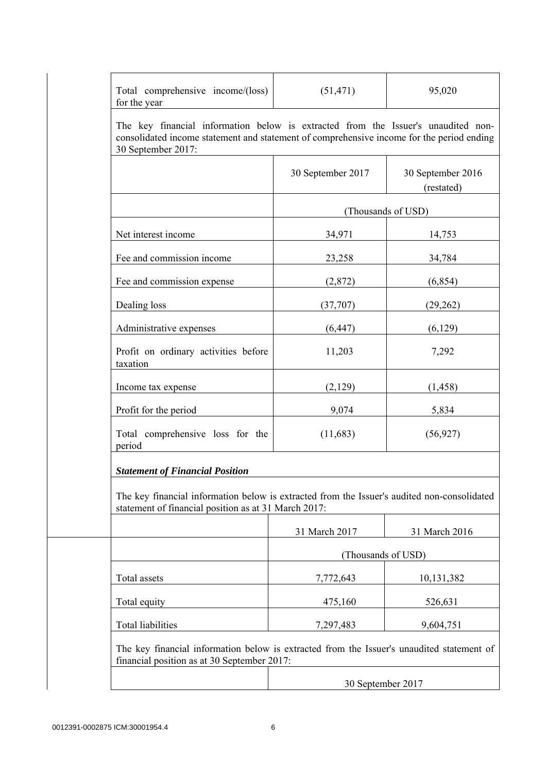| Total comprehensive income/(loss)<br>for the year                                                                                                                                                    | (51, 471)          | 95,020                          |
|------------------------------------------------------------------------------------------------------------------------------------------------------------------------------------------------------|--------------------|---------------------------------|
| The key financial information below is extracted from the Issuer's unaudited non-<br>consolidated income statement and statement of comprehensive income for the period ending<br>30 September 2017: |                    |                                 |
|                                                                                                                                                                                                      | 30 September 2017  | 30 September 2016<br>(restated) |
|                                                                                                                                                                                                      |                    | (Thousands of USD)              |
| Net interest income                                                                                                                                                                                  | 34,971             | 14,753                          |
| Fee and commission income                                                                                                                                                                            | 23,258             | 34,784                          |
| Fee and commission expense                                                                                                                                                                           | (2,872)            | (6, 854)                        |
| Dealing loss                                                                                                                                                                                         | (37,707)           | (29, 262)                       |
| Administrative expenses                                                                                                                                                                              | (6, 447)           | (6,129)                         |
| Profit on ordinary activities before<br>taxation                                                                                                                                                     | 11,203             | 7,292                           |
| Income tax expense                                                                                                                                                                                   | (2,129)            | (1, 458)                        |
| Profit for the period                                                                                                                                                                                | 9,074              | 5,834                           |
| Total comprehensive loss for the<br>period                                                                                                                                                           | (11,683)           | (56, 927)                       |
| <b>Statement of Financial Position</b>                                                                                                                                                               |                    |                                 |
| The key financial information below is extracted from the Issuer's audited non-consolidated<br>statement of financial position as at 31 March 2017:                                                  |                    |                                 |
|                                                                                                                                                                                                      | 31 March 2017      | 31 March 2016                   |
|                                                                                                                                                                                                      | (Thousands of USD) |                                 |
| Total assets                                                                                                                                                                                         | 7,772,643          | 10,131,382                      |
| Total equity                                                                                                                                                                                         | 475,160            | 526,631                         |
| <b>Total liabilities</b>                                                                                                                                                                             | 7,297,483          | 9,604,751                       |
| The key financial information below is extracted from the Issuer's unaudited statement of<br>financial position as at 30 September 2017:                                                             |                    |                                 |
|                                                                                                                                                                                                      | 30 September 2017  |                                 |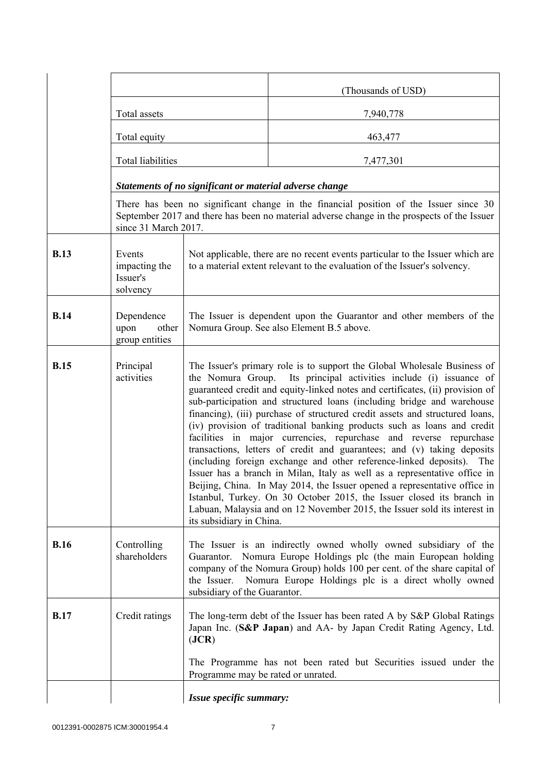|             |                                                 |                                                                                                                                                                                                                                                                                                                                                                                                                                                                                                                                                                                                                                                                                                                                                                                                                                                                                                                                                                                                                                           | (Thousands of USD)                                                                                                                                                                   |
|-------------|-------------------------------------------------|-------------------------------------------------------------------------------------------------------------------------------------------------------------------------------------------------------------------------------------------------------------------------------------------------------------------------------------------------------------------------------------------------------------------------------------------------------------------------------------------------------------------------------------------------------------------------------------------------------------------------------------------------------------------------------------------------------------------------------------------------------------------------------------------------------------------------------------------------------------------------------------------------------------------------------------------------------------------------------------------------------------------------------------------|--------------------------------------------------------------------------------------------------------------------------------------------------------------------------------------|
|             | Total assets                                    |                                                                                                                                                                                                                                                                                                                                                                                                                                                                                                                                                                                                                                                                                                                                                                                                                                                                                                                                                                                                                                           | 7,940,778                                                                                                                                                                            |
|             | Total equity                                    |                                                                                                                                                                                                                                                                                                                                                                                                                                                                                                                                                                                                                                                                                                                                                                                                                                                                                                                                                                                                                                           | 463,477                                                                                                                                                                              |
|             | Total liabilities                               |                                                                                                                                                                                                                                                                                                                                                                                                                                                                                                                                                                                                                                                                                                                                                                                                                                                                                                                                                                                                                                           | 7,477,301                                                                                                                                                                            |
|             |                                                 | Statements of no significant or material adverse change                                                                                                                                                                                                                                                                                                                                                                                                                                                                                                                                                                                                                                                                                                                                                                                                                                                                                                                                                                                   |                                                                                                                                                                                      |
|             | since 31 March 2017.                            |                                                                                                                                                                                                                                                                                                                                                                                                                                                                                                                                                                                                                                                                                                                                                                                                                                                                                                                                                                                                                                           | There has been no significant change in the financial position of the Issuer since 30<br>September 2017 and there has been no material adverse change in the prospects of the Issuer |
| <b>B.13</b> | Events<br>impacting the<br>Issuer's<br>solvency | Not applicable, there are no recent events particular to the Issuer which are<br>to a material extent relevant to the evaluation of the Issuer's solvency.                                                                                                                                                                                                                                                                                                                                                                                                                                                                                                                                                                                                                                                                                                                                                                                                                                                                                |                                                                                                                                                                                      |
| <b>B.14</b> | Dependence<br>upon<br>other<br>group entities   | The Issuer is dependent upon the Guarantor and other members of the<br>Nomura Group. See also Element B.5 above.                                                                                                                                                                                                                                                                                                                                                                                                                                                                                                                                                                                                                                                                                                                                                                                                                                                                                                                          |                                                                                                                                                                                      |
| <b>B.15</b> | Principal<br>activities                         | The Issuer's primary role is to support the Global Wholesale Business of<br>the Nomura Group. Its principal activities include (i) issuance of<br>guaranteed credit and equity-linked notes and certificates, (ii) provision of<br>sub-participation and structured loans (including bridge and warehouse<br>financing), (iii) purchase of structured credit assets and structured loans,<br>(iv) provision of traditional banking products such as loans and credit<br>facilities in major currencies, repurchase and reverse repurchase<br>transactions, letters of credit and guarantees; and (v) taking deposits<br>(including foreign exchange and other reference-linked deposits). The<br>Issuer has a branch in Milan, Italy as well as a representative office in<br>Beijing, China. In May 2014, the Issuer opened a representative office in<br>Istanbul, Turkey. On 30 October 2015, the Issuer closed its branch in<br>Labuan, Malaysia and on 12 November 2015, the Issuer sold its interest in<br>its subsidiary in China. |                                                                                                                                                                                      |
| <b>B.16</b> | Controlling<br>shareholders                     | The Issuer is an indirectly owned wholly owned subsidiary of the<br>Nomura Europe Holdings plc (the main European holding<br>Guarantor.<br>company of the Nomura Group) holds 100 per cent. of the share capital of<br>Nomura Europe Holdings plc is a direct wholly owned<br>the Issuer.<br>subsidiary of the Guarantor.                                                                                                                                                                                                                                                                                                                                                                                                                                                                                                                                                                                                                                                                                                                 |                                                                                                                                                                                      |
| <b>B.17</b> | Credit ratings                                  | ( <b>JCR</b> )                                                                                                                                                                                                                                                                                                                                                                                                                                                                                                                                                                                                                                                                                                                                                                                                                                                                                                                                                                                                                            | The long-term debt of the Issuer has been rated A by S&P Global Ratings<br>Japan Inc. (S&P Japan) and AA- by Japan Credit Rating Agency, Ltd.                                        |
|             |                                                 | Programme may be rated or unrated.                                                                                                                                                                                                                                                                                                                                                                                                                                                                                                                                                                                                                                                                                                                                                                                                                                                                                                                                                                                                        | The Programme has not been rated but Securities issued under the                                                                                                                     |
|             |                                                 | Issue specific summary:                                                                                                                                                                                                                                                                                                                                                                                                                                                                                                                                                                                                                                                                                                                                                                                                                                                                                                                                                                                                                   |                                                                                                                                                                                      |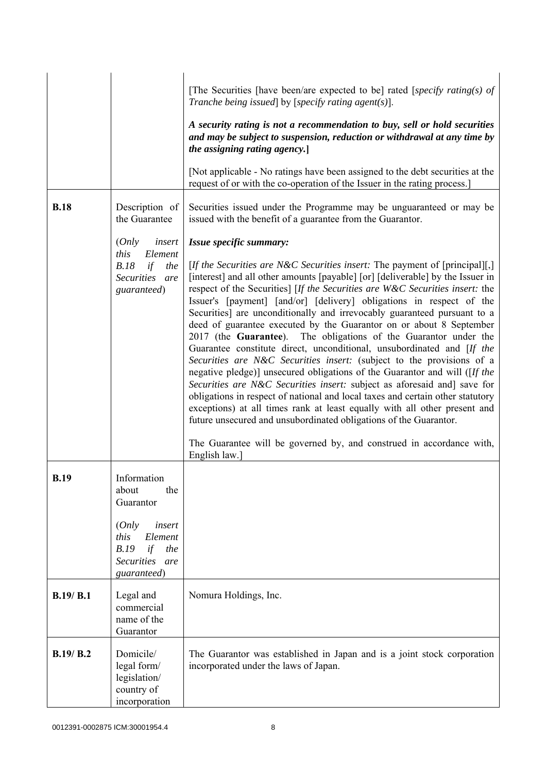|             |                                                                                          | [The Securities [have been/are expected to be] rated [specify rating(s) of<br>Tranche being issued] by [specify rating agent(s)].                                                                                                                                                                                                                                                                                                                                                                                                                                                                                                                                                                                                                                                                                                                                                                                                                                                                                                                                                                                                                                                      |
|-------------|------------------------------------------------------------------------------------------|----------------------------------------------------------------------------------------------------------------------------------------------------------------------------------------------------------------------------------------------------------------------------------------------------------------------------------------------------------------------------------------------------------------------------------------------------------------------------------------------------------------------------------------------------------------------------------------------------------------------------------------------------------------------------------------------------------------------------------------------------------------------------------------------------------------------------------------------------------------------------------------------------------------------------------------------------------------------------------------------------------------------------------------------------------------------------------------------------------------------------------------------------------------------------------------|
|             |                                                                                          | A security rating is not a recommendation to buy, sell or hold securities<br>and may be subject to suspension, reduction or withdrawal at any time by<br>the assigning rating agency.]                                                                                                                                                                                                                                                                                                                                                                                                                                                                                                                                                                                                                                                                                                                                                                                                                                                                                                                                                                                                 |
|             |                                                                                          | [Not applicable - No ratings have been assigned to the debt securities at the<br>request of or with the co-operation of the Issuer in the rating process.]                                                                                                                                                                                                                                                                                                                                                                                                                                                                                                                                                                                                                                                                                                                                                                                                                                                                                                                                                                                                                             |
| <b>B.18</b> | Description of<br>the Guarantee                                                          | Securities issued under the Programme may be unguaranteed or may be<br>issued with the benefit of a guarantee from the Guarantor.                                                                                                                                                                                                                                                                                                                                                                                                                                                                                                                                                                                                                                                                                                                                                                                                                                                                                                                                                                                                                                                      |
|             | (Only<br>insert                                                                          | Issue specific summary:                                                                                                                                                                                                                                                                                                                                                                                                                                                                                                                                                                                                                                                                                                                                                                                                                                                                                                                                                                                                                                                                                                                                                                |
|             | this<br>Element<br>B.18<br>if<br>the<br>Securities are<br>guaranteed)                    | [If the Securities are N&C Securities insert: The payment of [principal][,]<br>[interest] and all other amounts [payable] [or] [deliverable] by the Issuer in<br>respect of the Securities] [If the Securities are W&C Securities insert: the<br>Issuer's [payment] [and/or] [delivery] obligations in respect of the<br>Securities] are unconditionally and irrevocably guaranteed pursuant to a<br>deed of guarantee executed by the Guarantor on or about 8 September<br>2017 (the Guarantee). The obligations of the Guarantor under the<br>Guarantee constitute direct, unconditional, unsubordinated and [If the<br>Securities are N&C Securities insert: (subject to the provisions of a<br>negative pledge)] unsecured obligations of the Guarantor and will ([If the<br>Securities are N&C Securities insert: subject as aforesaid and] save for<br>obligations in respect of national and local taxes and certain other statutory<br>exceptions) at all times rank at least equally with all other present and<br>future unsecured and unsubordinated obligations of the Guarantor.<br>The Guarantee will be governed by, and construed in accordance with,<br>English law.] |
| <b>B.19</b> | Information<br>the<br>about<br>Guarantor                                                 |                                                                                                                                                                                                                                                                                                                                                                                                                                                                                                                                                                                                                                                                                                                                                                                                                                                                                                                                                                                                                                                                                                                                                                                        |
|             | (Only<br>insert<br>Element<br>this<br>B.19<br>if<br>the<br>Securities are<br>guaranteed) |                                                                                                                                                                                                                                                                                                                                                                                                                                                                                                                                                                                                                                                                                                                                                                                                                                                                                                                                                                                                                                                                                                                                                                                        |
| B.19/ B.1   | Legal and<br>commercial<br>name of the<br>Guarantor                                      | Nomura Holdings, Inc.                                                                                                                                                                                                                                                                                                                                                                                                                                                                                                                                                                                                                                                                                                                                                                                                                                                                                                                                                                                                                                                                                                                                                                  |
| B.19/B.2    | Domicile/<br>legal form/<br>legislation/<br>country of<br>incorporation                  | The Guarantor was established in Japan and is a joint stock corporation<br>incorporated under the laws of Japan.                                                                                                                                                                                                                                                                                                                                                                                                                                                                                                                                                                                                                                                                                                                                                                                                                                                                                                                                                                                                                                                                       |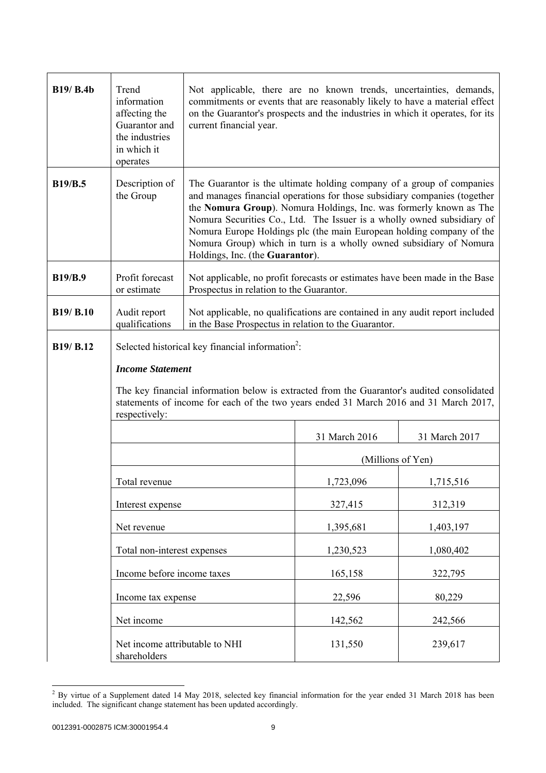| <b>B19/ B.4b</b> | Trend<br>information<br>affecting the<br>Guarantor and<br>the industries<br>in which it<br>operates | Not applicable, there are no known trends, uncertainties, demands,<br>commitments or events that are reasonably likely to have a material effect<br>on the Guarantor's prospects and the industries in which it operates, for its<br>current financial year.                                                                                                                                                                                                                        |                   |               |
|------------------|-----------------------------------------------------------------------------------------------------|-------------------------------------------------------------------------------------------------------------------------------------------------------------------------------------------------------------------------------------------------------------------------------------------------------------------------------------------------------------------------------------------------------------------------------------------------------------------------------------|-------------------|---------------|
| <b>B19/B.5</b>   | Description of<br>the Group                                                                         | The Guarantor is the ultimate holding company of a group of companies<br>and manages financial operations for those subsidiary companies (together<br>the Nomura Group). Nomura Holdings, Inc. was formerly known as The<br>Nomura Securities Co., Ltd. The Issuer is a wholly owned subsidiary of<br>Nomura Europe Holdings plc (the main European holding company of the<br>Nomura Group) which in turn is a wholly owned subsidiary of Nomura<br>Holdings, Inc. (the Guarantor). |                   |               |
| <b>B19/B.9</b>   | Profit forecast<br>or estimate                                                                      | Not applicable, no profit forecasts or estimates have been made in the Base<br>Prospectus in relation to the Guarantor.                                                                                                                                                                                                                                                                                                                                                             |                   |               |
| B19/ B.10        | Audit report<br>qualifications                                                                      | Not applicable, no qualifications are contained in any audit report included<br>in the Base Prospectus in relation to the Guarantor.                                                                                                                                                                                                                                                                                                                                                |                   |               |
| B19/ B.12        | <b>Income Statement</b><br>respectively:                                                            | Selected historical key financial information <sup>2</sup> :<br>The key financial information below is extracted from the Guarantor's audited consolidated<br>statements of income for each of the two years ended 31 March 2016 and 31 March 2017,                                                                                                                                                                                                                                 |                   |               |
|                  |                                                                                                     |                                                                                                                                                                                                                                                                                                                                                                                                                                                                                     | 31 March 2016     | 31 March 2017 |
|                  |                                                                                                     |                                                                                                                                                                                                                                                                                                                                                                                                                                                                                     | (Millions of Yen) |               |
|                  | Total revenue                                                                                       |                                                                                                                                                                                                                                                                                                                                                                                                                                                                                     | 1,723,096         | 1,715,516     |
|                  | Interest expense                                                                                    |                                                                                                                                                                                                                                                                                                                                                                                                                                                                                     | 327,415           | 312,319       |
|                  | Net revenue                                                                                         |                                                                                                                                                                                                                                                                                                                                                                                                                                                                                     | 1,395,681         | 1,403,197     |
|                  | Total non-interest expenses                                                                         |                                                                                                                                                                                                                                                                                                                                                                                                                                                                                     | 1,230,523         | 1,080,402     |
|                  | Income before income taxes                                                                          |                                                                                                                                                                                                                                                                                                                                                                                                                                                                                     | 165,158           | 322,795       |
|                  | Income tax expense                                                                                  |                                                                                                                                                                                                                                                                                                                                                                                                                                                                                     | 22,596            | 80,229        |
|                  | Net income                                                                                          |                                                                                                                                                                                                                                                                                                                                                                                                                                                                                     | 142,562           | 242,566       |
|                  | Net income attributable to NHI<br>shareholders                                                      |                                                                                                                                                                                                                                                                                                                                                                                                                                                                                     | 131,550           | 239,617       |

<sup>&</sup>lt;sup>2</sup> By virtue of a Supplement dated 14 May 2018, selected key financial information for the year ended 31 March 2018 has been included. The significant change statement has been updated accordingly.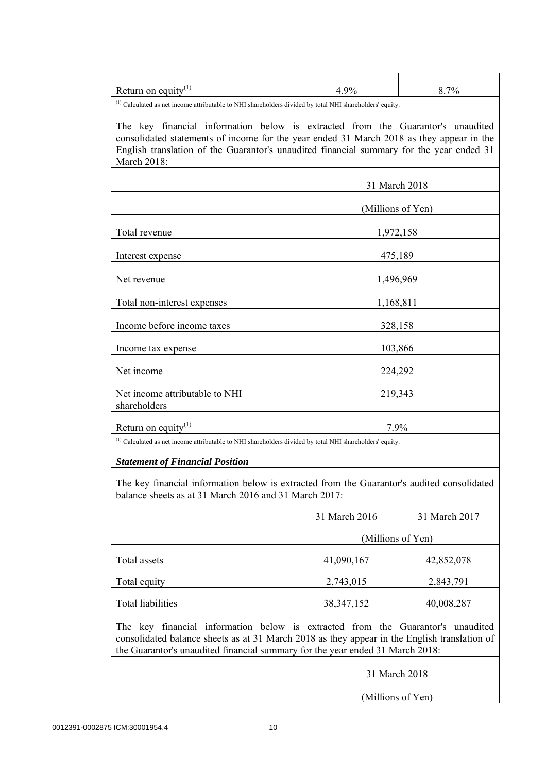| Return on equity <sup>(1)</sup>                                                                                                                                                                                                                                                                                                                                                                               | 4.9%              | 8.7%              |
|---------------------------------------------------------------------------------------------------------------------------------------------------------------------------------------------------------------------------------------------------------------------------------------------------------------------------------------------------------------------------------------------------------------|-------------------|-------------------|
| <sup>(1)</sup> Calculated as net income attributable to NHI shareholders divided by total NHI shareholders' equity.<br>The key financial information below is extracted from the Guarantor's unaudited<br>consolidated statements of income for the year ended 31 March 2018 as they appear in the<br>English translation of the Guarantor's unaudited financial summary for the year ended 31<br>March 2018: |                   |                   |
|                                                                                                                                                                                                                                                                                                                                                                                                               |                   | 31 March 2018     |
|                                                                                                                                                                                                                                                                                                                                                                                                               |                   | (Millions of Yen) |
| Total revenue                                                                                                                                                                                                                                                                                                                                                                                                 |                   | 1,972,158         |
| Interest expense                                                                                                                                                                                                                                                                                                                                                                                              |                   | 475,189           |
| Net revenue                                                                                                                                                                                                                                                                                                                                                                                                   |                   | 1,496,969         |
| Total non-interest expenses                                                                                                                                                                                                                                                                                                                                                                                   | 1,168,811         |                   |
| Income before income taxes                                                                                                                                                                                                                                                                                                                                                                                    |                   | 328,158           |
| Income tax expense                                                                                                                                                                                                                                                                                                                                                                                            |                   | 103,866           |
| Net income                                                                                                                                                                                                                                                                                                                                                                                                    |                   | 224,292           |
| Net income attributable to NHI<br>shareholders                                                                                                                                                                                                                                                                                                                                                                | 219,343           |                   |
| Return on equity <sup>(1)</sup>                                                                                                                                                                                                                                                                                                                                                                               |                   | $7.9\%$           |
| <sup>(1)</sup> Calculated as net income attributable to NHI shareholders divided by total NHI shareholders' equity.<br><b>Statement of Financial Position</b>                                                                                                                                                                                                                                                 |                   |                   |
| The key financial information below is extracted from the Guarantor's audited consolidated<br>balance sheets as at 31 March 2016 and 31 March 2017:                                                                                                                                                                                                                                                           |                   |                   |
|                                                                                                                                                                                                                                                                                                                                                                                                               | 31 March 2016     | 31 March 2017     |
|                                                                                                                                                                                                                                                                                                                                                                                                               | (Millions of Yen) |                   |
| Total assets                                                                                                                                                                                                                                                                                                                                                                                                  | 41,090,167        | 42,852,078        |
| Total equity                                                                                                                                                                                                                                                                                                                                                                                                  | 2,743,015         | 2,843,791         |
| <b>Total liabilities</b>                                                                                                                                                                                                                                                                                                                                                                                      | 38, 347, 152      | 40,008,287        |
| The key financial information below is extracted from the Guarantor's unaudited<br>consolidated balance sheets as at 31 March 2018 as they appear in the English translation of<br>the Guarantor's unaudited financial summary for the year ended 31 March 2018:                                                                                                                                              |                   |                   |
|                                                                                                                                                                                                                                                                                                                                                                                                               |                   | 31 March 2018     |
|                                                                                                                                                                                                                                                                                                                                                                                                               | (Millions of Yen) |                   |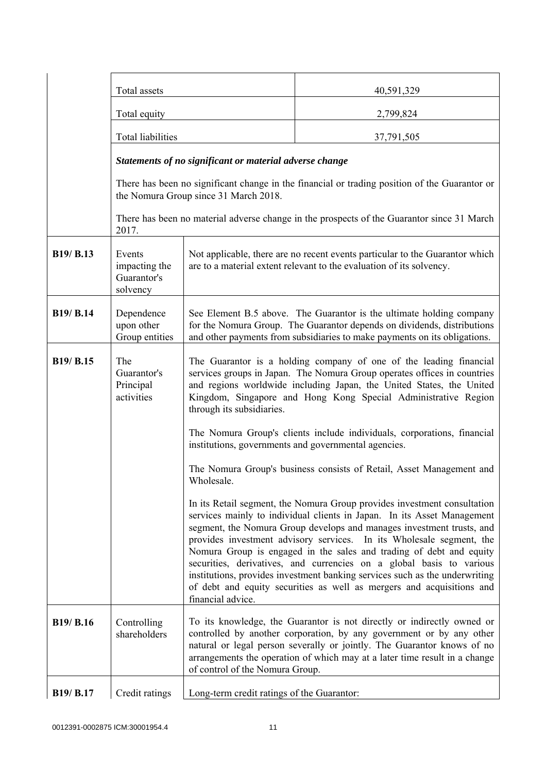|           | Total assets                                       |                                                                                                                                                                                                                                                                                                                                                                                                                                                                                                                                                                                                                                  | 40,591,329                                                                                    |
|-----------|----------------------------------------------------|----------------------------------------------------------------------------------------------------------------------------------------------------------------------------------------------------------------------------------------------------------------------------------------------------------------------------------------------------------------------------------------------------------------------------------------------------------------------------------------------------------------------------------------------------------------------------------------------------------------------------------|-----------------------------------------------------------------------------------------------|
|           | Total equity                                       |                                                                                                                                                                                                                                                                                                                                                                                                                                                                                                                                                                                                                                  | 2,799,824                                                                                     |
|           | Total liabilities                                  |                                                                                                                                                                                                                                                                                                                                                                                                                                                                                                                                                                                                                                  | 37,791,505                                                                                    |
|           |                                                    | Statements of no significant or material adverse change                                                                                                                                                                                                                                                                                                                                                                                                                                                                                                                                                                          |                                                                                               |
|           |                                                    | the Nomura Group since 31 March 2018.                                                                                                                                                                                                                                                                                                                                                                                                                                                                                                                                                                                            | There has been no significant change in the financial or trading position of the Guarantor or |
|           | 2017.                                              |                                                                                                                                                                                                                                                                                                                                                                                                                                                                                                                                                                                                                                  | There has been no material adverse change in the prospects of the Guarantor since 31 March    |
| B19/ B.13 | Events<br>impacting the<br>Guarantor's<br>solvency | Not applicable, there are no recent events particular to the Guarantor which<br>are to a material extent relevant to the evaluation of its solvency.                                                                                                                                                                                                                                                                                                                                                                                                                                                                             |                                                                                               |
| B19/ B.14 | Dependence<br>upon other<br>Group entities         | See Element B.5 above. The Guarantor is the ultimate holding company<br>for the Nomura Group. The Guarantor depends on dividends, distributions<br>and other payments from subsidiaries to make payments on its obligations.                                                                                                                                                                                                                                                                                                                                                                                                     |                                                                                               |
| B19/ B.15 | The<br>Guarantor's<br>Principal<br>activities      | The Guarantor is a holding company of one of the leading financial<br>services groups in Japan. The Nomura Group operates offices in countries<br>and regions worldwide including Japan, the United States, the United<br>Kingdom, Singapore and Hong Kong Special Administrative Region<br>through its subsidiaries.                                                                                                                                                                                                                                                                                                            |                                                                                               |
|           |                                                    | The Nomura Group's clients include individuals, corporations, financial<br>institutions, governments and governmental agencies.                                                                                                                                                                                                                                                                                                                                                                                                                                                                                                  |                                                                                               |
|           |                                                    | Wholesale.                                                                                                                                                                                                                                                                                                                                                                                                                                                                                                                                                                                                                       | The Nomura Group's business consists of Retail, Asset Management and                          |
|           |                                                    | In its Retail segment, the Nomura Group provides investment consultation<br>services mainly to individual clients in Japan. In its Asset Management<br>segment, the Nomura Group develops and manages investment trusts, and<br>provides investment advisory services. In its Wholesale segment, the<br>Nomura Group is engaged in the sales and trading of debt and equity<br>securities, derivatives, and currencies on a global basis to various<br>institutions, provides investment banking services such as the underwriting<br>of debt and equity securities as well as mergers and acquisitions and<br>financial advice. |                                                                                               |
| B19/ B.16 | Controlling<br>shareholders                        | To its knowledge, the Guarantor is not directly or indirectly owned or<br>controlled by another corporation, by any government or by any other<br>natural or legal person severally or jointly. The Guarantor knows of no<br>arrangements the operation of which may at a later time result in a change<br>of control of the Nomura Group.                                                                                                                                                                                                                                                                                       |                                                                                               |
| B19/ B.17 | Credit ratings                                     | Long-term credit ratings of the Guarantor:                                                                                                                                                                                                                                                                                                                                                                                                                                                                                                                                                                                       |                                                                                               |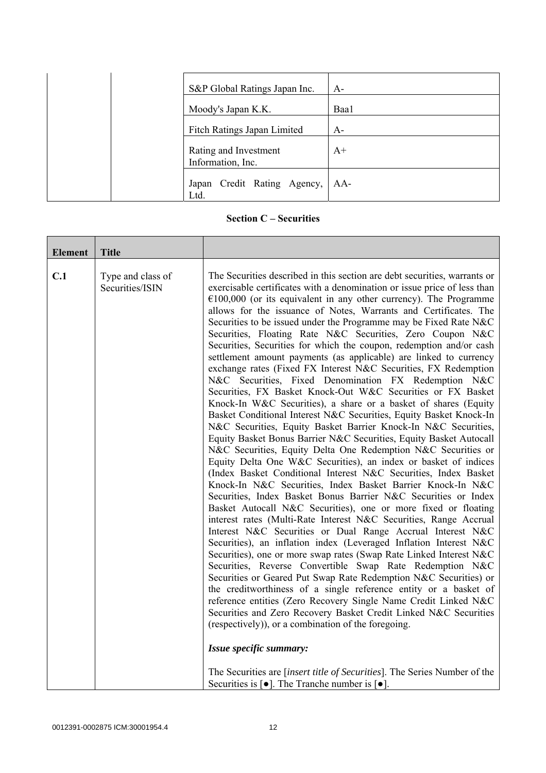| S&P Global Ratings Japan Inc.              | $A-$ |
|--------------------------------------------|------|
| Moody's Japan K.K.                         | Baa1 |
| Fitch Ratings Japan Limited                | $A-$ |
| Rating and Investment<br>Information, Inc. | $A+$ |
| Japan Credit Rating Agency,<br>Ltd.        | AA-  |

**Section C – Securities** 

| <b>Element</b> | <b>Title</b>                         |                                                                                                                                                                                                                                                                                                                                                                                                                                                                                                                                                                                                                                                                                                                                                                                                                                                                                                                                                                                                                                                                                                                                                                                                                                                                                                                                                                                                                                                                                                                                                                                                                                                                                                                                                                                                                                                                                                                                                                                                                                                                                                                                                                                                                                                            |
|----------------|--------------------------------------|------------------------------------------------------------------------------------------------------------------------------------------------------------------------------------------------------------------------------------------------------------------------------------------------------------------------------------------------------------------------------------------------------------------------------------------------------------------------------------------------------------------------------------------------------------------------------------------------------------------------------------------------------------------------------------------------------------------------------------------------------------------------------------------------------------------------------------------------------------------------------------------------------------------------------------------------------------------------------------------------------------------------------------------------------------------------------------------------------------------------------------------------------------------------------------------------------------------------------------------------------------------------------------------------------------------------------------------------------------------------------------------------------------------------------------------------------------------------------------------------------------------------------------------------------------------------------------------------------------------------------------------------------------------------------------------------------------------------------------------------------------------------------------------------------------------------------------------------------------------------------------------------------------------------------------------------------------------------------------------------------------------------------------------------------------------------------------------------------------------------------------------------------------------------------------------------------------------------------------------------------------|
| C.1            | Type and class of<br>Securities/ISIN | The Securities described in this section are debt securities, warrants or<br>exercisable certificates with a denomination or issue price of less than<br>$€100,000$ (or its equivalent in any other currency). The Programme<br>allows for the issuance of Notes, Warrants and Certificates. The<br>Securities to be issued under the Programme may be Fixed Rate N&C<br>Securities, Floating Rate N&C Securities, Zero Coupon N&C<br>Securities, Securities for which the coupon, redemption and/or cash<br>settlement amount payments (as applicable) are linked to currency<br>exchange rates (Fixed FX Interest N&C Securities, FX Redemption<br>N&C Securities, Fixed Denomination FX Redemption N&C<br>Securities, FX Basket Knock-Out W&C Securities or FX Basket<br>Knock-In W&C Securities), a share or a basket of shares (Equity<br>Basket Conditional Interest N&C Securities, Equity Basket Knock-In<br>N&C Securities, Equity Basket Barrier Knock-In N&C Securities,<br>Equity Basket Bonus Barrier N&C Securities, Equity Basket Autocall<br>N&C Securities, Equity Delta One Redemption N&C Securities or<br>Equity Delta One W&C Securities), an index or basket of indices<br>(Index Basket Conditional Interest N&C Securities, Index Basket<br>Knock-In N&C Securities, Index Basket Barrier Knock-In N&C<br>Securities, Index Basket Bonus Barrier N&C Securities or Index<br>Basket Autocall N&C Securities), one or more fixed or floating<br>interest rates (Multi-Rate Interest N&C Securities, Range Accrual<br>Interest N&C Securities or Dual Range Accrual Interest N&C<br>Securities), an inflation index (Leveraged Inflation Interest N&C<br>Securities), one or more swap rates (Swap Rate Linked Interest N&C<br>Securities, Reverse Convertible Swap Rate Redemption N&C<br>Securities or Geared Put Swap Rate Redemption N&C Securities) or<br>the creditworthiness of a single reference entity or a basket of<br>reference entities (Zero Recovery Single Name Credit Linked N&C<br>Securities and Zero Recovery Basket Credit Linked N&C Securities<br>(respectively)), or a combination of the foregoing.<br>Issue specific summary:<br>The Securities are [insert title of Securities]. The Series Number of the |
|                |                                      | Securities is $\lceil \bullet \rceil$ . The Tranche number is $\lceil \bullet \rceil$ .                                                                                                                                                                                                                                                                                                                                                                                                                                                                                                                                                                                                                                                                                                                                                                                                                                                                                                                                                                                                                                                                                                                                                                                                                                                                                                                                                                                                                                                                                                                                                                                                                                                                                                                                                                                                                                                                                                                                                                                                                                                                                                                                                                    |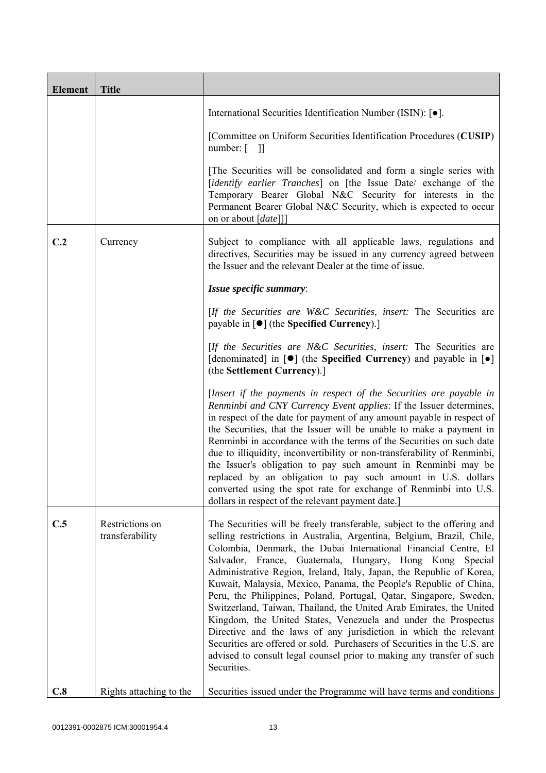| <b>Element</b> | <b>Title</b>                       |                                                                                                                                                                                                                                                                                                                                                                                                                                                                                                                                                                                                                                                                                                                                                                                                                                                                                    |
|----------------|------------------------------------|------------------------------------------------------------------------------------------------------------------------------------------------------------------------------------------------------------------------------------------------------------------------------------------------------------------------------------------------------------------------------------------------------------------------------------------------------------------------------------------------------------------------------------------------------------------------------------------------------------------------------------------------------------------------------------------------------------------------------------------------------------------------------------------------------------------------------------------------------------------------------------|
|                |                                    | International Securities Identification Number (ISIN): [ $\bullet$ ].                                                                                                                                                                                                                                                                                                                                                                                                                                                                                                                                                                                                                                                                                                                                                                                                              |
|                |                                    | [Committee on Uniform Securities Identification Procedures (CUSIP)<br>number: $\begin{bmatrix} 1 \end{bmatrix}$                                                                                                                                                                                                                                                                                                                                                                                                                                                                                                                                                                                                                                                                                                                                                                    |
|                |                                    | [The Securities will be consolidated and form a single series with<br>[identify earlier Tranches] on [the Issue Date/ exchange of the<br>Temporary Bearer Global N&C Security for interests in the<br>Permanent Bearer Global N&C Security, which is expected to occur<br>on or about [date]]]                                                                                                                                                                                                                                                                                                                                                                                                                                                                                                                                                                                     |
| C.2            | Currency                           | Subject to compliance with all applicable laws, regulations and<br>directives, Securities may be issued in any currency agreed between<br>the Issuer and the relevant Dealer at the time of issue.                                                                                                                                                                                                                                                                                                                                                                                                                                                                                                                                                                                                                                                                                 |
|                |                                    | Issue specific summary:                                                                                                                                                                                                                                                                                                                                                                                                                                                                                                                                                                                                                                                                                                                                                                                                                                                            |
|                |                                    | [If the Securities are W&C Securities, insert: The Securities are<br>payable in $\lceil \bullet \rceil$ (the Specified Currency).]                                                                                                                                                                                                                                                                                                                                                                                                                                                                                                                                                                                                                                                                                                                                                 |
|                |                                    | [If the Securities are N&C Securities, insert: The Securities are<br>[denominated] in $[\bullet]$ (the Specified Currency) and payable in $[\bullet]$<br>(the Settlement Currency).]                                                                                                                                                                                                                                                                                                                                                                                                                                                                                                                                                                                                                                                                                               |
|                |                                    | [Insert if the payments in respect of the Securities are payable in<br>Renminbi and CNY Currency Event applies: If the Issuer determines,<br>in respect of the date for payment of any amount payable in respect of<br>the Securities, that the Issuer will be unable to make a payment in<br>Renminbi in accordance with the terms of the Securities on such date<br>due to illiquidity, inconvertibility or non-transferability of Renminbi,<br>the Issuer's obligation to pay such amount in Renminbi may be<br>replaced by an obligation to pay such amount in U.S. dollars<br>converted using the spot rate for exchange of Renminbi into U.S.<br>dollars in respect of the relevant payment date.]                                                                                                                                                                           |
| C.5            | Restrictions on<br>transferability | The Securities will be freely transferable, subject to the offering and<br>selling restrictions in Australia, Argentina, Belgium, Brazil, Chile,<br>Colombia, Denmark, the Dubai International Financial Centre, El<br>Salvador, France, Guatemala, Hungary, Hong Kong Special<br>Administrative Region, Ireland, Italy, Japan, the Republic of Korea,<br>Kuwait, Malaysia, Mexico, Panama, the People's Republic of China,<br>Peru, the Philippines, Poland, Portugal, Qatar, Singapore, Sweden,<br>Switzerland, Taiwan, Thailand, the United Arab Emirates, the United<br>Kingdom, the United States, Venezuela and under the Prospectus<br>Directive and the laws of any jurisdiction in which the relevant<br>Securities are offered or sold. Purchasers of Securities in the U.S. are<br>advised to consult legal counsel prior to making any transfer of such<br>Securities. |
| C.8            | Rights attaching to the            | Securities issued under the Programme will have terms and conditions                                                                                                                                                                                                                                                                                                                                                                                                                                                                                                                                                                                                                                                                                                                                                                                                               |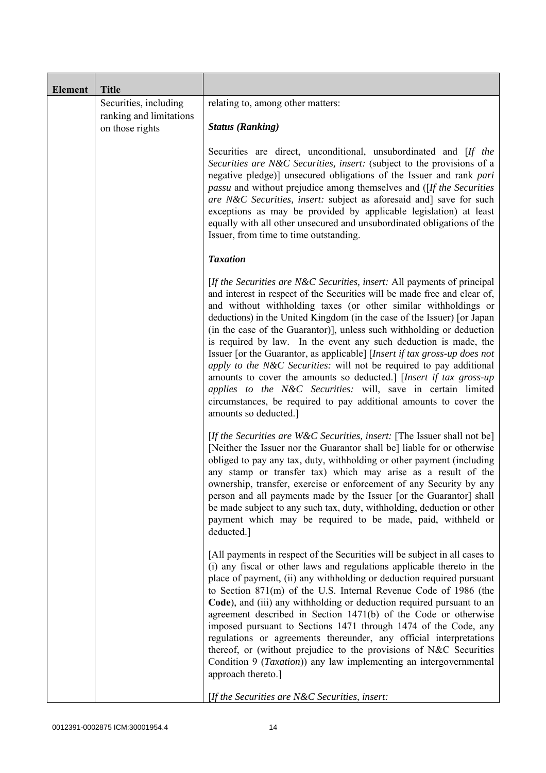| <b>Element</b> | <b>Title</b>                                                        |                                                                                                                                                                                                                                                                                                                                                                                                                                                                                                                                                                                                                                                                                                                                                                                                                                          |
|----------------|---------------------------------------------------------------------|------------------------------------------------------------------------------------------------------------------------------------------------------------------------------------------------------------------------------------------------------------------------------------------------------------------------------------------------------------------------------------------------------------------------------------------------------------------------------------------------------------------------------------------------------------------------------------------------------------------------------------------------------------------------------------------------------------------------------------------------------------------------------------------------------------------------------------------|
|                | Securities, including<br>ranking and limitations<br>on those rights | relating to, among other matters:<br><b>Status (Ranking)</b>                                                                                                                                                                                                                                                                                                                                                                                                                                                                                                                                                                                                                                                                                                                                                                             |
|                |                                                                     | Securities are direct, unconditional, unsubordinated and [If the<br>Securities are N&C Securities, insert: (subject to the provisions of a<br>negative pledge)] unsecured obligations of the Issuer and rank pari<br><i>passu</i> and without prejudice among themselves and ([If the Securities]<br>are N&C Securities, insert: subject as aforesaid and] save for such<br>exceptions as may be provided by applicable legislation) at least<br>equally with all other unsecured and unsubordinated obligations of the<br>Issuer, from time to time outstanding.                                                                                                                                                                                                                                                                        |
|                |                                                                     | <b>Taxation</b>                                                                                                                                                                                                                                                                                                                                                                                                                                                                                                                                                                                                                                                                                                                                                                                                                          |
|                |                                                                     | [If the Securities are N&C Securities, insert: All payments of principal<br>and interest in respect of the Securities will be made free and clear of,<br>and without withholding taxes (or other similar withholdings or<br>deductions) in the United Kingdom (in the case of the Issuer) [or Japan<br>(in the case of the Guarantor)], unless such withholding or deduction<br>is required by law. In the event any such deduction is made, the<br>Issuer [or the Guarantor, as applicable] [Insert if tax gross-up does not<br>apply to the N&C Securities: will not be required to pay additional<br>amounts to cover the amounts so deducted.] [Insert if tax gross-up<br>applies to the N&C Securities: will, save in certain limited<br>circumstances, be required to pay additional amounts to cover the<br>amounts so deducted.] |
|                |                                                                     | [If the Securities are W&C Securities, insert: [The Issuer shall not be]<br>[Neither the Issuer nor the Guarantor shall be] liable for or otherwise<br>obliged to pay any tax, duty, withholding or other payment (including<br>any stamp or transfer tax) which may arise as a result of the<br>ownership, transfer, exercise or enforcement of any Security by any<br>person and all payments made by the Issuer [or the Guarantor] shall<br>be made subject to any such tax, duty, withholding, deduction or other<br>payment which may be required to be made, paid, withheld or<br>deducted.]                                                                                                                                                                                                                                       |
|                |                                                                     | [All payments in respect of the Securities will be subject in all cases to<br>(i) any fiscal or other laws and regulations applicable thereto in the<br>place of payment, (ii) any withholding or deduction required pursuant<br>to Section 871(m) of the U.S. Internal Revenue Code of 1986 (the<br>Code), and (iii) any withholding or deduction required pursuant to an<br>agreement described in Section 1471(b) of the Code or otherwise<br>imposed pursuant to Sections 1471 through 1474 of the Code, any<br>regulations or agreements thereunder, any official interpretations<br>thereof, or (without prejudice to the provisions of N&C Securities<br>Condition 9 (Taxation)) any law implementing an intergovernmental<br>approach thereto.]                                                                                  |
|                |                                                                     | [If the Securities are N&C Securities, insert:                                                                                                                                                                                                                                                                                                                                                                                                                                                                                                                                                                                                                                                                                                                                                                                           |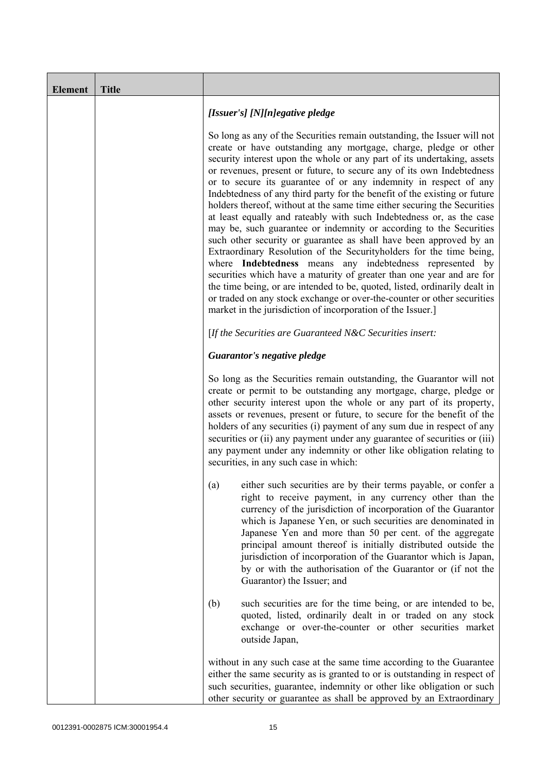| <b>Element</b> | <b>Title</b> |                                                                                                                                                                                                                                                                                                                                                                                                                                                                                                                                                                                                                                                                                                                                                                                                                                                                                                                                                                                                                                                                                                                                                                                       |
|----------------|--------------|---------------------------------------------------------------------------------------------------------------------------------------------------------------------------------------------------------------------------------------------------------------------------------------------------------------------------------------------------------------------------------------------------------------------------------------------------------------------------------------------------------------------------------------------------------------------------------------------------------------------------------------------------------------------------------------------------------------------------------------------------------------------------------------------------------------------------------------------------------------------------------------------------------------------------------------------------------------------------------------------------------------------------------------------------------------------------------------------------------------------------------------------------------------------------------------|
|                |              | [Issuer's] [N][n]egative pledge                                                                                                                                                                                                                                                                                                                                                                                                                                                                                                                                                                                                                                                                                                                                                                                                                                                                                                                                                                                                                                                                                                                                                       |
|                |              | So long as any of the Securities remain outstanding, the Issuer will not<br>create or have outstanding any mortgage, charge, pledge or other<br>security interest upon the whole or any part of its undertaking, assets<br>or revenues, present or future, to secure any of its own Indebtedness<br>or to secure its guarantee of or any indemnity in respect of any<br>Indebtedness of any third party for the benefit of the existing or future<br>holders thereof, without at the same time either securing the Securities<br>at least equally and rateably with such Indebtedness or, as the case<br>may be, such guarantee or indemnity or according to the Securities<br>such other security or guarantee as shall have been approved by an<br>Extraordinary Resolution of the Securityholders for the time being,<br>where Indebtedness means any indebtedness represented by<br>securities which have a maturity of greater than one year and are for<br>the time being, or are intended to be, quoted, listed, ordinarily dealt in<br>or traded on any stock exchange or over-the-counter or other securities<br>market in the jurisdiction of incorporation of the Issuer.] |
|                |              | [If the Securities are Guaranteed N&C Securities insert:                                                                                                                                                                                                                                                                                                                                                                                                                                                                                                                                                                                                                                                                                                                                                                                                                                                                                                                                                                                                                                                                                                                              |
|                |              | Guarantor's negative pledge                                                                                                                                                                                                                                                                                                                                                                                                                                                                                                                                                                                                                                                                                                                                                                                                                                                                                                                                                                                                                                                                                                                                                           |
|                |              | So long as the Securities remain outstanding, the Guarantor will not<br>create or permit to be outstanding any mortgage, charge, pledge or<br>other security interest upon the whole or any part of its property,<br>assets or revenues, present or future, to secure for the benefit of the<br>holders of any securities (i) payment of any sum due in respect of any<br>securities or (ii) any payment under any guarantee of securities or (iii)<br>any payment under any indemnity or other like obligation relating to<br>securities, in any such case in which:                                                                                                                                                                                                                                                                                                                                                                                                                                                                                                                                                                                                                 |
|                |              | either such securities are by their terms payable, or confer a<br>(a)<br>right to receive payment, in any currency other than the<br>currency of the jurisdiction of incorporation of the Guarantor<br>which is Japanese Yen, or such securities are denominated in<br>Japanese Yen and more than 50 per cent. of the aggregate<br>principal amount thereof is initially distributed outside the<br>jurisdiction of incorporation of the Guarantor which is Japan,<br>by or with the authorisation of the Guarantor or (if not the<br>Guarantor) the Issuer; and                                                                                                                                                                                                                                                                                                                                                                                                                                                                                                                                                                                                                      |
|                |              | (b)<br>such securities are for the time being, or are intended to be,<br>quoted, listed, ordinarily dealt in or traded on any stock<br>exchange or over-the-counter or other securities market<br>outside Japan,                                                                                                                                                                                                                                                                                                                                                                                                                                                                                                                                                                                                                                                                                                                                                                                                                                                                                                                                                                      |
|                |              | without in any such case at the same time according to the Guarantee<br>either the same security as is granted to or is outstanding in respect of<br>such securities, guarantee, indemnity or other like obligation or such<br>other security or guarantee as shall be approved by an Extraordinary                                                                                                                                                                                                                                                                                                                                                                                                                                                                                                                                                                                                                                                                                                                                                                                                                                                                                   |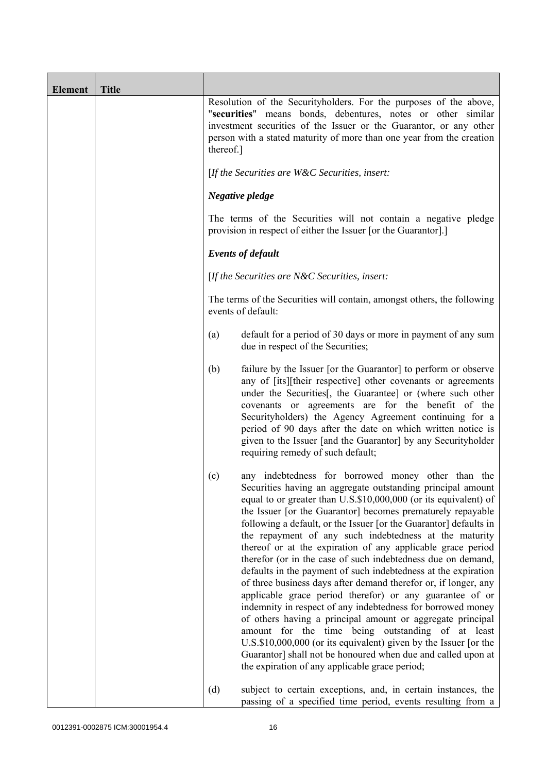| <b>Element</b> | <b>Title</b> |                                                                                                                                                                                                                                                                                                                                                                                                                                                                                                                                                                                                                                                                                                                                                                                                                                                                                                                                                                                                                                                                                                    |
|----------------|--------------|----------------------------------------------------------------------------------------------------------------------------------------------------------------------------------------------------------------------------------------------------------------------------------------------------------------------------------------------------------------------------------------------------------------------------------------------------------------------------------------------------------------------------------------------------------------------------------------------------------------------------------------------------------------------------------------------------------------------------------------------------------------------------------------------------------------------------------------------------------------------------------------------------------------------------------------------------------------------------------------------------------------------------------------------------------------------------------------------------|
|                |              | Resolution of the Securityholders. For the purposes of the above,<br>"securities" means bonds, debentures, notes or other similar<br>investment securities of the Issuer or the Guarantor, or any other<br>person with a stated maturity of more than one year from the creation<br>thereof.]                                                                                                                                                                                                                                                                                                                                                                                                                                                                                                                                                                                                                                                                                                                                                                                                      |
|                |              | [If the Securities are W&C Securities, insert:                                                                                                                                                                                                                                                                                                                                                                                                                                                                                                                                                                                                                                                                                                                                                                                                                                                                                                                                                                                                                                                     |
|                |              | Negative pledge                                                                                                                                                                                                                                                                                                                                                                                                                                                                                                                                                                                                                                                                                                                                                                                                                                                                                                                                                                                                                                                                                    |
|                |              | The terms of the Securities will not contain a negative pledge<br>provision in respect of either the Issuer [or the Guarantor].]                                                                                                                                                                                                                                                                                                                                                                                                                                                                                                                                                                                                                                                                                                                                                                                                                                                                                                                                                                   |
|                |              | <b>Events of default</b>                                                                                                                                                                                                                                                                                                                                                                                                                                                                                                                                                                                                                                                                                                                                                                                                                                                                                                                                                                                                                                                                           |
|                |              | [If the Securities are $N\&C$ Securities, insert:                                                                                                                                                                                                                                                                                                                                                                                                                                                                                                                                                                                                                                                                                                                                                                                                                                                                                                                                                                                                                                                  |
|                |              | The terms of the Securities will contain, amongst others, the following<br>events of default:                                                                                                                                                                                                                                                                                                                                                                                                                                                                                                                                                                                                                                                                                                                                                                                                                                                                                                                                                                                                      |
|                |              | default for a period of 30 days or more in payment of any sum<br>(a)<br>due in respect of the Securities;                                                                                                                                                                                                                                                                                                                                                                                                                                                                                                                                                                                                                                                                                                                                                                                                                                                                                                                                                                                          |
|                |              | (b)<br>failure by the Issuer [or the Guarantor] to perform or observe<br>any of [its][their respective] other covenants or agreements<br>under the Securities [, the Guarantee] or (where such other<br>covenants or agreements are for the benefit of the<br>Securityholders) the Agency Agreement continuing for a<br>period of 90 days after the date on which written notice is<br>given to the Issuer [and the Guarantor] by any Securityholder<br>requiring remedy of such default;                                                                                                                                                                                                                                                                                                                                                                                                                                                                                                                                                                                                          |
|                |              | any indebtedness for borrowed money other than the<br>(c)<br>Securities having an aggregate outstanding principal amount<br>equal to or greater than U.S.\$10,000,000 (or its equivalent) of<br>the Issuer [or the Guarantor] becomes prematurely repayable<br>following a default, or the Issuer [or the Guarantor] defaults in<br>the repayment of any such indebtedness at the maturity<br>thereof or at the expiration of any applicable grace period<br>therefor (or in the case of such indebtedness due on demand,<br>defaults in the payment of such indebtedness at the expiration<br>of three business days after demand therefor or, if longer, any<br>applicable grace period therefor) or any guarantee of or<br>indemnity in respect of any indebtedness for borrowed money<br>of others having a principal amount or aggregate principal<br>amount for the time being outstanding of at least<br>U.S.\$10,000,000 (or its equivalent) given by the Issuer [or the<br>Guarantor] shall not be honoured when due and called upon at<br>the expiration of any applicable grace period; |
|                |              | (d)<br>subject to certain exceptions, and, in certain instances, the<br>passing of a specified time period, events resulting from a                                                                                                                                                                                                                                                                                                                                                                                                                                                                                                                                                                                                                                                                                                                                                                                                                                                                                                                                                                |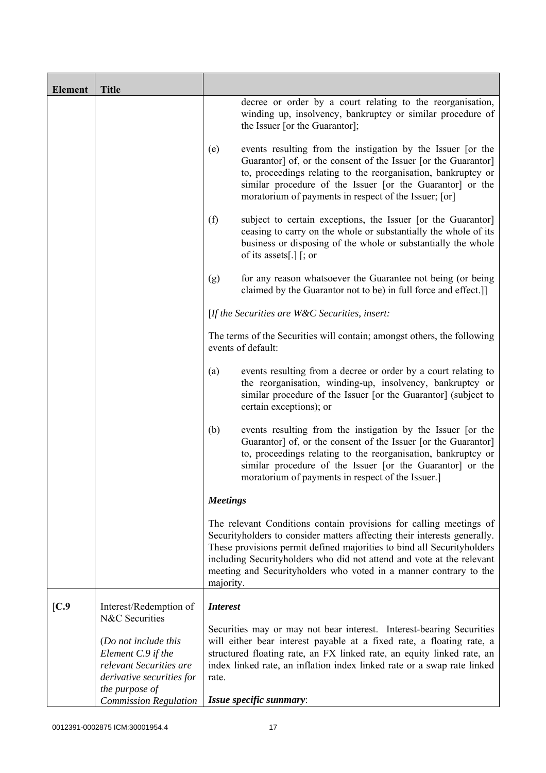| <b>Element</b> | <b>Title</b>                                                                                                         |                 |                                                                                                                                                                                                                                                                                                                                                                        |
|----------------|----------------------------------------------------------------------------------------------------------------------|-----------------|------------------------------------------------------------------------------------------------------------------------------------------------------------------------------------------------------------------------------------------------------------------------------------------------------------------------------------------------------------------------|
|                |                                                                                                                      |                 | decree or order by a court relating to the reorganisation,<br>winding up, insolvency, bankruptcy or similar procedure of<br>the Issuer [or the Guarantor];                                                                                                                                                                                                             |
|                |                                                                                                                      | (e)             | events resulting from the instigation by the Issuer [or the<br>Guarantor] of, or the consent of the Issuer [or the Guarantor]<br>to, proceedings relating to the reorganisation, bankruptcy or<br>similar procedure of the Issuer [or the Guarantor] or the<br>moratorium of payments in respect of the Issuer; [or]                                                   |
|                |                                                                                                                      | (f)             | subject to certain exceptions, the Issuer [or the Guarantor]<br>ceasing to carry on the whole or substantially the whole of its<br>business or disposing of the whole or substantially the whole<br>of its assets[.] $\lceil$ ; or                                                                                                                                     |
|                |                                                                                                                      | (g)             | for any reason whatsoever the Guarantee not being (or being<br>claimed by the Guarantor not to be) in full force and effect.]                                                                                                                                                                                                                                          |
|                |                                                                                                                      |                 | [If the Securities are W&C Securities, insert:                                                                                                                                                                                                                                                                                                                         |
|                |                                                                                                                      |                 | The terms of the Securities will contain; amongst others, the following<br>events of default:                                                                                                                                                                                                                                                                          |
|                |                                                                                                                      | (a)             | events resulting from a decree or order by a court relating to<br>the reorganisation, winding-up, insolvency, bankruptcy or<br>similar procedure of the Issuer [or the Guarantor] (subject to<br>certain exceptions); or                                                                                                                                               |
|                |                                                                                                                      | (b)             | events resulting from the instigation by the Issuer [or the<br>Guarantor] of, or the consent of the Issuer [or the Guarantor]<br>to, proceedings relating to the reorganisation, bankruptcy or<br>similar procedure of the Issuer [or the Guarantor] or the<br>moratorium of payments in respect of the Issuer.]                                                       |
|                |                                                                                                                      | <b>Meetings</b> |                                                                                                                                                                                                                                                                                                                                                                        |
|                |                                                                                                                      | majority.       | The relevant Conditions contain provisions for calling meetings of<br>Securityholders to consider matters affecting their interests generally.<br>These provisions permit defined majorities to bind all Securityholders<br>including Securityholders who did not attend and vote at the relevant<br>meeting and Securityholders who voted in a manner contrary to the |
| [C.9]          | Interest/Redemption of<br>N&C Securities                                                                             | <b>Interest</b> |                                                                                                                                                                                                                                                                                                                                                                        |
|                | (Do not include this<br>Element C.9 if the<br>relevant Securities are<br>derivative securities for<br>the purpose of | rate.           | Securities may or may not bear interest. Interest-bearing Securities<br>will either bear interest payable at a fixed rate, a floating rate, a<br>structured floating rate, an FX linked rate, an equity linked rate, an<br>index linked rate, an inflation index linked rate or a swap rate linked                                                                     |
|                | <b>Commission Regulation</b>                                                                                         |                 | Issue specific summary:                                                                                                                                                                                                                                                                                                                                                |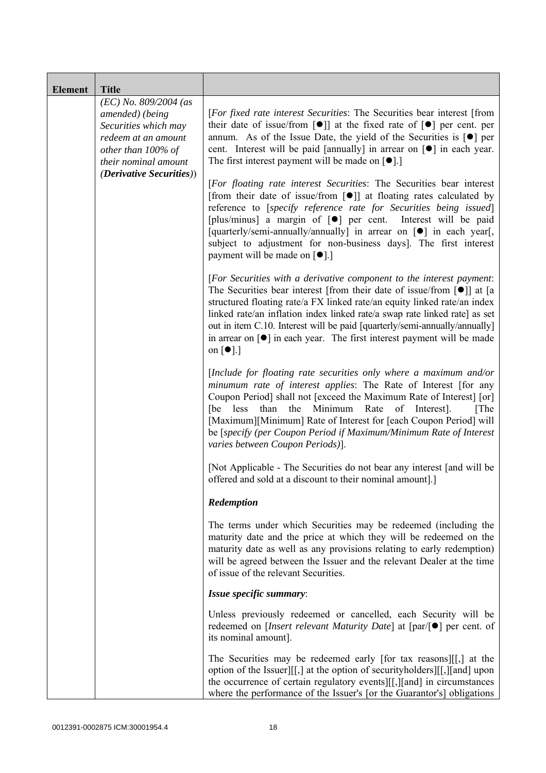| <b>Element</b> | <b>Title</b>                                                                                                                            |                                                                                                                                                                                                                                                                                                                                                                                                                                                                                                                                            |
|----------------|-----------------------------------------------------------------------------------------------------------------------------------------|--------------------------------------------------------------------------------------------------------------------------------------------------------------------------------------------------------------------------------------------------------------------------------------------------------------------------------------------------------------------------------------------------------------------------------------------------------------------------------------------------------------------------------------------|
|                | $(EC)$ No. 809/2004 (as<br>amended) (being<br>Securities which may<br>redeem at an amount<br>other than 100% of<br>their nominal amount | [For fixed rate interest Securities: The Securities bear interest [from<br>their date of issue/from $\lceil \bullet \rceil$ at the fixed rate of $\lceil \bullet \rceil$ per cent. per<br>annum. As of the Issue Date, the yield of the Securities is $\lceil \bullet \rceil$ per<br>cent. Interest will be paid [annually] in arrear on [ $\bullet$ ] in each year.<br>The first interest payment will be made on $\lceil \bullet \rceil$ .]                                                                                              |
|                | <i>(Derivative Securities))</i>                                                                                                         | [For floating rate interest Securities: The Securities bear interest<br>[from their date of issue/from $\lceil \bullet \rceil$ ] at floating rates calculated by<br>reference to [specify reference rate for Securities being issued]<br>[plus/minus] a margin of [ $\bullet$ ] per cent. Interest will be paid<br>[quarterly/semi-annually/annually] in arrear on [ $\bullet$ ] in each year[,<br>subject to adjustment for non-business days]. The first interest<br>payment will be made on [●].]                                       |
|                |                                                                                                                                         | [For Securities with a derivative component to the interest payment:<br>The Securities bear interest [from their date of issue/from $\lceil \bullet \rceil$ ] at [a<br>structured floating rate/a FX linked rate/an equity linked rate/an index<br>linked rate/an inflation index linked rate/a swap rate linked rate] as set<br>out in item C.10. Interest will be paid [quarterly/semi-annually/annually]<br>in arrear on $\lceil \bullet \rceil$ in each year. The first interest payment will be made<br>on $\lceil \bullet \rceil$ .] |
|                |                                                                                                                                         | [Include for floating rate securities only where a maximum and/or<br>minumum rate of interest applies: The Rate of Interest [for any<br>Coupon Period] shall not [exceed the Maximum Rate of Interest] [or]<br>than the Minimum<br>Rate<br>[be<br>less<br>of Interest].<br>[The]<br>[Maximum][Minimum] Rate of Interest for [each Coupon Period] will<br>be [specify (per Coupon Period if Maximum/Minimum Rate of Interest<br>varies between Coupon Periods)].                                                                            |
|                |                                                                                                                                         | [Not Applicable - The Securities do not bear any interest [and will be<br>offered and sold at a discount to their nominal amount].]                                                                                                                                                                                                                                                                                                                                                                                                        |
|                |                                                                                                                                         | Redemption                                                                                                                                                                                                                                                                                                                                                                                                                                                                                                                                 |
|                |                                                                                                                                         | The terms under which Securities may be redeemed (including the<br>maturity date and the price at which they will be redeemed on the<br>maturity date as well as any provisions relating to early redemption)<br>will be agreed between the Issuer and the relevant Dealer at the time<br>of issue of the relevant Securities.                                                                                                                                                                                                             |
|                |                                                                                                                                         | Issue specific summary:                                                                                                                                                                                                                                                                                                                                                                                                                                                                                                                    |
|                |                                                                                                                                         | Unless previously redeemed or cancelled, each Security will be<br>redeemed on [ <i>Insert relevant Maturity Date</i> ] at $[par/\lceil \bullet]$ per cent. of<br>its nominal amount].                                                                                                                                                                                                                                                                                                                                                      |
|                |                                                                                                                                         | The Securities may be redeemed early [for tax reasons][[,] at the<br>option of the Issuer][[,] at the option of security holders][[,][and] upon<br>the occurrence of certain regulatory events][[,][and] in circumstances<br>where the performance of the Issuer's [or the Guarantor's] obligations                                                                                                                                                                                                                                        |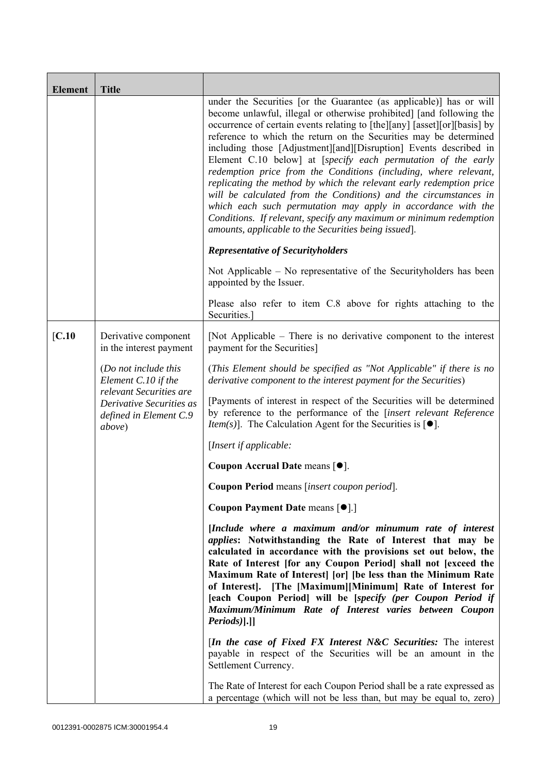| <b>Element</b>    | <b>Title</b>                                                           |                                                                                                                                                                                                                                                                                                                                                                                                                                                                                                                                                                                                                                                                                                                                                                                                                                                 |
|-------------------|------------------------------------------------------------------------|-------------------------------------------------------------------------------------------------------------------------------------------------------------------------------------------------------------------------------------------------------------------------------------------------------------------------------------------------------------------------------------------------------------------------------------------------------------------------------------------------------------------------------------------------------------------------------------------------------------------------------------------------------------------------------------------------------------------------------------------------------------------------------------------------------------------------------------------------|
|                   |                                                                        | under the Securities [or the Guarantee (as applicable)] has or will<br>become unlawful, illegal or otherwise prohibited] [and following the<br>occurrence of certain events relating to [the][any] [asset][or][basis] by<br>reference to which the return on the Securities may be determined<br>including those [Adjustment][and][Disruption] Events described in<br>Element C.10 below] at [specify each permutation of the early<br>redemption price from the Conditions (including, where relevant,<br>replicating the method by which the relevant early redemption price<br>will be calculated from the Conditions) and the circumstances in<br>which each such permutation may apply in accordance with the<br>Conditions. If relevant, specify any maximum or minimum redemption<br>amounts, applicable to the Securities being issued. |
|                   |                                                                        | <b>Representative of Securityholders</b>                                                                                                                                                                                                                                                                                                                                                                                                                                                                                                                                                                                                                                                                                                                                                                                                        |
|                   |                                                                        | Not Applicable – No representative of the Security holders has been<br>appointed by the Issuer.                                                                                                                                                                                                                                                                                                                                                                                                                                                                                                                                                                                                                                                                                                                                                 |
|                   |                                                                        | Please also refer to item C.8 above for rights attaching to the<br>Securities.                                                                                                                                                                                                                                                                                                                                                                                                                                                                                                                                                                                                                                                                                                                                                                  |
| $\mathbf{[C.10]}$ | Derivative component<br>in the interest payment                        | [Not Applicable – There is no derivative component to the interest<br>payment for the Securities]                                                                                                                                                                                                                                                                                                                                                                                                                                                                                                                                                                                                                                                                                                                                               |
|                   | (Do not include this<br>Element C.10 if the<br>relevant Securities are | (This Element should be specified as "Not Applicable" if there is no<br>derivative component to the interest payment for the Securities)                                                                                                                                                                                                                                                                                                                                                                                                                                                                                                                                                                                                                                                                                                        |
|                   | Derivative Securities as<br>defined in Element C.9<br>above)           | [Payments of interest in respect of the Securities will be determined<br>by reference to the performance of the [insert relevant Reference<br><i>Item(s)</i> ]. The Calculation Agent for the Securities is $[•]$ .                                                                                                                                                                                                                                                                                                                                                                                                                                                                                                                                                                                                                             |
|                   |                                                                        | [Insert if applicable:                                                                                                                                                                                                                                                                                                                                                                                                                                                                                                                                                                                                                                                                                                                                                                                                                          |
|                   |                                                                        | Coupon Accrual Date means [ $\bullet$ ].                                                                                                                                                                                                                                                                                                                                                                                                                                                                                                                                                                                                                                                                                                                                                                                                        |
|                   |                                                                        | Coupon Period means [insert coupon period].                                                                                                                                                                                                                                                                                                                                                                                                                                                                                                                                                                                                                                                                                                                                                                                                     |
|                   |                                                                        | Coupon Payment Date means [ $\bullet$ ].]                                                                                                                                                                                                                                                                                                                                                                                                                                                                                                                                                                                                                                                                                                                                                                                                       |
|                   |                                                                        | [Include where a maximum and/or minumum rate of interest<br><i>applies:</i> Notwithstanding the Rate of Interest that may be<br>calculated in accordance with the provisions set out below, the<br>Rate of Interest [for any Coupon Period] shall not [exceed the<br>Maximum Rate of Interest [or] [be less than the Minimum Rate<br>of Interest]. [The [Maximum][Minimum] Rate of Interest for<br>[each Coupon Period] will be [specify (per Coupon Period if<br>Maximum/Minimum Rate of Interest varies between Coupon<br>Periods)].]]                                                                                                                                                                                                                                                                                                        |
|                   |                                                                        | <i>In the case of Fixed FX Interest N&amp;C Securities:</i> The interest<br>payable in respect of the Securities will be an amount in the<br>Settlement Currency.                                                                                                                                                                                                                                                                                                                                                                                                                                                                                                                                                                                                                                                                               |
|                   |                                                                        | The Rate of Interest for each Coupon Period shall be a rate expressed as<br>a percentage (which will not be less than, but may be equal to, zero)                                                                                                                                                                                                                                                                                                                                                                                                                                                                                                                                                                                                                                                                                               |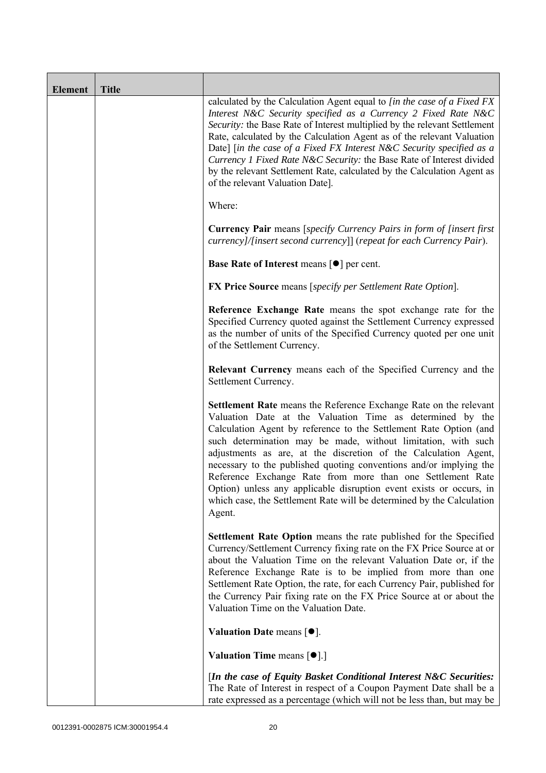| <b>Element</b> | <b>Title</b> |                                                                                                                                                                                                                                                                                                                                                                                                                                                                                                                                                                                                                                       |
|----------------|--------------|---------------------------------------------------------------------------------------------------------------------------------------------------------------------------------------------------------------------------------------------------------------------------------------------------------------------------------------------------------------------------------------------------------------------------------------------------------------------------------------------------------------------------------------------------------------------------------------------------------------------------------------|
|                |              | calculated by the Calculation Agent equal to [in the case of a Fixed FX<br>Interest N&C Security specified as a Currency 2 Fixed Rate N&C<br>Security: the Base Rate of Interest multiplied by the relevant Settlement<br>Rate, calculated by the Calculation Agent as of the relevant Valuation<br>Date] [in the case of a Fixed FX Interest N&C Security specified as a<br>Currency 1 Fixed Rate N&C Security: the Base Rate of Interest divided<br>by the relevant Settlement Rate, calculated by the Calculation Agent as<br>of the relevant Valuation Date].                                                                     |
|                |              | Where:                                                                                                                                                                                                                                                                                                                                                                                                                                                                                                                                                                                                                                |
|                |              | <b>Currency Pair</b> means [specify Currency Pairs in form of [insert first]<br>currency]/[insert second currency]] (repeat for each Currency Pair).                                                                                                                                                                                                                                                                                                                                                                                                                                                                                  |
|                |              | Base Rate of Interest means [ $\bullet$ ] per cent.                                                                                                                                                                                                                                                                                                                                                                                                                                                                                                                                                                                   |
|                |              | <b>FX Price Source</b> means [specify per Settlement Rate Option].                                                                                                                                                                                                                                                                                                                                                                                                                                                                                                                                                                    |
|                |              | Reference Exchange Rate means the spot exchange rate for the<br>Specified Currency quoted against the Settlement Currency expressed<br>as the number of units of the Specified Currency quoted per one unit<br>of the Settlement Currency.                                                                                                                                                                                                                                                                                                                                                                                            |
|                |              | Relevant Currency means each of the Specified Currency and the<br>Settlement Currency.                                                                                                                                                                                                                                                                                                                                                                                                                                                                                                                                                |
|                |              | Settlement Rate means the Reference Exchange Rate on the relevant<br>Valuation Date at the Valuation Time as determined by the<br>Calculation Agent by reference to the Settlement Rate Option (and<br>such determination may be made, without limitation, with such<br>adjustments as are, at the discretion of the Calculation Agent,<br>necessary to the published quoting conventions and/or implying the<br>Reference Exchange Rate from more than one Settlement Rate<br>Option) unless any applicable disruption event exists or occurs, in<br>which case, the Settlement Rate will be determined by the Calculation<br>Agent. |
|                |              | <b>Settlement Rate Option</b> means the rate published for the Specified<br>Currency/Settlement Currency fixing rate on the FX Price Source at or<br>about the Valuation Time on the relevant Valuation Date or, if the<br>Reference Exchange Rate is to be implied from more than one<br>Settlement Rate Option, the rate, for each Currency Pair, published for<br>the Currency Pair fixing rate on the FX Price Source at or about the<br>Valuation Time on the Valuation Date.                                                                                                                                                    |
|                |              | Valuation Date means $[•]$ .                                                                                                                                                                                                                                                                                                                                                                                                                                                                                                                                                                                                          |
|                |              | <b>Valuation Time means <math>\lceil \bullet \rceil</math>.</b>                                                                                                                                                                                                                                                                                                                                                                                                                                                                                                                                                                       |
|                |              | [In the case of Equity Basket Conditional Interest N&C Securities:<br>The Rate of Interest in respect of a Coupon Payment Date shall be a<br>rate expressed as a percentage (which will not be less than, but may be                                                                                                                                                                                                                                                                                                                                                                                                                  |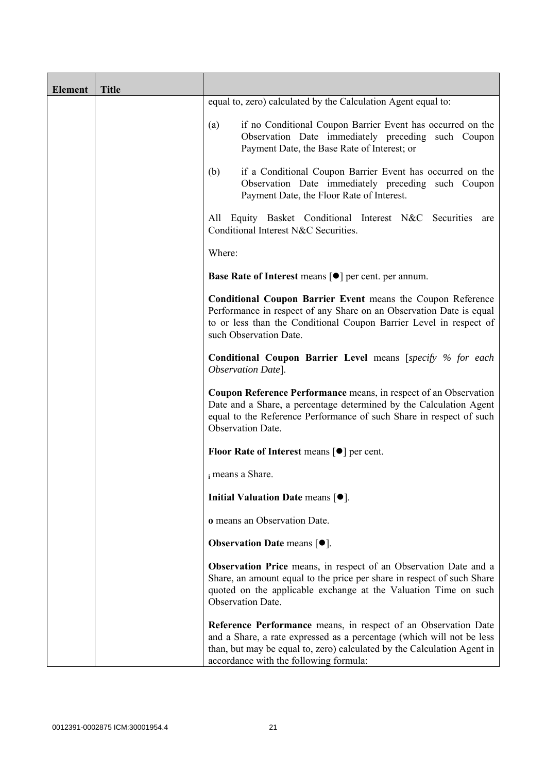| <b>Element</b> | <b>Title</b> |                                                                                                                                                                                                                                                              |
|----------------|--------------|--------------------------------------------------------------------------------------------------------------------------------------------------------------------------------------------------------------------------------------------------------------|
|                |              | equal to, zero) calculated by the Calculation Agent equal to:                                                                                                                                                                                                |
|                |              | if no Conditional Coupon Barrier Event has occurred on the<br>(a)<br>Observation Date immediately preceding such Coupon<br>Payment Date, the Base Rate of Interest; or                                                                                       |
|                |              | if a Conditional Coupon Barrier Event has occurred on the<br>(b)<br>Observation Date immediately preceding such Coupon<br>Payment Date, the Floor Rate of Interest.                                                                                          |
|                |              | Equity Basket Conditional Interest N&C Securities are<br>All<br>Conditional Interest N&C Securities.                                                                                                                                                         |
|                |              | Where:                                                                                                                                                                                                                                                       |
|                |              | <b>Base Rate of Interest means [<math>\bullet</math>] per cent. per annum.</b>                                                                                                                                                                               |
|                |              | <b>Conditional Coupon Barrier Event means the Coupon Reference</b><br>Performance in respect of any Share on an Observation Date is equal<br>to or less than the Conditional Coupon Barrier Level in respect of<br>such Observation Date.                    |
|                |              | <b>Conditional Coupon Barrier Level means [specify % for each</b><br>Observation Date].                                                                                                                                                                      |
|                |              | Coupon Reference Performance means, in respect of an Observation<br>Date and a Share, a percentage determined by the Calculation Agent<br>equal to the Reference Performance of such Share in respect of such<br>Observation Date.                           |
|                |              | Floor Rate of Interest means $\lceil \bullet \rceil$ per cent.                                                                                                                                                                                               |
|                |              | i means a Share.                                                                                                                                                                                                                                             |
|                |              | Initial Valuation Date means $[•]$ .                                                                                                                                                                                                                         |
|                |              | o means an Observation Date.                                                                                                                                                                                                                                 |
|                |              | <b>Observation Date means <math>[•]</math>.</b>                                                                                                                                                                                                              |
|                |              | <b>Observation Price</b> means, in respect of an Observation Date and a<br>Share, an amount equal to the price per share in respect of such Share<br>quoted on the applicable exchange at the Valuation Time on such<br>Observation Date.                    |
|                |              | Reference Performance means, in respect of an Observation Date<br>and a Share, a rate expressed as a percentage (which will not be less<br>than, but may be equal to, zero) calculated by the Calculation Agent in<br>accordance with the following formula: |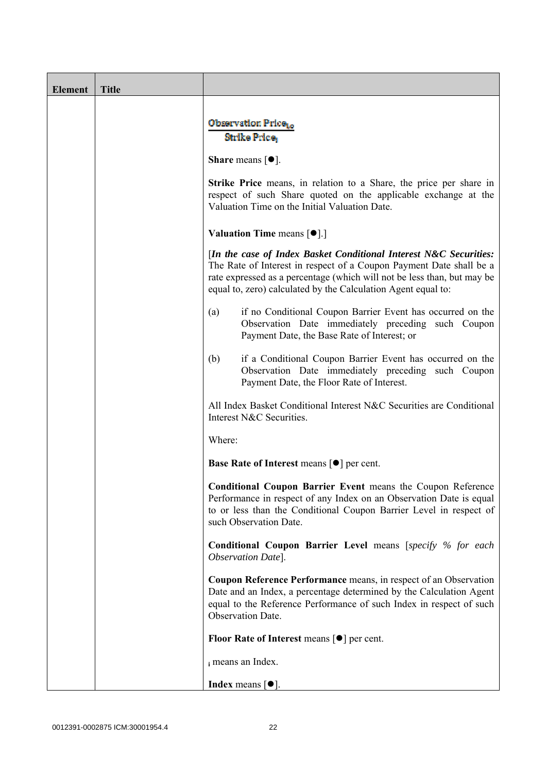| <b>Element</b> | <b>Title</b> |                                                                                                                                                                                                                                                                                      |
|----------------|--------------|--------------------------------------------------------------------------------------------------------------------------------------------------------------------------------------------------------------------------------------------------------------------------------------|
|                |              | Observation Price <sub>to</sub><br>Strike Price,                                                                                                                                                                                                                                     |
|                |              | <b>Share</b> means $[①]$ .                                                                                                                                                                                                                                                           |
|                |              | <b>Strike Price</b> means, in relation to a Share, the price per share in<br>respect of such Share quoted on the applicable exchange at the<br>Valuation Time on the Initial Valuation Date.                                                                                         |
|                |              | <b>Valuation Time means <math>\lceil \bullet \rceil</math>.</b>                                                                                                                                                                                                                      |
|                |              | [In the case of Index Basket Conditional Interest N&C Securities:<br>The Rate of Interest in respect of a Coupon Payment Date shall be a<br>rate expressed as a percentage (which will not be less than, but may be<br>equal to, zero) calculated by the Calculation Agent equal to: |
|                |              | if no Conditional Coupon Barrier Event has occurred on the<br>(a)<br>Observation Date immediately preceding such Coupon<br>Payment Date, the Base Rate of Interest; or                                                                                                               |
|                |              | if a Conditional Coupon Barrier Event has occurred on the<br>(b)<br>Observation Date immediately preceding such Coupon<br>Payment Date, the Floor Rate of Interest.                                                                                                                  |
|                |              | All Index Basket Conditional Interest N&C Securities are Conditional<br>Interest N&C Securities.                                                                                                                                                                                     |
|                |              | Where:                                                                                                                                                                                                                                                                               |
|                |              | <b>Base Rate of Interest means <math>\lceil \bullet \rceil</math> per cent.</b>                                                                                                                                                                                                      |
|                |              | <b>Conditional Coupon Barrier Event means the Coupon Reference</b><br>Performance in respect of any Index on an Observation Date is equal<br>to or less than the Conditional Coupon Barrier Level in respect of<br>such Observation Date.                                            |
|                |              | <b>Conditional Coupon Barrier Level means [specify % for each</b><br>Observation Date].                                                                                                                                                                                              |
|                |              | Coupon Reference Performance means, in respect of an Observation<br>Date and an Index, a percentage determined by the Calculation Agent<br>equal to the Reference Performance of such Index in respect of such<br><b>Observation Date.</b>                                           |
|                |              | Floor Rate of Interest means $[\bullet]$ per cent.                                                                                                                                                                                                                                   |
|                |              | i means an Index.                                                                                                                                                                                                                                                                    |
|                |              | <b>Index</b> means $[①]$ .                                                                                                                                                                                                                                                           |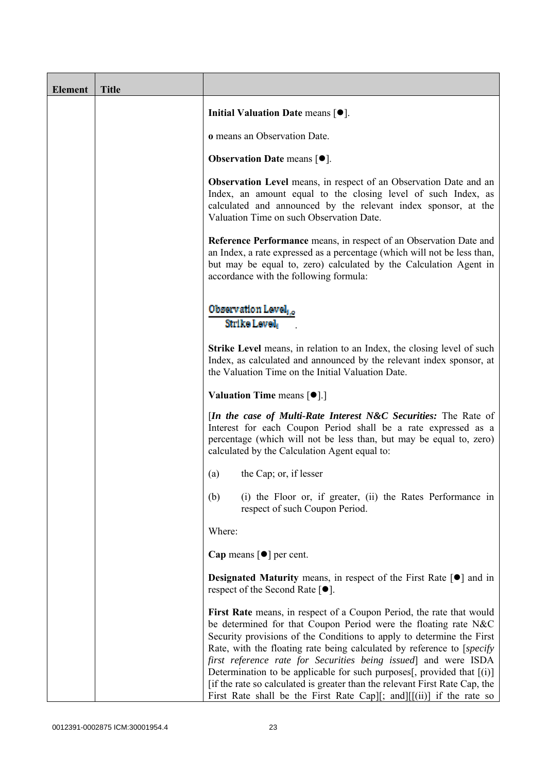| <b>Element</b> | <b>Title</b> |                                                                                                                                                                                                                                                                                                                                                                                                                                                                                                                                                                                                     |
|----------------|--------------|-----------------------------------------------------------------------------------------------------------------------------------------------------------------------------------------------------------------------------------------------------------------------------------------------------------------------------------------------------------------------------------------------------------------------------------------------------------------------------------------------------------------------------------------------------------------------------------------------------|
|                |              | Initial Valuation Date means $[•]$ .                                                                                                                                                                                                                                                                                                                                                                                                                                                                                                                                                                |
|                |              | <b>o</b> means an Observation Date.                                                                                                                                                                                                                                                                                                                                                                                                                                                                                                                                                                 |
|                |              | <b>Observation Date means <math>[•]</math>.</b>                                                                                                                                                                                                                                                                                                                                                                                                                                                                                                                                                     |
|                |              | <b>Observation Level</b> means, in respect of an Observation Date and an<br>Index, an amount equal to the closing level of such Index, as<br>calculated and announced by the relevant index sponsor, at the<br>Valuation Time on such Observation Date.                                                                                                                                                                                                                                                                                                                                             |
|                |              | <b>Reference Performance</b> means, in respect of an Observation Date and<br>an Index, a rate expressed as a percentage (which will not be less than,<br>but may be equal to, zero) calculated by the Calculation Agent in<br>accordance with the following formula:                                                                                                                                                                                                                                                                                                                                |
|                |              | Observation Level,<br>Strike Level,                                                                                                                                                                                                                                                                                                                                                                                                                                                                                                                                                                 |
|                |              | <b>Strike Level</b> means, in relation to an Index, the closing level of such<br>Index, as calculated and announced by the relevant index sponsor, at<br>the Valuation Time on the Initial Valuation Date.                                                                                                                                                                                                                                                                                                                                                                                          |
|                |              | <b>Valuation Time means <math>\lceil \bullet \rceil</math>.</b>                                                                                                                                                                                                                                                                                                                                                                                                                                                                                                                                     |
|                |              | <i>In the case of Multi-Rate Interest N&amp;C Securities:</i> The Rate of<br>Interest for each Coupon Period shall be a rate expressed as a<br>percentage (which will not be less than, but may be equal to, zero)<br>calculated by the Calculation Agent equal to:                                                                                                                                                                                                                                                                                                                                 |
|                |              | the Cap; or, if lesser<br>(a)                                                                                                                                                                                                                                                                                                                                                                                                                                                                                                                                                                       |
|                |              | (b)<br>(i) the Floor or, if greater, (ii) the Rates Performance in<br>respect of such Coupon Period.                                                                                                                                                                                                                                                                                                                                                                                                                                                                                                |
|                |              | Where:                                                                                                                                                                                                                                                                                                                                                                                                                                                                                                                                                                                              |
|                |              | Cap means $\lceil \bullet \rceil$ per cent.                                                                                                                                                                                                                                                                                                                                                                                                                                                                                                                                                         |
|                |              | <b>Designated Maturity</b> means, in respect of the First Rate $\lceil \bullet \rceil$ and in<br>respect of the Second Rate $[•]$ .                                                                                                                                                                                                                                                                                                                                                                                                                                                                 |
|                |              | First Rate means, in respect of a Coupon Period, the rate that would<br>be determined for that Coupon Period were the floating rate N&C<br>Security provisions of the Conditions to apply to determine the First<br>Rate, with the floating rate being calculated by reference to [specify]<br>first reference rate for Securities being issued and were ISDA<br>Determination to be applicable for such purposes[, provided that [(i)]<br>[if the rate so calculated is greater than the relevant First Rate Cap, the<br>First Rate shall be the First Rate Cap][; and] $[[ (ii) ]$ if the rate so |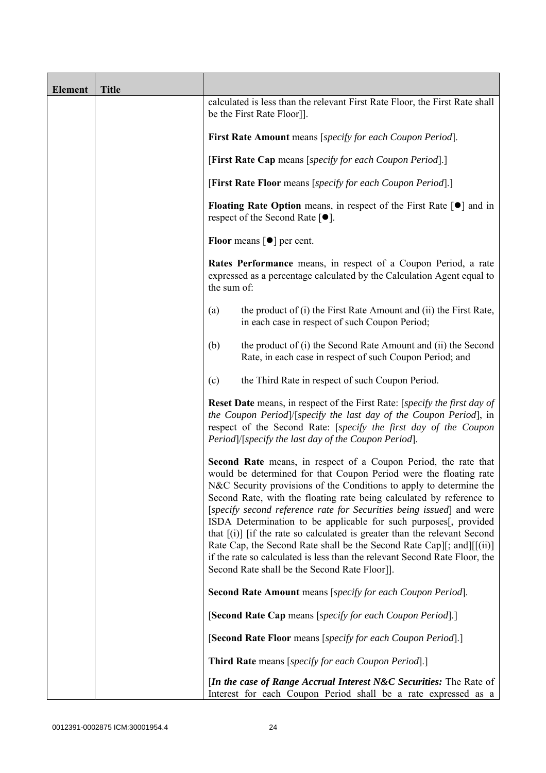| <b>Element</b> | <b>Title</b> |                                                                                                                                                                                                                                                                                                                                                                                                                                                                                                                                                                                                                                                                                                                              |
|----------------|--------------|------------------------------------------------------------------------------------------------------------------------------------------------------------------------------------------------------------------------------------------------------------------------------------------------------------------------------------------------------------------------------------------------------------------------------------------------------------------------------------------------------------------------------------------------------------------------------------------------------------------------------------------------------------------------------------------------------------------------------|
|                |              | calculated is less than the relevant First Rate Floor, the First Rate shall<br>be the First Rate Floor]].                                                                                                                                                                                                                                                                                                                                                                                                                                                                                                                                                                                                                    |
|                |              | First Rate Amount means [specify for each Coupon Period].                                                                                                                                                                                                                                                                                                                                                                                                                                                                                                                                                                                                                                                                    |
|                |              | [First Rate Cap means [specify for each Coupon Period].]                                                                                                                                                                                                                                                                                                                                                                                                                                                                                                                                                                                                                                                                     |
|                |              | [First Rate Floor means [specify for each Coupon Period].]                                                                                                                                                                                                                                                                                                                                                                                                                                                                                                                                                                                                                                                                   |
|                |              | <b>Floating Rate Option</b> means, in respect of the First Rate $\lceil \bullet \rceil$ and in<br>respect of the Second Rate $[•]$ .                                                                                                                                                                                                                                                                                                                                                                                                                                                                                                                                                                                         |
|                |              | <b>Floor</b> means $\lceil \bullet \rceil$ per cent.                                                                                                                                                                                                                                                                                                                                                                                                                                                                                                                                                                                                                                                                         |
|                |              | Rates Performance means, in respect of a Coupon Period, a rate<br>expressed as a percentage calculated by the Calculation Agent equal to<br>the sum of:                                                                                                                                                                                                                                                                                                                                                                                                                                                                                                                                                                      |
|                |              | the product of (i) the First Rate Amount and (ii) the First Rate,<br>(a)<br>in each case in respect of such Coupon Period;                                                                                                                                                                                                                                                                                                                                                                                                                                                                                                                                                                                                   |
|                |              | the product of (i) the Second Rate Amount and (ii) the Second<br>(b)<br>Rate, in each case in respect of such Coupon Period; and                                                                                                                                                                                                                                                                                                                                                                                                                                                                                                                                                                                             |
|                |              | the Third Rate in respect of such Coupon Period.<br>(c)                                                                                                                                                                                                                                                                                                                                                                                                                                                                                                                                                                                                                                                                      |
|                |              | Reset Date means, in respect of the First Rate: [specify the first day of<br>the Coupon Period]/[specify the last day of the Coupon Period], in<br>respect of the Second Rate: [specify the first day of the Coupon<br>Period /[specify the last day of the Coupon Period].                                                                                                                                                                                                                                                                                                                                                                                                                                                  |
|                |              | <b>Second Rate</b> means, in respect of a Coupon Period, the rate that<br>would be determined for that Coupon Period were the floating rate<br>N&C Security provisions of the Conditions to apply to determine the<br>Second Rate, with the floating rate being calculated by reference to<br>[specify second reference rate for Securities being issued] and were<br>ISDA Determination to be applicable for such purposes[, provided<br>that $[(i)]$ if the rate so calculated is greater than the relevant Second<br>Rate Cap, the Second Rate shall be the Second Rate Cap][; and][[(ii)]<br>if the rate so calculated is less than the relevant Second Rate Floor, the<br>Second Rate shall be the Second Rate Floor]]. |
|                |              | Second Rate Amount means [specify for each Coupon Period].                                                                                                                                                                                                                                                                                                                                                                                                                                                                                                                                                                                                                                                                   |
|                |              | [Second Rate Cap means [specify for each Coupon Period].]                                                                                                                                                                                                                                                                                                                                                                                                                                                                                                                                                                                                                                                                    |
|                |              | [Second Rate Floor means [specify for each Coupon Period].]                                                                                                                                                                                                                                                                                                                                                                                                                                                                                                                                                                                                                                                                  |
|                |              | <b>Third Rate</b> means [specify for each Coupon Period].]                                                                                                                                                                                                                                                                                                                                                                                                                                                                                                                                                                                                                                                                   |
|                |              | [In the case of Range Accrual Interest N&C Securities: The Rate of<br>Interest for each Coupon Period shall be a rate expressed as a                                                                                                                                                                                                                                                                                                                                                                                                                                                                                                                                                                                         |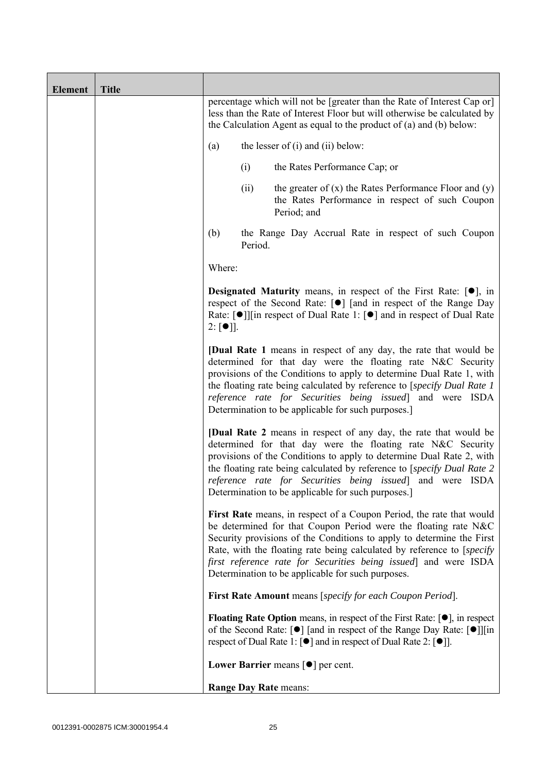| <b>Element</b> | <b>Title</b> |                                                                                                                                                                                                                                                                                                                                                                                                                     |
|----------------|--------------|---------------------------------------------------------------------------------------------------------------------------------------------------------------------------------------------------------------------------------------------------------------------------------------------------------------------------------------------------------------------------------------------------------------------|
|                |              | percentage which will not be [greater than the Rate of Interest Cap or]<br>less than the Rate of Interest Floor but will otherwise be calculated by<br>the Calculation Agent as equal to the product of (a) and (b) below:                                                                                                                                                                                          |
|                |              | the lesser of $(i)$ and $(ii)$ below:<br>(a)                                                                                                                                                                                                                                                                                                                                                                        |
|                |              | (i)<br>the Rates Performance Cap; or                                                                                                                                                                                                                                                                                                                                                                                |
|                |              | (ii)<br>the greater of $(x)$ the Rates Performance Floor and $(y)$<br>the Rates Performance in respect of such Coupon<br>Period; and                                                                                                                                                                                                                                                                                |
|                |              | (b)<br>the Range Day Accrual Rate in respect of such Coupon<br>Period.                                                                                                                                                                                                                                                                                                                                              |
|                |              | Where:                                                                                                                                                                                                                                                                                                                                                                                                              |
|                |              | <b>Designated Maturity</b> means, in respect of the First Rate: $[•]$ , in<br>respect of the Second Rate: [●] [and in respect of the Range Day<br>Rate: [●]][in respect of Dual Rate 1: [●] and in respect of Dual Rate<br>$2: [\bullet]$ .                                                                                                                                                                         |
|                |              | <b>[Dual Rate 1</b> means in respect of any day, the rate that would be<br>determined for that day were the floating rate N&C Security<br>provisions of the Conditions to apply to determine Dual Rate 1, with<br>the floating rate being calculated by reference to [specify Dual Rate 1]<br>reference rate for Securities being issued] and were ISDA<br>Determination to be applicable for such purposes.]       |
|                |              | <b>[Dual Rate 2</b> means in respect of any day, the rate that would be<br>determined for that day were the floating rate N&C Security<br>provisions of the Conditions to apply to determine Dual Rate 2, with<br>the floating rate being calculated by reference to [specify Dual Rate 2<br>reference rate for Securities being issued] and were ISDA<br>Determination to be applicable for such purposes.         |
|                |              | First Rate means, in respect of a Coupon Period, the rate that would<br>be determined for that Coupon Period were the floating rate N&C<br>Security provisions of the Conditions to apply to determine the First<br>Rate, with the floating rate being calculated by reference to [specify]<br>first reference rate for Securities being issued] and were ISDA<br>Determination to be applicable for such purposes. |
|                |              | First Rate Amount means [specify for each Coupon Period].                                                                                                                                                                                                                                                                                                                                                           |
|                |              | <b>Floating Rate Option</b> means, in respect of the First Rate: $[•]$ , in respect<br>of the Second Rate: [ $\bullet$ ] [and in respect of the Range Day Rate: [ $\bullet$ ]][in<br>respect of Dual Rate 1: $\lceil \bullet \rceil$ and in respect of Dual Rate 2: $\lceil \bullet \rceil$ .                                                                                                                       |
|                |              | Lower Barrier means $\lceil \bullet \rceil$ per cent.                                                                                                                                                                                                                                                                                                                                                               |
|                |              | Range Day Rate means:                                                                                                                                                                                                                                                                                                                                                                                               |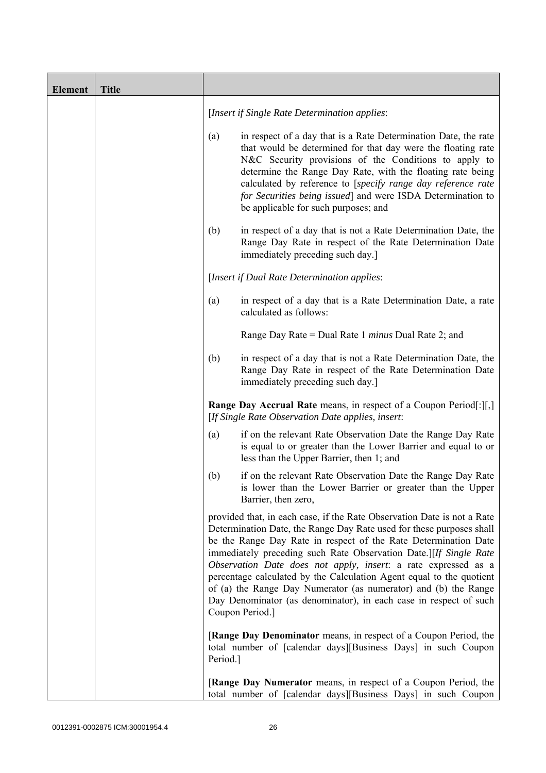| <b>Element</b> | <b>Title</b> |          |                                                                                                                                                                                                                                                                                                                                                                                                                                                                                                                                                                                              |
|----------------|--------------|----------|----------------------------------------------------------------------------------------------------------------------------------------------------------------------------------------------------------------------------------------------------------------------------------------------------------------------------------------------------------------------------------------------------------------------------------------------------------------------------------------------------------------------------------------------------------------------------------------------|
|                |              |          | [Insert if Single Rate Determination applies:                                                                                                                                                                                                                                                                                                                                                                                                                                                                                                                                                |
|                |              | (a)      | in respect of a day that is a Rate Determination Date, the rate<br>that would be determined for that day were the floating rate<br>N&C Security provisions of the Conditions to apply to<br>determine the Range Day Rate, with the floating rate being<br>calculated by reference to [specify range day reference rate<br>for Securities being issued] and were ISDA Determination to<br>be applicable for such purposes; and                                                                                                                                                                |
|                |              | (b)      | in respect of a day that is not a Rate Determination Date, the<br>Range Day Rate in respect of the Rate Determination Date<br>immediately preceding such day.]                                                                                                                                                                                                                                                                                                                                                                                                                               |
|                |              |          | [Insert if Dual Rate Determination applies:                                                                                                                                                                                                                                                                                                                                                                                                                                                                                                                                                  |
|                |              | (a)      | in respect of a day that is a Rate Determination Date, a rate<br>calculated as follows:                                                                                                                                                                                                                                                                                                                                                                                                                                                                                                      |
|                |              |          | Range Day Rate = Dual Rate 1 minus Dual Rate 2; and                                                                                                                                                                                                                                                                                                                                                                                                                                                                                                                                          |
|                |              | (b)      | in respect of a day that is not a Rate Determination Date, the<br>Range Day Rate in respect of the Rate Determination Date<br>immediately preceding such day.]                                                                                                                                                                                                                                                                                                                                                                                                                               |
|                |              |          | <b>Range Day Accrual Rate</b> means, in respect of a Coupon Period[:][,]<br>[If Single Rate Observation Date applies, insert:                                                                                                                                                                                                                                                                                                                                                                                                                                                                |
|                |              | (a)      | if on the relevant Rate Observation Date the Range Day Rate<br>is equal to or greater than the Lower Barrier and equal to or<br>less than the Upper Barrier, then 1; and                                                                                                                                                                                                                                                                                                                                                                                                                     |
|                |              | (b)      | if on the relevant Rate Observation Date the Range Day Rate<br>is lower than the Lower Barrier or greater than the Upper<br>Barrier, then zero,                                                                                                                                                                                                                                                                                                                                                                                                                                              |
|                |              |          | provided that, in each case, if the Rate Observation Date is not a Rate<br>Determination Date, the Range Day Rate used for these purposes shall<br>be the Range Day Rate in respect of the Rate Determination Date<br>immediately preceding such Rate Observation Date.][If Single Rate<br>Observation Date does not apply, insert: a rate expressed as a<br>percentage calculated by the Calculation Agent equal to the quotient<br>of (a) the Range Day Numerator (as numerator) and (b) the Range<br>Day Denominator (as denominator), in each case in respect of such<br>Coupon Period.] |
|                |              | Period.] | [Range Day Denominator means, in respect of a Coupon Period, the<br>total number of [calendar days][Business Days] in such Coupon                                                                                                                                                                                                                                                                                                                                                                                                                                                            |
|                |              |          | [Range Day Numerator means, in respect of a Coupon Period, the<br>total number of [calendar days][Business Days] in such Coupon                                                                                                                                                                                                                                                                                                                                                                                                                                                              |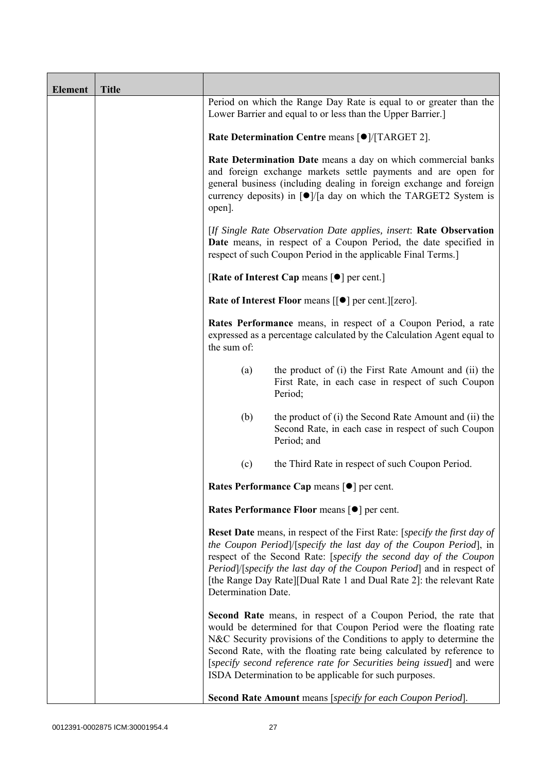| <b>Element</b> | <b>Title</b> |                                                                                                                                                                                                                                                                                                                       |                                                                                                                                                                                                                                                                                                                                                                                                                       |  |
|----------------|--------------|-----------------------------------------------------------------------------------------------------------------------------------------------------------------------------------------------------------------------------------------------------------------------------------------------------------------------|-----------------------------------------------------------------------------------------------------------------------------------------------------------------------------------------------------------------------------------------------------------------------------------------------------------------------------------------------------------------------------------------------------------------------|--|
|                |              |                                                                                                                                                                                                                                                                                                                       | Period on which the Range Day Rate is equal to or greater than the<br>Lower Barrier and equal to or less than the Upper Barrier.]                                                                                                                                                                                                                                                                                     |  |
|                |              |                                                                                                                                                                                                                                                                                                                       | Rate Determination Centre means [ $\bullet$ ]/[TARGET 2].                                                                                                                                                                                                                                                                                                                                                             |  |
|                |              | Rate Determination Date means a day on which commercial banks<br>and foreign exchange markets settle payments and are open for<br>general business (including dealing in foreign exchange and foreign<br>currency deposits) in $\lceil \bullet \rceil / \lceil a \rceil$ day on which the TARGET2 System is<br>open]. |                                                                                                                                                                                                                                                                                                                                                                                                                       |  |
|                |              | [If Single Rate Observation Date applies, insert: Rate Observation<br>Date means, in respect of a Coupon Period, the date specified in<br>respect of such Coupon Period in the applicable Final Terms.]                                                                                                               |                                                                                                                                                                                                                                                                                                                                                                                                                       |  |
|                |              |                                                                                                                                                                                                                                                                                                                       | [Rate of Interest Cap means $[•]$ per cent.]                                                                                                                                                                                                                                                                                                                                                                          |  |
|                |              |                                                                                                                                                                                                                                                                                                                       | Rate of Interest Floor means [[ $\bullet$ ] per cent.][zero].                                                                                                                                                                                                                                                                                                                                                         |  |
|                |              | the sum of:                                                                                                                                                                                                                                                                                                           | Rates Performance means, in respect of a Coupon Period, a rate<br>expressed as a percentage calculated by the Calculation Agent equal to                                                                                                                                                                                                                                                                              |  |
|                |              | (a)                                                                                                                                                                                                                                                                                                                   | the product of (i) the First Rate Amount and (ii) the<br>First Rate, in each case in respect of such Coupon<br>Period;                                                                                                                                                                                                                                                                                                |  |
|                |              | (b)                                                                                                                                                                                                                                                                                                                   | the product of (i) the Second Rate Amount and (ii) the<br>Second Rate, in each case in respect of such Coupon<br>Period; and                                                                                                                                                                                                                                                                                          |  |
|                |              | (c)                                                                                                                                                                                                                                                                                                                   | the Third Rate in respect of such Coupon Period.                                                                                                                                                                                                                                                                                                                                                                      |  |
|                |              |                                                                                                                                                                                                                                                                                                                       | Rates Performance Cap means [ $\bullet$ ] per cent.                                                                                                                                                                                                                                                                                                                                                                   |  |
|                |              |                                                                                                                                                                                                                                                                                                                       | Rates Performance Floor means [ $\bullet$ ] per cent.                                                                                                                                                                                                                                                                                                                                                                 |  |
|                |              | Determination Date.                                                                                                                                                                                                                                                                                                   | <b>Reset Date</b> means, in respect of the First Rate: [specify the first day of<br>the Coupon Period /[specify the last day of the Coupon Period], in<br>respect of the Second Rate: [specify the second day of the Coupon<br>Period]/[specify the last day of the Coupon Period] and in respect of<br>[the Range Day Rate][Dual Rate 1 and Dual Rate 2]: the relevant Rate                                          |  |
|                |              |                                                                                                                                                                                                                                                                                                                       | Second Rate means, in respect of a Coupon Period, the rate that<br>would be determined for that Coupon Period were the floating rate<br>N&C Security provisions of the Conditions to apply to determine the<br>Second Rate, with the floating rate being calculated by reference to<br>[specify second reference rate for Securities being issued] and were<br>ISDA Determination to be applicable for such purposes. |  |
|                |              |                                                                                                                                                                                                                                                                                                                       | Second Rate Amount means [specify for each Coupon Period].                                                                                                                                                                                                                                                                                                                                                            |  |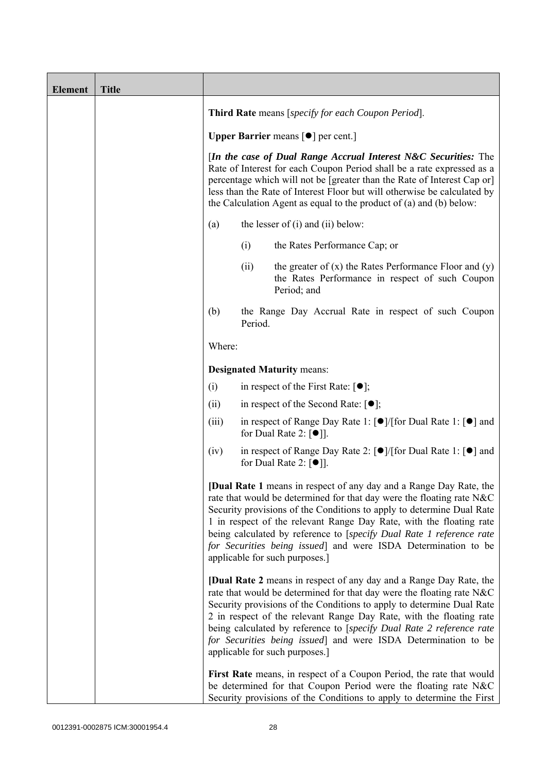| <b>Element</b> | <b>Title</b> |                                                                                                                                                                                                                                                                                                                                                                             |         |                                                                                                                                                                                                                                                                                                                                                                                                                                                                                |
|----------------|--------------|-----------------------------------------------------------------------------------------------------------------------------------------------------------------------------------------------------------------------------------------------------------------------------------------------------------------------------------------------------------------------------|---------|--------------------------------------------------------------------------------------------------------------------------------------------------------------------------------------------------------------------------------------------------------------------------------------------------------------------------------------------------------------------------------------------------------------------------------------------------------------------------------|
|                |              | Third Rate means [specify for each Coupon Period].                                                                                                                                                                                                                                                                                                                          |         |                                                                                                                                                                                                                                                                                                                                                                                                                                                                                |
|                |              | <b>Upper Barrier</b> means $\lceil \bullet \rceil$ per cent.]                                                                                                                                                                                                                                                                                                               |         |                                                                                                                                                                                                                                                                                                                                                                                                                                                                                |
|                |              | [In the case of Dual Range Accrual Interest N&C Securities: The<br>Rate of Interest for each Coupon Period shall be a rate expressed as a<br>percentage which will not be [greater than the Rate of Interest Cap or]<br>less than the Rate of Interest Floor but will otherwise be calculated by<br>the Calculation Agent as equal to the product of $(a)$ and $(b)$ below: |         |                                                                                                                                                                                                                                                                                                                                                                                                                                                                                |
|                |              | the lesser of $(i)$ and $(ii)$ below:<br>(a)                                                                                                                                                                                                                                                                                                                                |         |                                                                                                                                                                                                                                                                                                                                                                                                                                                                                |
|                |              |                                                                                                                                                                                                                                                                                                                                                                             | (i)     | the Rates Performance Cap; or                                                                                                                                                                                                                                                                                                                                                                                                                                                  |
|                |              |                                                                                                                                                                                                                                                                                                                                                                             | (ii)    | the greater of $(x)$ the Rates Performance Floor and $(y)$<br>the Rates Performance in respect of such Coupon<br>Period; and                                                                                                                                                                                                                                                                                                                                                   |
|                |              | (b)                                                                                                                                                                                                                                                                                                                                                                         | Period. | the Range Day Accrual Rate in respect of such Coupon                                                                                                                                                                                                                                                                                                                                                                                                                           |
|                |              | Where:                                                                                                                                                                                                                                                                                                                                                                      |         |                                                                                                                                                                                                                                                                                                                                                                                                                                                                                |
|                |              |                                                                                                                                                                                                                                                                                                                                                                             |         | <b>Designated Maturity means:</b>                                                                                                                                                                                                                                                                                                                                                                                                                                              |
|                |              | (i)                                                                                                                                                                                                                                                                                                                                                                         |         | in respect of the First Rate: $[•]$ ;                                                                                                                                                                                                                                                                                                                                                                                                                                          |
|                |              | (ii)                                                                                                                                                                                                                                                                                                                                                                        |         | in respect of the Second Rate: $[•]$ ;                                                                                                                                                                                                                                                                                                                                                                                                                                         |
|                |              | (iii)                                                                                                                                                                                                                                                                                                                                                                       |         | in respect of Range Day Rate 1: $\lceil \bullet \rceil / \lceil \text{for Dual Rate 1} \rceil \rceil$ and<br>for Dual Rate 2: $[①$ ].                                                                                                                                                                                                                                                                                                                                          |
|                |              | (iv)                                                                                                                                                                                                                                                                                                                                                                        |         | in respect of Range Day Rate 2: [●]/[for Dual Rate 1: [●] and<br>for Dual Rate 2: $\lceil \bullet \rceil$ .                                                                                                                                                                                                                                                                                                                                                                    |
|                |              |                                                                                                                                                                                                                                                                                                                                                                             |         | [Dual Rate 1 means in respect of any day and a Range Day Rate, the<br>rate that would be determined for that day were the floating rate N&C<br>Security provisions of the Conditions to apply to determine Dual Rate<br>1 in respect of the relevant Range Day Rate, with the floating rate<br>being calculated by reference to [specify Dual Rate 1 reference rate<br>for Securities being issued] and were ISDA Determination to be<br>applicable for such purposes.]        |
|                |              |                                                                                                                                                                                                                                                                                                                                                                             |         | <b>[Dual Rate 2</b> means in respect of any day and a Range Day Rate, the<br>rate that would be determined for that day were the floating rate N&C<br>Security provisions of the Conditions to apply to determine Dual Rate<br>2 in respect of the relevant Range Day Rate, with the floating rate<br>being calculated by reference to [specify Dual Rate 2 reference rate<br>for Securities being issued] and were ISDA Determination to be<br>applicable for such purposes.] |
|                |              |                                                                                                                                                                                                                                                                                                                                                                             |         | First Rate means, in respect of a Coupon Period, the rate that would<br>be determined for that Coupon Period were the floating rate N&C<br>Security provisions of the Conditions to apply to determine the First                                                                                                                                                                                                                                                               |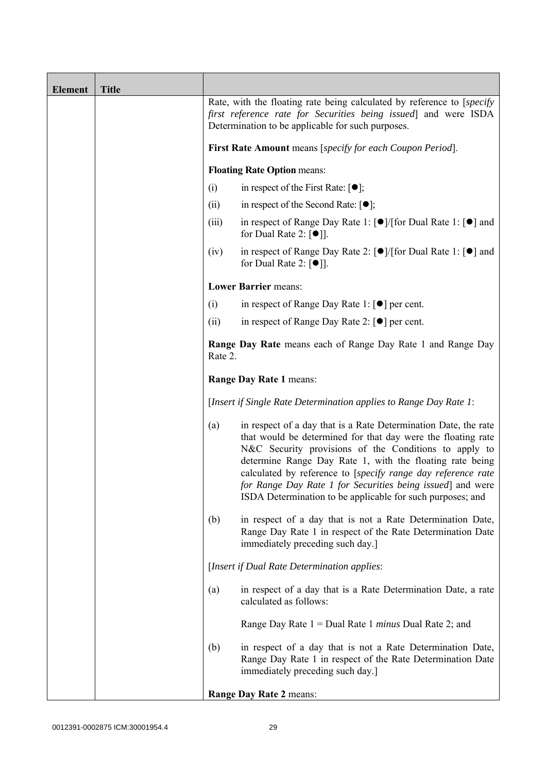| <b>Element</b> | <b>Title</b> |                                                                                                                                                                                                                                 |                                                                                                                                                                                                                                                                                                                                                                                                                                                  |
|----------------|--------------|---------------------------------------------------------------------------------------------------------------------------------------------------------------------------------------------------------------------------------|--------------------------------------------------------------------------------------------------------------------------------------------------------------------------------------------------------------------------------------------------------------------------------------------------------------------------------------------------------------------------------------------------------------------------------------------------|
|                |              | Rate, with the floating rate being calculated by reference to [specify]<br>first reference rate for Securities being issued and were ISDA<br>Determination to be applicable for such purposes.                                  |                                                                                                                                                                                                                                                                                                                                                                                                                                                  |
|                |              | First Rate Amount means [specify for each Coupon Period].                                                                                                                                                                       |                                                                                                                                                                                                                                                                                                                                                                                                                                                  |
|                |              |                                                                                                                                                                                                                                 | <b>Floating Rate Option means:</b>                                                                                                                                                                                                                                                                                                                                                                                                               |
|                |              | (i)                                                                                                                                                                                                                             | in respect of the First Rate: $[\bullet]$ ;                                                                                                                                                                                                                                                                                                                                                                                                      |
|                |              | (ii)                                                                                                                                                                                                                            | in respect of the Second Rate: $[•]$ ;                                                                                                                                                                                                                                                                                                                                                                                                           |
|                |              | (iii)                                                                                                                                                                                                                           | in respect of Range Day Rate 1: $\lceil \bullet \rceil / \lceil \text{for Dual Rate 1} \rceil \rceil$ and<br>for Dual Rate 2: [ <sup>●</sup> ]].                                                                                                                                                                                                                                                                                                 |
|                |              | (iv)                                                                                                                                                                                                                            | in respect of Range Day Rate 2: [●]/[for Dual Rate 1: [●] and<br>for Dual Rate 2: $\lceil \bullet \rceil$ .                                                                                                                                                                                                                                                                                                                                      |
|                |              |                                                                                                                                                                                                                                 | <b>Lower Barrier means:</b>                                                                                                                                                                                                                                                                                                                                                                                                                      |
|                |              | in respect of Range Day Rate 1: $\lceil \bullet \rceil$ per cent.<br>(i)<br>in respect of Range Day Rate 2: $\lceil \bullet \rceil$ per cent.<br>(ii)<br>Range Day Rate means each of Range Day Rate 1 and Range Day<br>Rate 2. |                                                                                                                                                                                                                                                                                                                                                                                                                                                  |
|                |              |                                                                                                                                                                                                                                 |                                                                                                                                                                                                                                                                                                                                                                                                                                                  |
|                |              |                                                                                                                                                                                                                                 |                                                                                                                                                                                                                                                                                                                                                                                                                                                  |
|                |              | Range Day Rate 1 means:                                                                                                                                                                                                         |                                                                                                                                                                                                                                                                                                                                                                                                                                                  |
|                |              | [Insert if Single Rate Determination applies to Range Day Rate 1:                                                                                                                                                               |                                                                                                                                                                                                                                                                                                                                                                                                                                                  |
|                |              | (a)                                                                                                                                                                                                                             | in respect of a day that is a Rate Determination Date, the rate<br>that would be determined for that day were the floating rate<br>N&C Security provisions of the Conditions to apply to<br>determine Range Day Rate 1, with the floating rate being<br>calculated by reference to [specify range day reference rate<br>for Range Day Rate 1 for Securities being issued] and were<br>ISDA Determination to be applicable for such purposes; and |
|                |              | (b)                                                                                                                                                                                                                             | in respect of a day that is not a Rate Determination Date,<br>Range Day Rate 1 in respect of the Rate Determination Date<br>immediately preceding such day.]                                                                                                                                                                                                                                                                                     |
|                |              |                                                                                                                                                                                                                                 | [Insert if Dual Rate Determination applies:                                                                                                                                                                                                                                                                                                                                                                                                      |
|                |              | (a)                                                                                                                                                                                                                             | in respect of a day that is a Rate Determination Date, a rate<br>calculated as follows:                                                                                                                                                                                                                                                                                                                                                          |
|                |              |                                                                                                                                                                                                                                 | Range Day Rate $1 =$ Dual Rate 1 <i>minus</i> Dual Rate 2; and                                                                                                                                                                                                                                                                                                                                                                                   |
|                |              | (b)                                                                                                                                                                                                                             | in respect of a day that is not a Rate Determination Date,<br>Range Day Rate 1 in respect of the Rate Determination Date<br>immediately preceding such day.]                                                                                                                                                                                                                                                                                     |
|                |              |                                                                                                                                                                                                                                 | Range Day Rate 2 means:                                                                                                                                                                                                                                                                                                                                                                                                                          |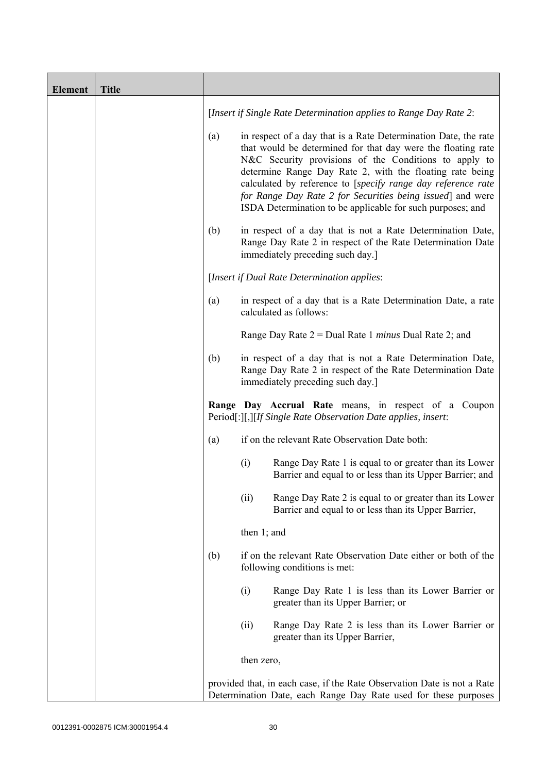| <b>Element</b> | <b>Title</b> |     |                                                                                                                                                                                                                                                                                                                                                                                                                                                  |
|----------------|--------------|-----|--------------------------------------------------------------------------------------------------------------------------------------------------------------------------------------------------------------------------------------------------------------------------------------------------------------------------------------------------------------------------------------------------------------------------------------------------|
|                |              |     | [Insert if Single Rate Determination applies to Range Day Rate 2:                                                                                                                                                                                                                                                                                                                                                                                |
|                |              | (a) | in respect of a day that is a Rate Determination Date, the rate<br>that would be determined for that day were the floating rate<br>N&C Security provisions of the Conditions to apply to<br>determine Range Day Rate 2, with the floating rate being<br>calculated by reference to [specify range day reference rate<br>for Range Day Rate 2 for Securities being issued] and were<br>ISDA Determination to be applicable for such purposes; and |
|                |              | (b) | in respect of a day that is not a Rate Determination Date,<br>Range Day Rate 2 in respect of the Rate Determination Date<br>immediately preceding such day.]                                                                                                                                                                                                                                                                                     |
|                |              |     | [Insert if Dual Rate Determination applies:                                                                                                                                                                                                                                                                                                                                                                                                      |
|                |              | (a) | in respect of a day that is a Rate Determination Date, a rate<br>calculated as follows:                                                                                                                                                                                                                                                                                                                                                          |
|                |              |     | Range Day Rate $2 =$ Dual Rate 1 <i>minus</i> Dual Rate 2; and                                                                                                                                                                                                                                                                                                                                                                                   |
|                |              | (b) | in respect of a day that is not a Rate Determination Date,<br>Range Day Rate 2 in respect of the Rate Determination Date<br>immediately preceding such day.]                                                                                                                                                                                                                                                                                     |
|                |              |     | Range Day Accrual Rate means, in respect of a Coupon<br>Period[:][,][If Single Rate Observation Date applies, insert:                                                                                                                                                                                                                                                                                                                            |
|                |              | (a) | if on the relevant Rate Observation Date both:                                                                                                                                                                                                                                                                                                                                                                                                   |
|                |              |     | (i)<br>Range Day Rate 1 is equal to or greater than its Lower<br>Barrier and equal to or less than its Upper Barrier; and                                                                                                                                                                                                                                                                                                                        |
|                |              |     | Range Day Rate 2 is equal to or greater than its Lower<br>(ii)<br>Barrier and equal to or less than its Upper Barrier,                                                                                                                                                                                                                                                                                                                           |
|                |              |     | then $1$ ; and                                                                                                                                                                                                                                                                                                                                                                                                                                   |
|                |              | (b) | if on the relevant Rate Observation Date either or both of the<br>following conditions is met:                                                                                                                                                                                                                                                                                                                                                   |
|                |              |     | (i)<br>Range Day Rate 1 is less than its Lower Barrier or<br>greater than its Upper Barrier; or                                                                                                                                                                                                                                                                                                                                                  |
|                |              |     | (ii)<br>Range Day Rate 2 is less than its Lower Barrier or<br>greater than its Upper Barrier,                                                                                                                                                                                                                                                                                                                                                    |
|                |              |     | then zero,                                                                                                                                                                                                                                                                                                                                                                                                                                       |
|                |              |     | provided that, in each case, if the Rate Observation Date is not a Rate<br>Determination Date, each Range Day Rate used for these purposes                                                                                                                                                                                                                                                                                                       |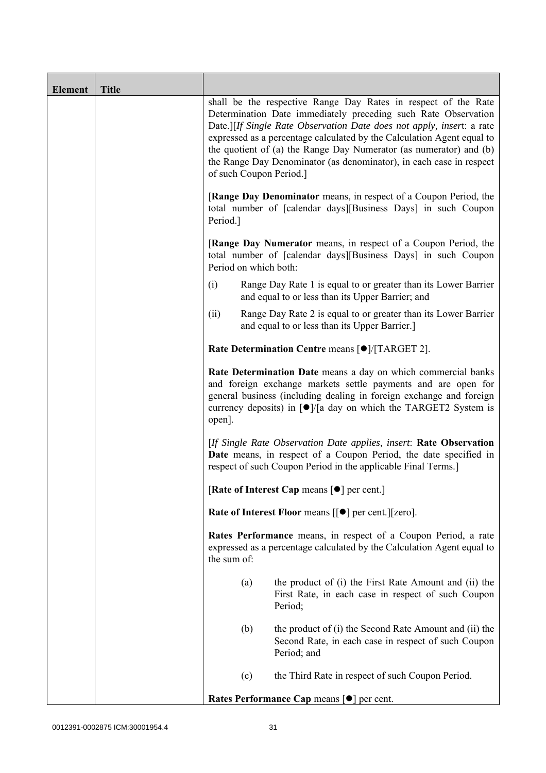| <b>Element</b> | <b>Title</b> |                                                                                                                                                                                                                                                                                                                  |                                                     |                                                                                                                                                                                                                                                                                                                                                                                                                                                             |  |
|----------------|--------------|------------------------------------------------------------------------------------------------------------------------------------------------------------------------------------------------------------------------------------------------------------------------------------------------------------------|-----------------------------------------------------|-------------------------------------------------------------------------------------------------------------------------------------------------------------------------------------------------------------------------------------------------------------------------------------------------------------------------------------------------------------------------------------------------------------------------------------------------------------|--|
|                |              |                                                                                                                                                                                                                                                                                                                  |                                                     | shall be the respective Range Day Rates in respect of the Rate<br>Determination Date immediately preceding such Rate Observation<br>Date.][If Single Rate Observation Date does not apply, insert: a rate<br>expressed as a percentage calculated by the Calculation Agent equal to<br>the quotient of (a) the Range Day Numerator (as numerator) and (b)<br>the Range Day Denominator (as denominator), in each case in respect<br>of such Coupon Period.] |  |
|                |              | [Range Day Denominator means, in respect of a Coupon Period, the<br>total number of [calendar days][Business Days] in such Coupon<br>Period.]<br><b>[Range Day Numerator</b> means, in respect of a Coupon Period, the<br>total number of [calendar days][Business Days] in such Coupon<br>Period on which both: |                                                     |                                                                                                                                                                                                                                                                                                                                                                                                                                                             |  |
|                |              |                                                                                                                                                                                                                                                                                                                  |                                                     |                                                                                                                                                                                                                                                                                                                                                                                                                                                             |  |
|                |              | (i)                                                                                                                                                                                                                                                                                                              |                                                     | Range Day Rate 1 is equal to or greater than its Lower Barrier<br>and equal to or less than its Upper Barrier; and                                                                                                                                                                                                                                                                                                                                          |  |
|                |              | (ii)                                                                                                                                                                                                                                                                                                             |                                                     | Range Day Rate 2 is equal to or greater than its Lower Barrier<br>and equal to or less than its Upper Barrier.]                                                                                                                                                                                                                                                                                                                                             |  |
|                |              | Rate Determination Centre means [ $\bullet$ ]/[TARGET 2].                                                                                                                                                                                                                                                        |                                                     |                                                                                                                                                                                                                                                                                                                                                                                                                                                             |  |
|                |              | open].                                                                                                                                                                                                                                                                                                           |                                                     | Rate Determination Date means a day on which commercial banks<br>and foreign exchange markets settle payments and are open for<br>general business (including dealing in foreign exchange and foreign<br>currency deposits) in $\lceil \bullet \rceil / \lceil a \rceil$ day on which the TARGET2 System is                                                                                                                                                 |  |
|                |              | [If Single Rate Observation Date applies, insert: Rate Observation<br>Date means, in respect of a Coupon Period, the date specified in<br>respect of such Coupon Period in the applicable Final Terms.]                                                                                                          |                                                     |                                                                                                                                                                                                                                                                                                                                                                                                                                                             |  |
|                |              |                                                                                                                                                                                                                                                                                                                  |                                                     | [Rate of Interest Cap means [ $\bullet$ ] per cent.]                                                                                                                                                                                                                                                                                                                                                                                                        |  |
|                |              |                                                                                                                                                                                                                                                                                                                  |                                                     | Rate of Interest Floor means [[ $\bullet$ ] per cent.][zero].                                                                                                                                                                                                                                                                                                                                                                                               |  |
|                |              | Rates Performance means, in respect of a Coupon Period, a rate<br>expressed as a percentage calculated by the Calculation Agent equal to<br>the sum of:                                                                                                                                                          |                                                     |                                                                                                                                                                                                                                                                                                                                                                                                                                                             |  |
|                |              |                                                                                                                                                                                                                                                                                                                  | (a)                                                 | the product of (i) the First Rate Amount and (ii) the<br>First Rate, in each case in respect of such Coupon<br>Period;                                                                                                                                                                                                                                                                                                                                      |  |
|                |              |                                                                                                                                                                                                                                                                                                                  | (b)                                                 | the product of (i) the Second Rate Amount and (ii) the<br>Second Rate, in each case in respect of such Coupon<br>Period; and                                                                                                                                                                                                                                                                                                                                |  |
|                |              |                                                                                                                                                                                                                                                                                                                  | (c)                                                 | the Third Rate in respect of such Coupon Period.                                                                                                                                                                                                                                                                                                                                                                                                            |  |
|                |              |                                                                                                                                                                                                                                                                                                                  | Rates Performance Cap means [ $\bullet$ ] per cent. |                                                                                                                                                                                                                                                                                                                                                                                                                                                             |  |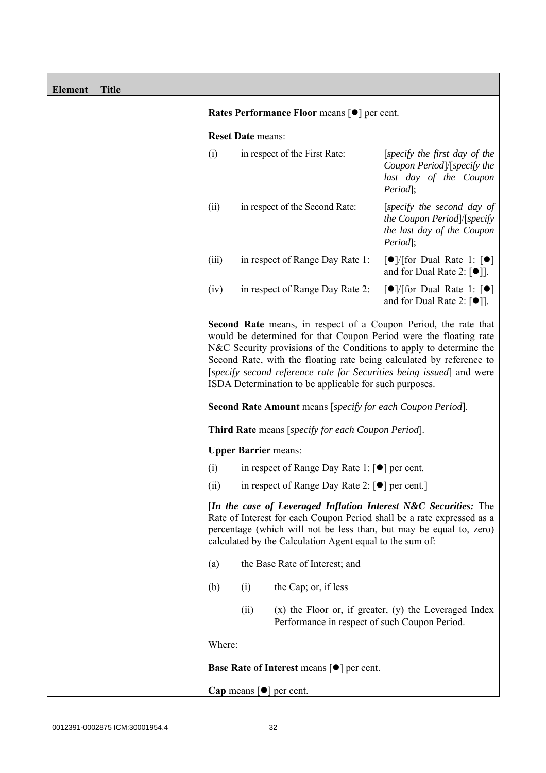| <b>Element</b> | <b>Title</b> |                                                                                                                                                                                                                                                                                                                                                                                                                              |                          |                                                                                 |                                                                                                         |
|----------------|--------------|------------------------------------------------------------------------------------------------------------------------------------------------------------------------------------------------------------------------------------------------------------------------------------------------------------------------------------------------------------------------------------------------------------------------------|--------------------------|---------------------------------------------------------------------------------|---------------------------------------------------------------------------------------------------------|
|                |              | Rates Performance Floor means [ $\bullet$ ] per cent.                                                                                                                                                                                                                                                                                                                                                                        |                          |                                                                                 |                                                                                                         |
|                |              |                                                                                                                                                                                                                                                                                                                                                                                                                              | <b>Reset Date means:</b> |                                                                                 |                                                                                                         |
|                |              | (i)                                                                                                                                                                                                                                                                                                                                                                                                                          |                          | in respect of the First Rate:                                                   | [specify the first day of the<br>Coupon Period /[specify the<br>last day of the Coupon<br>Period;       |
|                |              | (ii)                                                                                                                                                                                                                                                                                                                                                                                                                         |                          | in respect of the Second Rate:                                                  | [specify the second day of<br>the Coupon Period /[specify<br>the last day of the Coupon<br>Period;      |
|                |              | (iii)                                                                                                                                                                                                                                                                                                                                                                                                                        |                          | in respect of Range Day Rate 1:                                                 | $\lceil \bullet \rceil$ (for Dual Rate 1: $\lceil \bullet \rceil$<br>and for Dual Rate 2: $[\bullet]$ . |
|                |              | (iv)                                                                                                                                                                                                                                                                                                                                                                                                                         |                          | in respect of Range Day Rate 2:                                                 | $\lceil \bullet \rceil$ (for Dual Rate 1: $\lceil \bullet \rceil$<br>and for Dual Rate 2: $[•]$ ].      |
|                |              | <b>Second Rate</b> means, in respect of a Coupon Period, the rate that<br>would be determined for that Coupon Period were the floating rate<br>N&C Security provisions of the Conditions to apply to determine the<br>Second Rate, with the floating rate being calculated by reference to<br>[specify second reference rate for Securities being issued] and were<br>ISDA Determination to be applicable for such purposes. |                          |                                                                                 |                                                                                                         |
|                |              |                                                                                                                                                                                                                                                                                                                                                                                                                              |                          | <b>Second Rate Amount</b> means [specify for each Coupon Period].               |                                                                                                         |
|                |              |                                                                                                                                                                                                                                                                                                                                                                                                                              |                          | <b>Third Rate</b> means [specify for each Coupon Period].                       |                                                                                                         |
|                |              |                                                                                                                                                                                                                                                                                                                                                                                                                              |                          | <b>Upper Barrier means:</b>                                                     |                                                                                                         |
|                |              | (i)                                                                                                                                                                                                                                                                                                                                                                                                                          |                          | in respect of Range Day Rate 1: [●] per cent.                                   |                                                                                                         |
|                |              | (11)                                                                                                                                                                                                                                                                                                                                                                                                                         |                          | in respect of Range Day Rate 2: [●] per cent.]                                  |                                                                                                         |
|                |              | [In the case of Leveraged Inflation Interest N&C Securities: The<br>Rate of Interest for each Coupon Period shall be a rate expressed as a<br>percentage (which will not be less than, but may be equal to, zero)<br>calculated by the Calculation Agent equal to the sum of:                                                                                                                                                |                          |                                                                                 |                                                                                                         |
|                |              | (a)                                                                                                                                                                                                                                                                                                                                                                                                                          |                          | the Base Rate of Interest; and                                                  |                                                                                                         |
|                |              | (b)                                                                                                                                                                                                                                                                                                                                                                                                                          | (i)                      | the Cap; or, if less                                                            |                                                                                                         |
|                |              |                                                                                                                                                                                                                                                                                                                                                                                                                              | (ii)                     | Performance in respect of such Coupon Period.                                   | $(x)$ the Floor or, if greater, $(y)$ the Leveraged Index                                               |
|                |              | Where:                                                                                                                                                                                                                                                                                                                                                                                                                       |                          |                                                                                 |                                                                                                         |
|                |              |                                                                                                                                                                                                                                                                                                                                                                                                                              |                          | <b>Base Rate of Interest means <math>\lceil \bullet \rceil</math> per cent.</b> |                                                                                                         |
|                |              |                                                                                                                                                                                                                                                                                                                                                                                                                              |                          | Cap means $[\bullet]$ per cent.                                                 |                                                                                                         |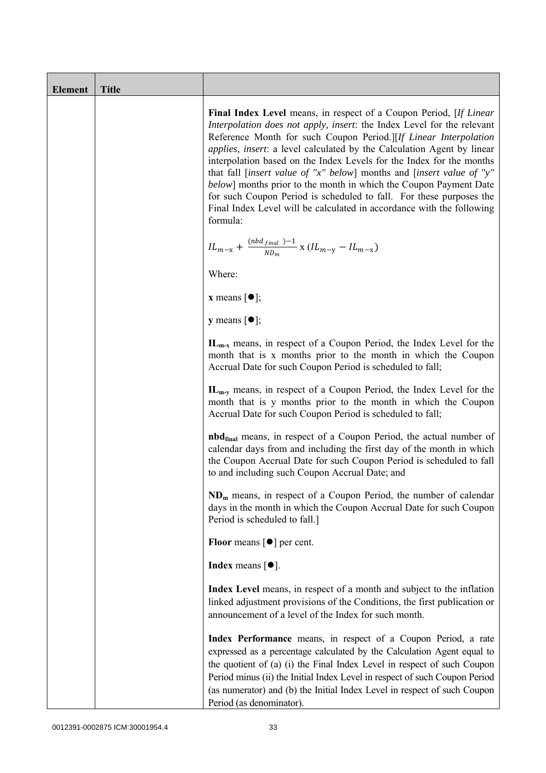| <b>Element</b> | <b>Title</b> |                                                                                                                                                                                                                                                                                                                                                                                                                                                                                                                                                                                                                                                                                     |
|----------------|--------------|-------------------------------------------------------------------------------------------------------------------------------------------------------------------------------------------------------------------------------------------------------------------------------------------------------------------------------------------------------------------------------------------------------------------------------------------------------------------------------------------------------------------------------------------------------------------------------------------------------------------------------------------------------------------------------------|
|                |              | Final Index Level means, in respect of a Coupon Period, [If Linear<br>Interpolation does not apply, insert: the Index Level for the relevant<br>Reference Month for such Coupon Period.][If Linear Interpolation<br><i>applies, insert: a level calculated by the Calculation Agent by linear</i><br>interpolation based on the Index Levels for the Index for the months<br>that fall [insert value of "x" below] months and [insert value of "y"<br>below] months prior to the month in which the Coupon Payment Date<br>for such Coupon Period is scheduled to fall. For these purposes the<br>Final Index Level will be calculated in accordance with the following<br>formula: |
|                |              | ${IL_{m-x}} + \frac{{\left( {nbd_{final} } \right) - 1}}{{N{D_m}}} \ge \left( {IL_{m-y}} - IL_{m-x} \right)$                                                                                                                                                                                                                                                                                                                                                                                                                                                                                                                                                                        |
|                |              | Where:                                                                                                                                                                                                                                                                                                                                                                                                                                                                                                                                                                                                                                                                              |
|                |              | <b>x</b> means $\lceil \bullet \rceil$ ;                                                                                                                                                                                                                                                                                                                                                                                                                                                                                                                                                                                                                                            |
|                |              | $y$ means $[\bullet]$ ;                                                                                                                                                                                                                                                                                                                                                                                                                                                                                                                                                                                                                                                             |
|                |              | $IL_{m-x}$ means, in respect of a Coupon Period, the Index Level for the<br>month that is x months prior to the month in which the Coupon<br>Accrual Date for such Coupon Period is scheduled to fall;                                                                                                                                                                                                                                                                                                                                                                                                                                                                              |
|                |              | $IL_{m-v}$ means, in respect of a Coupon Period, the Index Level for the<br>month that is y months prior to the month in which the Coupon<br>Accrual Date for such Coupon Period is scheduled to fall;                                                                                                                                                                                                                                                                                                                                                                                                                                                                              |
|                |              | <b>nbd</b> <sub>final</sub> means, in respect of a Coupon Period, the actual number of<br>calendar days from and including the first day of the month in which<br>the Coupon Accrual Date for such Coupon Period is scheduled to fall<br>to and including such Coupon Accrual Date; and                                                                                                                                                                                                                                                                                                                                                                                             |
|                |              | $NDm$ means, in respect of a Coupon Period, the number of calendar<br>days in the month in which the Coupon Accrual Date for such Coupon<br>Period is scheduled to fall.]                                                                                                                                                                                                                                                                                                                                                                                                                                                                                                           |
|                |              | <b>Floor</b> means $\lceil \bullet \rceil$ per cent.                                                                                                                                                                                                                                                                                                                                                                                                                                                                                                                                                                                                                                |
|                |              | <b>Index</b> means $\lceil \bullet \rceil$ .                                                                                                                                                                                                                                                                                                                                                                                                                                                                                                                                                                                                                                        |
|                |              | Index Level means, in respect of a month and subject to the inflation<br>linked adjustment provisions of the Conditions, the first publication or<br>announcement of a level of the Index for such month.                                                                                                                                                                                                                                                                                                                                                                                                                                                                           |
|                |              | Index Performance means, in respect of a Coupon Period, a rate<br>expressed as a percentage calculated by the Calculation Agent equal to<br>the quotient of (a) (i) the Final Index Level in respect of such Coupon<br>Period minus (ii) the Initial Index Level in respect of such Coupon Period<br>(as numerator) and (b) the Initial Index Level in respect of such Coupon<br>Period (as denominator).                                                                                                                                                                                                                                                                           |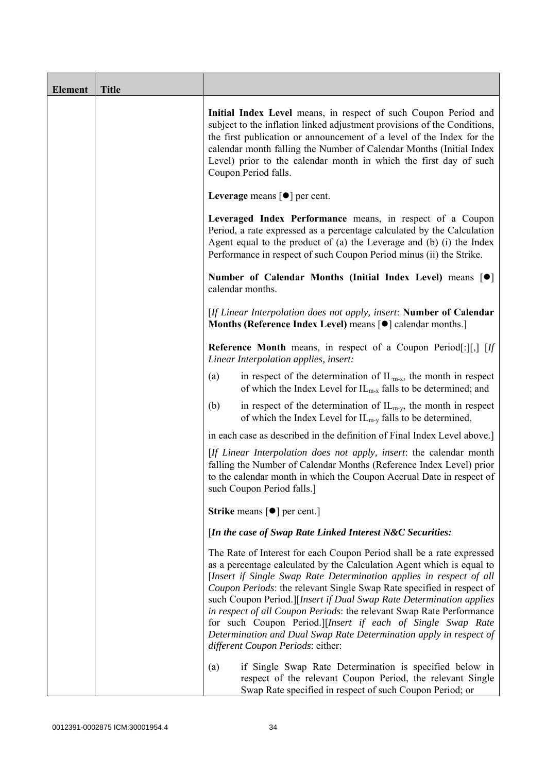| <b>Element</b> | <b>Title</b> |                                                                                                                                                                                                                                                                                                                                                                                                                                                                                                                                                                                                                         |
|----------------|--------------|-------------------------------------------------------------------------------------------------------------------------------------------------------------------------------------------------------------------------------------------------------------------------------------------------------------------------------------------------------------------------------------------------------------------------------------------------------------------------------------------------------------------------------------------------------------------------------------------------------------------------|
|                |              | Initial Index Level means, in respect of such Coupon Period and<br>subject to the inflation linked adjustment provisions of the Conditions,<br>the first publication or announcement of a level of the Index for the<br>calendar month falling the Number of Calendar Months (Initial Index<br>Level) prior to the calendar month in which the first day of such<br>Coupon Period falls.                                                                                                                                                                                                                                |
|                |              | Leverage means $\lceil \bullet \rceil$ per cent.                                                                                                                                                                                                                                                                                                                                                                                                                                                                                                                                                                        |
|                |              | Leveraged Index Performance means, in respect of a Coupon<br>Period, a rate expressed as a percentage calculated by the Calculation<br>Agent equal to the product of (a) the Leverage and (b) (i) the Index<br>Performance in respect of such Coupon Period minus (ii) the Strike.                                                                                                                                                                                                                                                                                                                                      |
|                |              | Number of Calendar Months (Initial Index Level) means [ $\bullet$ ]<br>calendar months.                                                                                                                                                                                                                                                                                                                                                                                                                                                                                                                                 |
|                |              | [If Linear Interpolation does not apply, insert: Number of Calendar<br>Months (Reference Index Level) means [ $\bullet$ ] calendar months.]                                                                                                                                                                                                                                                                                                                                                                                                                                                                             |
|                |              | <b>Reference Month</b> means, in respect of a Coupon Period[:][,] [If<br>Linear Interpolation applies, insert:                                                                                                                                                                                                                                                                                                                                                                                                                                                                                                          |
|                |              | in respect of the determination of $IL_{m-x}$ , the month in respect<br>(a)<br>of which the Index Level for $IL_{m-x}$ falls to be determined; and                                                                                                                                                                                                                                                                                                                                                                                                                                                                      |
|                |              | (b)<br>in respect of the determination of $IL_{m-y}$ , the month in respect<br>of which the Index Level for $IL_{m-v}$ falls to be determined,                                                                                                                                                                                                                                                                                                                                                                                                                                                                          |
|                |              | in each case as described in the definition of Final Index Level above.]                                                                                                                                                                                                                                                                                                                                                                                                                                                                                                                                                |
|                |              | [If Linear Interpolation does not apply, insert: the calendar month<br>falling the Number of Calendar Months (Reference Index Level) prior<br>to the calendar month in which the Coupon Accrual Date in respect of<br>such Coupon Period falls.]                                                                                                                                                                                                                                                                                                                                                                        |
|                |              | <b>Strike</b> means $\lceil \bullet \rceil$ per cent.]                                                                                                                                                                                                                                                                                                                                                                                                                                                                                                                                                                  |
|                |              | [In the case of Swap Rate Linked Interest N&C Securities:                                                                                                                                                                                                                                                                                                                                                                                                                                                                                                                                                               |
|                |              | The Rate of Interest for each Coupon Period shall be a rate expressed<br>as a percentage calculated by the Calculation Agent which is equal to<br>[Insert if Single Swap Rate Determination applies in respect of all<br>Coupon Periods: the relevant Single Swap Rate specified in respect of<br>such Coupon Period.][Insert if Dual Swap Rate Determination applies<br>in respect of all Coupon Periods: the relevant Swap Rate Performance<br>for such Coupon Period.][Insert if each of Single Swap Rate<br>Determination and Dual Swap Rate Determination apply in respect of<br>different Coupon Periods: either: |
|                |              | if Single Swap Rate Determination is specified below in<br>(a)<br>respect of the relevant Coupon Period, the relevant Single<br>Swap Rate specified in respect of such Coupon Period; or                                                                                                                                                                                                                                                                                                                                                                                                                                |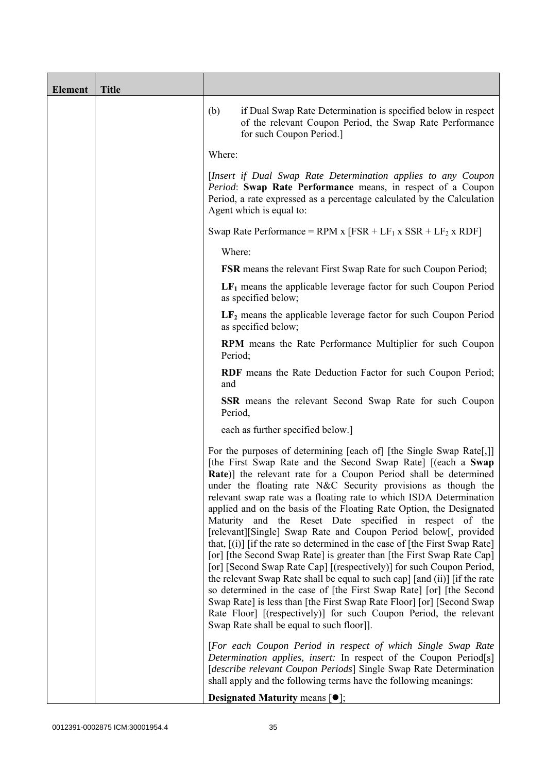| <b>Element</b> | <b>Title</b> |                                                                                                                                                                                                                                                                                                                                                                                                                                                                                                                                                                                                                                                                                                                                                                                                                                                                                                                                                                                                                                                                                                                                               |
|----------------|--------------|-----------------------------------------------------------------------------------------------------------------------------------------------------------------------------------------------------------------------------------------------------------------------------------------------------------------------------------------------------------------------------------------------------------------------------------------------------------------------------------------------------------------------------------------------------------------------------------------------------------------------------------------------------------------------------------------------------------------------------------------------------------------------------------------------------------------------------------------------------------------------------------------------------------------------------------------------------------------------------------------------------------------------------------------------------------------------------------------------------------------------------------------------|
|                |              | (b)<br>if Dual Swap Rate Determination is specified below in respect<br>of the relevant Coupon Period, the Swap Rate Performance<br>for such Coupon Period.]                                                                                                                                                                                                                                                                                                                                                                                                                                                                                                                                                                                                                                                                                                                                                                                                                                                                                                                                                                                  |
|                |              | Where:                                                                                                                                                                                                                                                                                                                                                                                                                                                                                                                                                                                                                                                                                                                                                                                                                                                                                                                                                                                                                                                                                                                                        |
|                |              | [Insert if Dual Swap Rate Determination applies to any Coupon<br>Period: Swap Rate Performance means, in respect of a Coupon<br>Period, a rate expressed as a percentage calculated by the Calculation<br>Agent which is equal to:                                                                                                                                                                                                                                                                                                                                                                                                                                                                                                                                                                                                                                                                                                                                                                                                                                                                                                            |
|                |              | Swap Rate Performance = RPM x $[FSR + LF_1 x SSR + LF_2 x RDF]$                                                                                                                                                                                                                                                                                                                                                                                                                                                                                                                                                                                                                                                                                                                                                                                                                                                                                                                                                                                                                                                                               |
|                |              | Where:                                                                                                                                                                                                                                                                                                                                                                                                                                                                                                                                                                                                                                                                                                                                                                                                                                                                                                                                                                                                                                                                                                                                        |
|                |              | <b>FSR</b> means the relevant First Swap Rate for such Coupon Period;                                                                                                                                                                                                                                                                                                                                                                                                                                                                                                                                                                                                                                                                                                                                                                                                                                                                                                                                                                                                                                                                         |
|                |              | $LF1$ means the applicable leverage factor for such Coupon Period<br>as specified below;                                                                                                                                                                                                                                                                                                                                                                                                                                                                                                                                                                                                                                                                                                                                                                                                                                                                                                                                                                                                                                                      |
|                |              | $LF2$ means the applicable leverage factor for such Coupon Period<br>as specified below;                                                                                                                                                                                                                                                                                                                                                                                                                                                                                                                                                                                                                                                                                                                                                                                                                                                                                                                                                                                                                                                      |
|                |              | <b>RPM</b> means the Rate Performance Multiplier for such Coupon<br>Period;                                                                                                                                                                                                                                                                                                                                                                                                                                                                                                                                                                                                                                                                                                                                                                                                                                                                                                                                                                                                                                                                   |
|                |              | RDF means the Rate Deduction Factor for such Coupon Period;<br>and                                                                                                                                                                                                                                                                                                                                                                                                                                                                                                                                                                                                                                                                                                                                                                                                                                                                                                                                                                                                                                                                            |
|                |              | <b>SSR</b> means the relevant Second Swap Rate for such Coupon<br>Period,                                                                                                                                                                                                                                                                                                                                                                                                                                                                                                                                                                                                                                                                                                                                                                                                                                                                                                                                                                                                                                                                     |
|                |              | each as further specified below.]                                                                                                                                                                                                                                                                                                                                                                                                                                                                                                                                                                                                                                                                                                                                                                                                                                                                                                                                                                                                                                                                                                             |
|                |              | For the purposes of determining [each of] [the Single Swap Rate[,]]<br>[the First Swap Rate and the Second Swap Rate] [(each a Swap<br><b>Rate</b> )] the relevant rate for a Coupon Period shall be determined<br>under the floating rate N&C Security provisions as though the<br>relevant swap rate was a floating rate to which ISDA Determination<br>applied and on the basis of the Floating Rate Option, the Designated<br>Maturity and the Reset Date specified in respect of the<br>[relevant][Single] Swap Rate and Coupon Period below[, provided<br>that, $[(i)]$ [if the rate so determined in the case of [the First Swap Rate]<br>[or] [the Second Swap Rate] is greater than [the First Swap Rate Cap]<br>[or] [Second Swap Rate Cap] [(respectively)] for such Coupon Period,<br>the relevant Swap Rate shall be equal to such cap] [and (ii)] [if the rate<br>so determined in the case of [the First Swap Rate] [or] [the Second<br>Swap Rate] is less than [the First Swap Rate Floor] [or] [Second Swap<br>Rate Floor] [(respectively)] for such Coupon Period, the relevant<br>Swap Rate shall be equal to such floor]. |
|                |              | [For each Coupon Period in respect of which Single Swap Rate<br>Determination applies, insert: In respect of the Coupon Period[s]<br>[describe relevant Coupon Periods] Single Swap Rate Determination<br>shall apply and the following terms have the following meanings:<br><b>Designated Maturity means <math>\lceil \bullet \rceil</math>;</b>                                                                                                                                                                                                                                                                                                                                                                                                                                                                                                                                                                                                                                                                                                                                                                                            |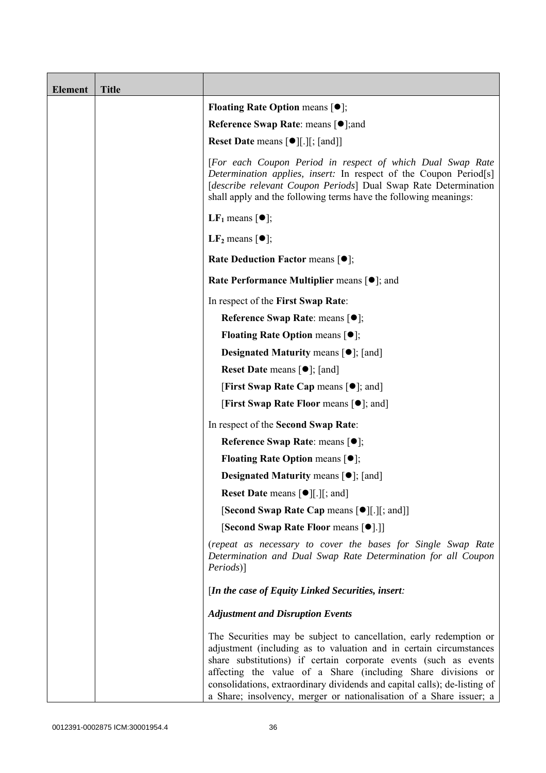| <b>Element</b> | <b>Title</b> |                                                                                                                                                                                                                                                                                                                                                                                                                                  |
|----------------|--------------|----------------------------------------------------------------------------------------------------------------------------------------------------------------------------------------------------------------------------------------------------------------------------------------------------------------------------------------------------------------------------------------------------------------------------------|
|                |              | <b>Floating Rate Option means <math>[•]</math>;</b>                                                                                                                                                                                                                                                                                                                                                                              |
|                |              | <b>Reference Swap Rate: means [●];and</b>                                                                                                                                                                                                                                                                                                                                                                                        |
|                |              | <b>Reset Date means [●][.][; [and]]</b>                                                                                                                                                                                                                                                                                                                                                                                          |
|                |              | [For each Coupon Period in respect of which Dual Swap Rate<br>Determination applies, insert: In respect of the Coupon Period <sup>[s]</sup><br>[describe relevant Coupon Periods] Dual Swap Rate Determination<br>shall apply and the following terms have the following meanings:                                                                                                                                               |
|                |              | <b>LF</b> <sub>1</sub> means $\lceil \bullet \rceil$ ;                                                                                                                                                                                                                                                                                                                                                                           |
|                |              | LF <sub>2</sub> means $\lceil \bullet \rceil$ ;                                                                                                                                                                                                                                                                                                                                                                                  |
|                |              | <b>Rate Deduction Factor means <math>[①]</math>;</b>                                                                                                                                                                                                                                                                                                                                                                             |
|                |              | Rate Performance Multiplier means $[•]$ ; and                                                                                                                                                                                                                                                                                                                                                                                    |
|                |              | In respect of the First Swap Rate:                                                                                                                                                                                                                                                                                                                                                                                               |
|                |              | Reference Swap Rate: means [ $\bullet$ ];                                                                                                                                                                                                                                                                                                                                                                                        |
|                |              | <b>Floating Rate Option means <math>[•]</math>;</b>                                                                                                                                                                                                                                                                                                                                                                              |
|                |              | <b>Designated Maturity means <math>\lceil \bullet \rceil</math>; [and]</b>                                                                                                                                                                                                                                                                                                                                                       |
|                |              | <b>Reset Date means <math>[\bullet]</math>; [and]</b>                                                                                                                                                                                                                                                                                                                                                                            |
|                |              | <b>[First Swap Rate Cap means [<math>\bullet</math>]; and</b> ]                                                                                                                                                                                                                                                                                                                                                                  |
|                |              | <b>[First Swap Rate Floor means [<math>\bullet</math>]; and]</b>                                                                                                                                                                                                                                                                                                                                                                 |
|                |              | In respect of the Second Swap Rate:                                                                                                                                                                                                                                                                                                                                                                                              |
|                |              | Reference Swap Rate: means [●];                                                                                                                                                                                                                                                                                                                                                                                                  |
|                |              | <b>Floating Rate Option means <math>[①]</math>;</b>                                                                                                                                                                                                                                                                                                                                                                              |
|                |              | <b>Designated Maturity means <math>\lceil \bullet \rceil</math>; [and]</b>                                                                                                                                                                                                                                                                                                                                                       |
|                |              | <b>Reset Date means <math>[\bullet]</math>[.][; and]</b>                                                                                                                                                                                                                                                                                                                                                                         |
|                |              | [Second Swap Rate Cap means [ $\bullet$ ][.][; and]]                                                                                                                                                                                                                                                                                                                                                                             |
|                |              | [Second Swap Rate Floor means [●].]]                                                                                                                                                                                                                                                                                                                                                                                             |
|                |              | (repeat as necessary to cover the bases for Single Swap Rate<br>Determination and Dual Swap Rate Determination for all Coupon<br>Periods)]                                                                                                                                                                                                                                                                                       |
|                |              | [In the case of Equity Linked Securities, insert:                                                                                                                                                                                                                                                                                                                                                                                |
|                |              | <b>Adjustment and Disruption Events</b>                                                                                                                                                                                                                                                                                                                                                                                          |
|                |              | The Securities may be subject to cancellation, early redemption or<br>adjustment (including as to valuation and in certain circumstances<br>share substitutions) if certain corporate events (such as events<br>affecting the value of a Share (including Share divisions or<br>consolidations, extraordinary dividends and capital calls); de-listing of<br>a Share; insolvency, merger or nationalisation of a Share issuer; a |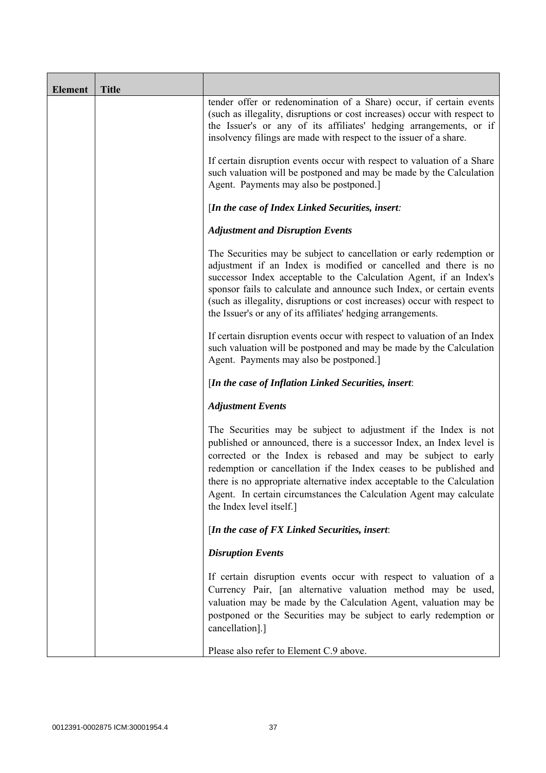| Element | <b>Title</b> |                                                                                                                                                                                                                                                                                                                                                                                                                                                               |  |  |  |
|---------|--------------|---------------------------------------------------------------------------------------------------------------------------------------------------------------------------------------------------------------------------------------------------------------------------------------------------------------------------------------------------------------------------------------------------------------------------------------------------------------|--|--|--|
|         |              | tender offer or redenomination of a Share) occur, if certain events<br>(such as illegality, disruptions or cost increases) occur with respect to<br>the Issuer's or any of its affiliates' hedging arrangements, or if<br>insolvency filings are made with respect to the issuer of a share.                                                                                                                                                                  |  |  |  |
|         |              | If certain disruption events occur with respect to valuation of a Share<br>such valuation will be postponed and may be made by the Calculation<br>Agent. Payments may also be postponed.]                                                                                                                                                                                                                                                                     |  |  |  |
|         |              | [In the case of Index Linked Securities, insert:                                                                                                                                                                                                                                                                                                                                                                                                              |  |  |  |
|         |              | <b>Adjustment and Disruption Events</b>                                                                                                                                                                                                                                                                                                                                                                                                                       |  |  |  |
|         |              | The Securities may be subject to cancellation or early redemption or<br>adjustment if an Index is modified or cancelled and there is no<br>successor Index acceptable to the Calculation Agent, if an Index's<br>sponsor fails to calculate and announce such Index, or certain events<br>(such as illegality, disruptions or cost increases) occur with respect to<br>the Issuer's or any of its affiliates' hedging arrangements.                           |  |  |  |
|         |              | If certain disruption events occur with respect to valuation of an Index<br>such valuation will be postponed and may be made by the Calculation<br>Agent. Payments may also be postponed.]                                                                                                                                                                                                                                                                    |  |  |  |
|         |              | [In the case of Inflation Linked Securities, insert:                                                                                                                                                                                                                                                                                                                                                                                                          |  |  |  |
|         |              | <b>Adjustment Events</b>                                                                                                                                                                                                                                                                                                                                                                                                                                      |  |  |  |
|         |              | The Securities may be subject to adjustment if the Index is not<br>published or announced, there is a successor Index, an Index level is<br>corrected or the Index is rebased and may be subject to early<br>redemption or cancellation if the Index ceases to be published and<br>there is no appropriate alternative index acceptable to the Calculation<br>Agent. In certain circumstances the Calculation Agent may calculate<br>the Index level itself.] |  |  |  |
|         |              | [In the case of $FX$ Linked Securities, insert:                                                                                                                                                                                                                                                                                                                                                                                                               |  |  |  |
|         |              | <b>Disruption Events</b>                                                                                                                                                                                                                                                                                                                                                                                                                                      |  |  |  |
|         |              | If certain disruption events occur with respect to valuation of a<br>Currency Pair, [an alternative valuation method may be used,<br>valuation may be made by the Calculation Agent, valuation may be<br>postponed or the Securities may be subject to early redemption or<br>cancellation].]                                                                                                                                                                 |  |  |  |
|         |              | Please also refer to Element C.9 above.                                                                                                                                                                                                                                                                                                                                                                                                                       |  |  |  |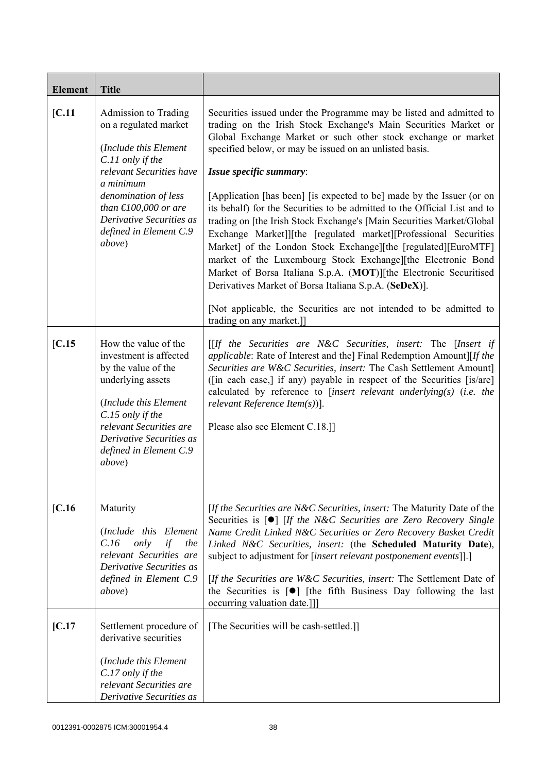| <b>Element</b> | <b>Title</b>                                                                                                                                                                                                                                                             |                                                                                                                                                                                                                                                                                                                                                                                                                                                                                                                                                                                                                                                                                                                                                                                                                                                                                                                                                                     |
|----------------|--------------------------------------------------------------------------------------------------------------------------------------------------------------------------------------------------------------------------------------------------------------------------|---------------------------------------------------------------------------------------------------------------------------------------------------------------------------------------------------------------------------------------------------------------------------------------------------------------------------------------------------------------------------------------------------------------------------------------------------------------------------------------------------------------------------------------------------------------------------------------------------------------------------------------------------------------------------------------------------------------------------------------------------------------------------------------------------------------------------------------------------------------------------------------------------------------------------------------------------------------------|
| [C.11]         | Admission to Trading<br>on a regulated market<br>(Include this Element<br>C.11 only if the<br>relevant Securities have<br>a minimum<br>denomination of less<br>than $\text{\textsterling}100,000$ or are<br>Derivative Securities as<br>defined in Element C.9<br>above) | Securities issued under the Programme may be listed and admitted to<br>trading on the Irish Stock Exchange's Main Securities Market or<br>Global Exchange Market or such other stock exchange or market<br>specified below, or may be issued on an unlisted basis.<br>Issue specific summary:<br>[Application [has been] [is expected to be] made by the Issuer (or on<br>its behalf) for the Securities to be admitted to the Official List and to<br>trading on [the Irish Stock Exchange's [Main Securities Market/Global]<br>Exchange Market]][the [regulated market][Professional Securities<br>Market] of the London Stock Exchange][the [regulated][EuroMTF]<br>market of the Luxembourg Stock Exchange][the Electronic Bond<br>Market of Borsa Italiana S.p.A. (MOT)][the Electronic Securitised<br>Derivatives Market of Borsa Italiana S.p.A. (SeDeX)].<br>[Not applicable, the Securities are not intended to be admitted to<br>trading on any market.]] |
| [C.15]         | How the value of the<br>investment is affected<br>by the value of the<br>underlying assets<br>(Include this Element<br>C.15 only if the<br>relevant Securities are<br>Derivative Securities as<br>defined in Element C.9<br>above)                                       | $[If the Securities are N&C Securities, insert: The [Insert if]$<br><i>applicable:</i> Rate of Interest and the] Final Redemption Amount][If the<br>Securities are W&C Securities, insert: The Cash Settlement Amount]<br>([in each case,] if any) payable in respect of the Securities [is/are]<br>calculated by reference to [insert relevant underlying(s) (i.e. the<br>relevant Reference Item $(s)$ ].<br>Please also see Element C.18.]                                                                                                                                                                                                                                                                                                                                                                                                                                                                                                                       |
| [C.16]         | Maturity<br>(Include this Element<br>only<br>if<br>C.16<br>the<br>relevant Securities are<br>Derivative Securities as<br>defined in Element C.9<br><i>above</i> )                                                                                                        | [If the Securities are N&C Securities, insert: The Maturity Date of the<br>Securities is [ <sup>o</sup> ] [If the N&C Securities are Zero Recovery Single<br>Name Credit Linked N&C Securities or Zero Recovery Basket Credit<br>Linked N&C Securities, insert: (the Scheduled Maturity Date),<br>subject to adjustment for [insert relevant postponement events]].]<br>[If the Securities are W&C Securities, insert: The Settlement Date of<br>the Securities is $\lceil \bullet \rceil$ [the fifth Business Day following the last<br>occurring valuation date.]]]                                                                                                                                                                                                                                                                                                                                                                                               |
| [C.17]         | Settlement procedure of<br>derivative securities<br>(Include this Element<br>C.17 only if the<br>relevant Securities are<br>Derivative Securities as                                                                                                                     | [The Securities will be cash-settled.]]                                                                                                                                                                                                                                                                                                                                                                                                                                                                                                                                                                                                                                                                                                                                                                                                                                                                                                                             |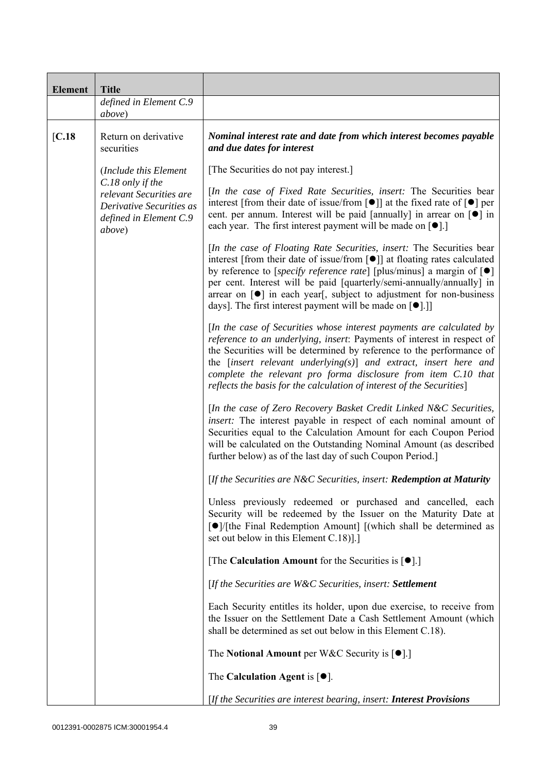| <b>Element</b> | <b>Title</b>                                                                                      |                                                                                                                                                                                                                                                                                                                                                                                                                                                                                           |
|----------------|---------------------------------------------------------------------------------------------------|-------------------------------------------------------------------------------------------------------------------------------------------------------------------------------------------------------------------------------------------------------------------------------------------------------------------------------------------------------------------------------------------------------------------------------------------------------------------------------------------|
|                | defined in Element C.9<br>above)                                                                  |                                                                                                                                                                                                                                                                                                                                                                                                                                                                                           |
| [C.18]         | Return on derivative<br>securities                                                                | Nominal interest rate and date from which interest becomes payable<br>and due dates for interest                                                                                                                                                                                                                                                                                                                                                                                          |
|                | (Include this Element                                                                             | [The Securities do not pay interest.]                                                                                                                                                                                                                                                                                                                                                                                                                                                     |
| above)         | C.18 only if the<br>relevant Securities are<br>Derivative Securities as<br>defined in Element C.9 | [In the case of Fixed Rate Securities, insert: The Securities bear<br>interest [from their date of issue/from [ $\bullet$ ]] at the fixed rate of $\lceil \bullet \rceil$ per<br>cent. per annum. Interest will be paid [annually] in arrear on [ $\bullet$ ] in<br>each year. The first interest payment will be made on $[\bullet]$ .]                                                                                                                                                  |
|                |                                                                                                   | [In the case of Floating Rate Securities, insert: The Securities bear<br>interest [from their date of issue/from [ $\bullet$ ]] at floating rates calculated<br>by reference to [specify reference rate] [plus/minus] a margin of $[\bullet]$<br>per cent. Interest will be paid [quarterly/semi-annually/annually] in<br>arrear on $\lceil \bullet \rceil$ in each year, subject to adjustment for non-business<br>days]. The first interest payment will be made on [ <sup>•</sup> ].]] |
|                |                                                                                                   | [In the case of Securities whose interest payments are calculated by<br>reference to an underlying, insert: Payments of interest in respect of<br>the Securities will be determined by reference to the performance of<br>the $[insert$ relevant underlying $(s)$ ] and extract, insert here and<br>complete the relevant pro forma disclosure from item C.10 that<br>reflects the basis for the calculation of interest of the Securities]                                               |
|                |                                                                                                   | [In the case of Zero Recovery Basket Credit Linked N&C Securities,<br>insert: The interest payable in respect of each nominal amount of<br>Securities equal to the Calculation Amount for each Coupon Period<br>will be calculated on the Outstanding Nominal Amount (as described<br>further below) as of the last day of such Coupon Period.                                                                                                                                            |
|                |                                                                                                   | [If the Securities are N&C Securities, insert: Redemption at Maturity                                                                                                                                                                                                                                                                                                                                                                                                                     |
|                |                                                                                                   | Unless previously redeemed or purchased and cancelled, each<br>Security will be redeemed by the Issuer on the Maturity Date at<br>[●]/[the Final Redemption Amount] [(which shall be determined as<br>set out below in this Element C.18).]                                                                                                                                                                                                                                               |
|                |                                                                                                   | [The Calculation Amount for the Securities is $[•]$ .]                                                                                                                                                                                                                                                                                                                                                                                                                                    |
|                |                                                                                                   | [If the Securities are W&C Securities, insert: Settlement                                                                                                                                                                                                                                                                                                                                                                                                                                 |
|                |                                                                                                   | Each Security entitles its holder, upon due exercise, to receive from<br>the Issuer on the Settlement Date a Cash Settlement Amount (which<br>shall be determined as set out below in this Element C.18).                                                                                                                                                                                                                                                                                 |
|                |                                                                                                   | The Notional Amount per W&C Security is $[•]$ .                                                                                                                                                                                                                                                                                                                                                                                                                                           |
|                |                                                                                                   | The Calculation Agent is $[•]$ .                                                                                                                                                                                                                                                                                                                                                                                                                                                          |
|                |                                                                                                   | [If the Securities are interest bearing, insert: <b>Interest Provisions</b>                                                                                                                                                                                                                                                                                                                                                                                                               |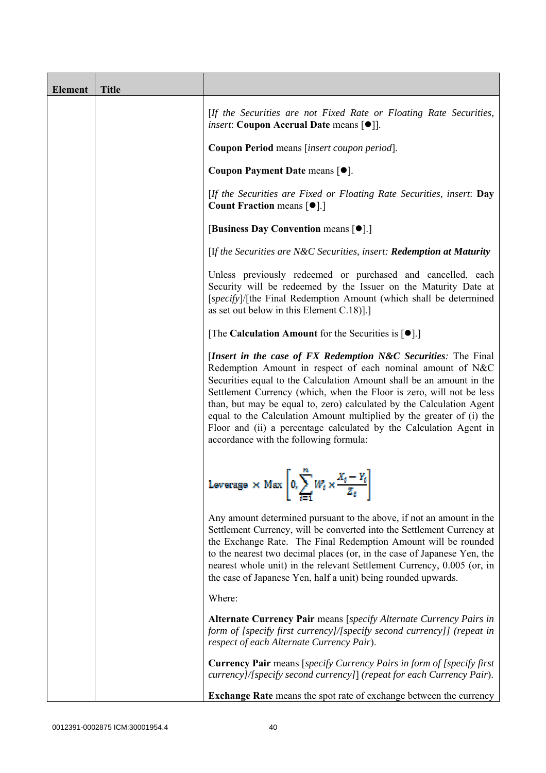| <b>Element</b> | <b>Title</b> |                                                                                                                                                                                                                                                                                                                                                                                                                                                                                                                                              |
|----------------|--------------|----------------------------------------------------------------------------------------------------------------------------------------------------------------------------------------------------------------------------------------------------------------------------------------------------------------------------------------------------------------------------------------------------------------------------------------------------------------------------------------------------------------------------------------------|
|                |              | [If the Securities are not Fixed Rate or Floating Rate Securities,<br><i>insert</i> : Coupon Accrual Date means [ $\bullet$ ].                                                                                                                                                                                                                                                                                                                                                                                                               |
|                |              | Coupon Period means [insert coupon period].                                                                                                                                                                                                                                                                                                                                                                                                                                                                                                  |
|                |              | Coupon Payment Date means [ $\bullet$ ].                                                                                                                                                                                                                                                                                                                                                                                                                                                                                                     |
|                |              | [If the Securities are Fixed or Floating Rate Securities, insert: Day<br><b>Count Fraction means <math>\lceil \bullet \rceil</math>.</b>                                                                                                                                                                                                                                                                                                                                                                                                     |
|                |              | [Business Day Convention means [ $\bullet$ ].]                                                                                                                                                                                                                                                                                                                                                                                                                                                                                               |
|                |              | [If the Securities are N&C Securities, insert: Redemption at Maturity                                                                                                                                                                                                                                                                                                                                                                                                                                                                        |
|                |              | Unless previously redeemed or purchased and cancelled, each<br>Security will be redeemed by the Issuer on the Maturity Date at<br>[specify]/[the Final Redemption Amount (which shall be determined<br>as set out below in this Element $C.18$ ].]                                                                                                                                                                                                                                                                                           |
|                |              | [The Calculation Amount for the Securities is $[•]$ .]                                                                                                                                                                                                                                                                                                                                                                                                                                                                                       |
|                |              | [Insert in the case of FX Redemption N&C Securities: The Final<br>Redemption Amount in respect of each nominal amount of N&C<br>Securities equal to the Calculation Amount shall be an amount in the<br>Settlement Currency (which, when the Floor is zero, will not be less<br>than, but may be equal to, zero) calculated by the Calculation Agent<br>equal to the Calculation Amount multiplied by the greater of (i) the<br>Floor and (ii) a percentage calculated by the Calculation Agent in<br>accordance with the following formula: |
|                |              | Leverage $\times$ Max $\left[0, \sum_{i=1}^{n} W_i \times \frac{X_i - Y_i}{Z_i}\right]$                                                                                                                                                                                                                                                                                                                                                                                                                                                      |
|                |              | Any amount determined pursuant to the above, if not an amount in the<br>Settlement Currency, will be converted into the Settlement Currency at<br>the Exchange Rate. The Final Redemption Amount will be rounded<br>to the nearest two decimal places (or, in the case of Japanese Yen, the<br>nearest whole unit) in the relevant Settlement Currency, 0.005 (or, in<br>the case of Japanese Yen, half a unit) being rounded upwards.                                                                                                       |
|                |              | Where:                                                                                                                                                                                                                                                                                                                                                                                                                                                                                                                                       |
|                |              | Alternate Currency Pair means [specify Alternate Currency Pairs in<br>form of [specify first currency]/[specify second currency]] (repeat in<br>respect of each Alternate Currency Pair).                                                                                                                                                                                                                                                                                                                                                    |
|                |              | <b>Currency Pair</b> means [specify Currency Pairs in form of [specify first]<br>currency]/[specify second currency]] (repeat for each Currency Pair).                                                                                                                                                                                                                                                                                                                                                                                       |
|                |              | <b>Exchange Rate</b> means the spot rate of exchange between the currency                                                                                                                                                                                                                                                                                                                                                                                                                                                                    |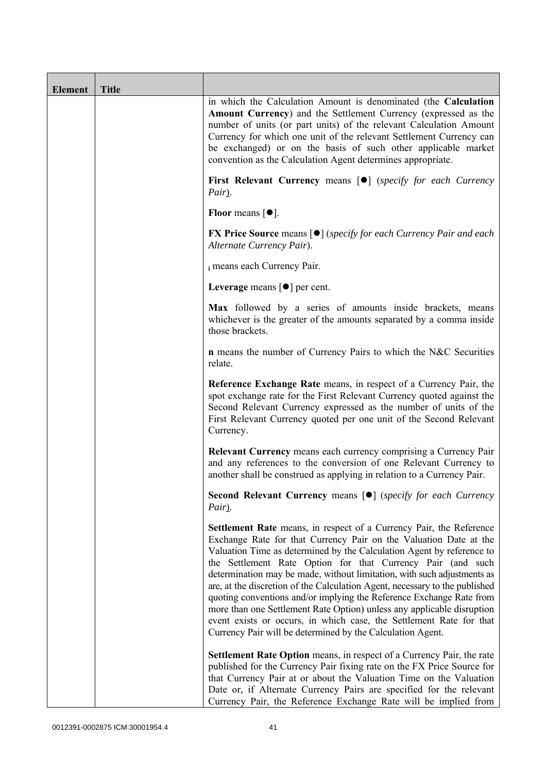| <b>Element</b> | <b>Title</b> |                                                                                                                                                                                                                                                                                                                                                                                                                                                                                                                                                                                                                                                                                                                                   |
|----------------|--------------|-----------------------------------------------------------------------------------------------------------------------------------------------------------------------------------------------------------------------------------------------------------------------------------------------------------------------------------------------------------------------------------------------------------------------------------------------------------------------------------------------------------------------------------------------------------------------------------------------------------------------------------------------------------------------------------------------------------------------------------|
|                |              | in which the Calculation Amount is denominated (the Calculation<br>Amount Currency) and the Settlement Currency (expressed as the<br>number of units (or part units) of the relevant Calculation Amount<br>Currency for which one unit of the relevant Settlement Currency can<br>be exchanged) or on the basis of such other applicable market<br>convention as the Calculation Agent determines appropriate.                                                                                                                                                                                                                                                                                                                    |
|                |              | First Relevant Currency means [ $\bullet$ ] (specify for each Currency<br>Pair).                                                                                                                                                                                                                                                                                                                                                                                                                                                                                                                                                                                                                                                  |
|                |              | Floor means $[•]$ .                                                                                                                                                                                                                                                                                                                                                                                                                                                                                                                                                                                                                                                                                                               |
|                |              | <b>FX Price Source</b> means $[\bullet]$ (specify for each Currency Pair and each<br>Alternate Currency Pair).                                                                                                                                                                                                                                                                                                                                                                                                                                                                                                                                                                                                                    |
|                |              | i means each Currency Pair.                                                                                                                                                                                                                                                                                                                                                                                                                                                                                                                                                                                                                                                                                                       |
|                |              | Leverage means $\lceil \bullet \rceil$ per cent.                                                                                                                                                                                                                                                                                                                                                                                                                                                                                                                                                                                                                                                                                  |
|                |              | Max followed by a series of amounts inside brackets, means<br>whichever is the greater of the amounts separated by a comma inside<br>those brackets.                                                                                                                                                                                                                                                                                                                                                                                                                                                                                                                                                                              |
|                |              | <b>n</b> means the number of Currency Pairs to which the N&C Securities<br>relate.                                                                                                                                                                                                                                                                                                                                                                                                                                                                                                                                                                                                                                                |
|                |              | Reference Exchange Rate means, in respect of a Currency Pair, the<br>spot exchange rate for the First Relevant Currency quoted against the<br>Second Relevant Currency expressed as the number of units of the<br>First Relevant Currency quoted per one unit of the Second Relevant<br>Currency.                                                                                                                                                                                                                                                                                                                                                                                                                                 |
|                |              | <b>Relevant Currency</b> means each currency comprising a Currency Pair<br>and any references to the conversion of one Relevant Currency to<br>another shall be construed as applying in relation to a Currency Pair.                                                                                                                                                                                                                                                                                                                                                                                                                                                                                                             |
|                |              | <b>Second Relevant Currency means [O]</b> (specify for each Currency<br>Pair).                                                                                                                                                                                                                                                                                                                                                                                                                                                                                                                                                                                                                                                    |
|                |              | Settlement Rate means, in respect of a Currency Pair, the Reference<br>Exchange Rate for that Currency Pair on the Valuation Date at the<br>Valuation Time as determined by the Calculation Agent by reference to<br>the Settlement Rate Option for that Currency Pair (and such<br>determination may be made, without limitation, with such adjustments as<br>are, at the discretion of the Calculation Agent, necessary to the published<br>quoting conventions and/or implying the Reference Exchange Rate from<br>more than one Settlement Rate Option) unless any applicable disruption<br>event exists or occurs, in which case, the Settlement Rate for that<br>Currency Pair will be determined by the Calculation Agent. |
|                |              | <b>Settlement Rate Option</b> means, in respect of a Currency Pair, the rate<br>published for the Currency Pair fixing rate on the FX Price Source for<br>that Currency Pair at or about the Valuation Time on the Valuation<br>Date or, if Alternate Currency Pairs are specified for the relevant<br>Currency Pair, the Reference Exchange Rate will be implied from                                                                                                                                                                                                                                                                                                                                                            |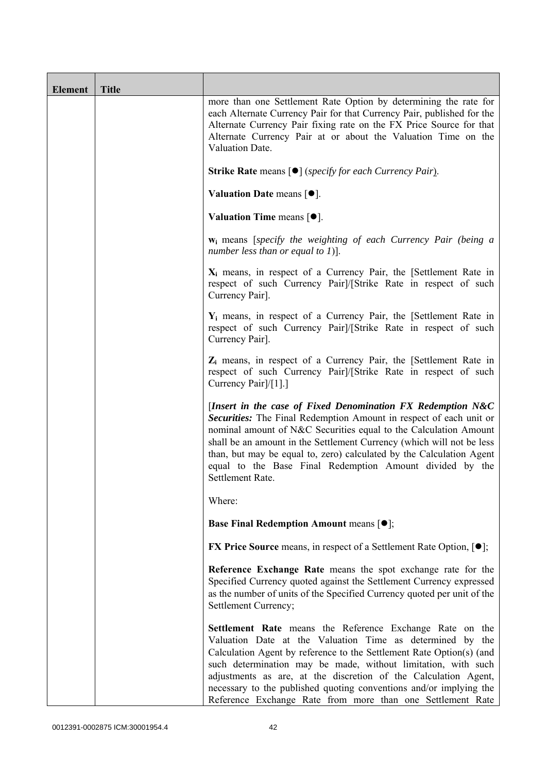| <b>Element</b> | <b>Title</b> |                                                                                                                                                                                                                                                                                                                                                                                                                                                                       |
|----------------|--------------|-----------------------------------------------------------------------------------------------------------------------------------------------------------------------------------------------------------------------------------------------------------------------------------------------------------------------------------------------------------------------------------------------------------------------------------------------------------------------|
|                |              | more than one Settlement Rate Option by determining the rate for<br>each Alternate Currency Pair for that Currency Pair, published for the<br>Alternate Currency Pair fixing rate on the FX Price Source for that<br>Alternate Currency Pair at or about the Valuation Time on the<br>Valuation Date.                                                                                                                                                                 |
|                |              | <b>Strike Rate</b> means $\lceil \bullet \rceil$ ( <i>specify for each Currency Pair</i> ).                                                                                                                                                                                                                                                                                                                                                                           |
|                |              | Valuation Date means $[•]$ .                                                                                                                                                                                                                                                                                                                                                                                                                                          |
|                |              | Valuation Time means $[•]$ .                                                                                                                                                                                                                                                                                                                                                                                                                                          |
|                |              | <b>w</b> <sub>i</sub> means [specify the weighting of each Currency Pair (being a<br>number less than or equal to 1)].                                                                                                                                                                                                                                                                                                                                                |
|                |              | $X_i$ means, in respect of a Currency Pair, the [Settlement Rate in<br>respect of such Currency Pairl/[Strike Rate in respect of such<br>Currency Pair].                                                                                                                                                                                                                                                                                                              |
|                |              | $Y_i$ means, in respect of a Currency Pair, the [Settlement Rate in<br>respect of such Currency Pairl/[Strike Rate in respect of such<br>Currency Pair].                                                                                                                                                                                                                                                                                                              |
|                |              | $Z_i$ means, in respect of a Currency Pair, the [Settlement Rate in<br>respect of such Currency Pairl/[Strike Rate in respect of such<br>Currency Pair]/[1].]                                                                                                                                                                                                                                                                                                         |
|                |              | [Insert in the case of Fixed Denomination FX Redemption N&C<br>Securities: The Final Redemption Amount in respect of each unit or<br>nominal amount of N&C Securities equal to the Calculation Amount<br>shall be an amount in the Settlement Currency (which will not be less<br>than, but may be equal to, zero) calculated by the Calculation Agent<br>equal to the Base Final Redemption Amount divided by the<br>Settlement Rate.                                |
|                |              | Where:                                                                                                                                                                                                                                                                                                                                                                                                                                                                |
|                |              | <b>Base Final Redemption Amount means <math>[①]</math>;</b>                                                                                                                                                                                                                                                                                                                                                                                                           |
|                |              | <b>FX Price Source</b> means, in respect of a Settlement Rate Option, $[•]$ ;                                                                                                                                                                                                                                                                                                                                                                                         |
|                |              | Reference Exchange Rate means the spot exchange rate for the<br>Specified Currency quoted against the Settlement Currency expressed<br>as the number of units of the Specified Currency quoted per unit of the<br>Settlement Currency;                                                                                                                                                                                                                                |
|                |              | Settlement Rate means the Reference Exchange Rate on the<br>Valuation Date at the Valuation Time as determined by the<br>Calculation Agent by reference to the Settlement Rate Option(s) (and<br>such determination may be made, without limitation, with such<br>adjustments as are, at the discretion of the Calculation Agent,<br>necessary to the published quoting conventions and/or implying the<br>Reference Exchange Rate from more than one Settlement Rate |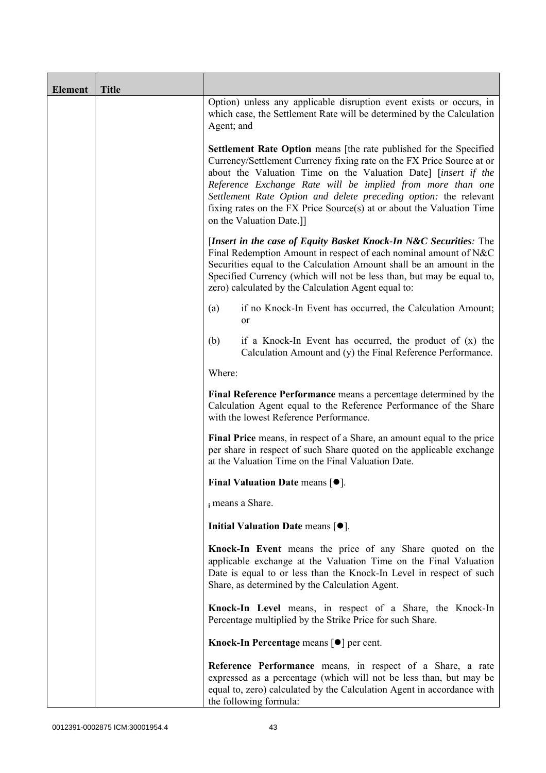| <b>Element</b> | <b>Title</b> |                                                                                                                                                                                                                                                                                                                                                                                                                                                             |
|----------------|--------------|-------------------------------------------------------------------------------------------------------------------------------------------------------------------------------------------------------------------------------------------------------------------------------------------------------------------------------------------------------------------------------------------------------------------------------------------------------------|
|                |              | Option) unless any applicable disruption event exists or occurs, in<br>which case, the Settlement Rate will be determined by the Calculation<br>Agent; and                                                                                                                                                                                                                                                                                                  |
|                |              | <b>Settlement Rate Option</b> means [the rate published for the Specified<br>Currency/Settlement Currency fixing rate on the FX Price Source at or<br>about the Valuation Time on the Valuation Date] [insert if the<br>Reference Exchange Rate will be implied from more than one<br>Settlement Rate Option and delete preceding option: the relevant<br>fixing rates on the FX Price Source(s) at or about the Valuation Time<br>on the Valuation Date.]] |
|                |              | [Insert in the case of Equity Basket Knock-In N&C Securities: The<br>Final Redemption Amount in respect of each nominal amount of N&C<br>Securities equal to the Calculation Amount shall be an amount in the<br>Specified Currency (which will not be less than, but may be equal to,<br>zero) calculated by the Calculation Agent equal to:                                                                                                               |
|                |              | if no Knock-In Event has occurred, the Calculation Amount;<br>(a)<br>or                                                                                                                                                                                                                                                                                                                                                                                     |
|                |              | (b)<br>if a Knock-In Event has occurred, the product of $(x)$ the<br>Calculation Amount and (y) the Final Reference Performance.                                                                                                                                                                                                                                                                                                                            |
|                |              | Where:                                                                                                                                                                                                                                                                                                                                                                                                                                                      |
|                |              | Final Reference Performance means a percentage determined by the<br>Calculation Agent equal to the Reference Performance of the Share<br>with the lowest Reference Performance.                                                                                                                                                                                                                                                                             |
|                |              | Final Price means, in respect of a Share, an amount equal to the price<br>per share in respect of such Share quoted on the applicable exchange<br>at the Valuation Time on the Final Valuation Date.                                                                                                                                                                                                                                                        |
|                |              | <b>Final Valuation Date means [<math>\bullet</math>].</b>                                                                                                                                                                                                                                                                                                                                                                                                   |
|                |              | i means a Share.                                                                                                                                                                                                                                                                                                                                                                                                                                            |
|                |              | Initial Valuation Date means $[•]$ .                                                                                                                                                                                                                                                                                                                                                                                                                        |
|                |              | Knock-In Event means the price of any Share quoted on the<br>applicable exchange at the Valuation Time on the Final Valuation<br>Date is equal to or less than the Knock-In Level in respect of such<br>Share, as determined by the Calculation Agent.                                                                                                                                                                                                      |
|                |              | Knock-In Level means, in respect of a Share, the Knock-In<br>Percentage multiplied by the Strike Price for such Share.                                                                                                                                                                                                                                                                                                                                      |
|                |              | Knock-In Percentage means [●] per cent.                                                                                                                                                                                                                                                                                                                                                                                                                     |
|                |              | Reference Performance means, in respect of a Share, a rate<br>expressed as a percentage (which will not be less than, but may be<br>equal to, zero) calculated by the Calculation Agent in accordance with<br>the following formula:                                                                                                                                                                                                                        |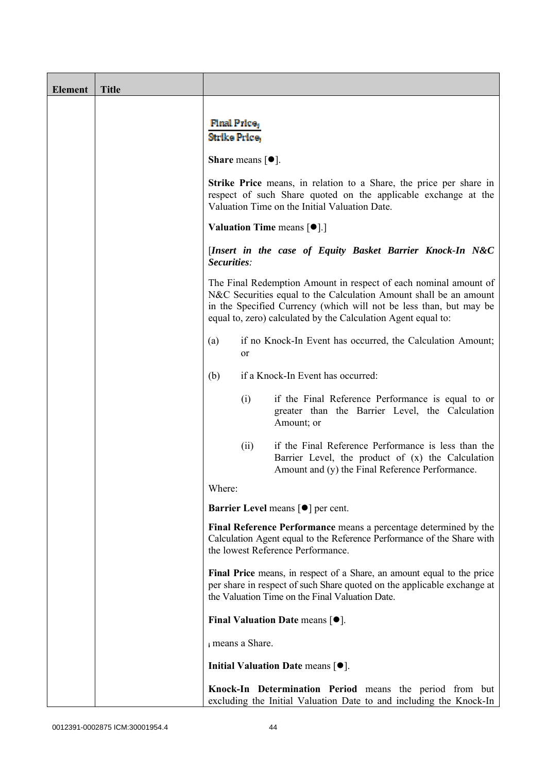| <b>Element</b> | <b>Title</b> |                                                                                                                                                                                                                                                                              |
|----------------|--------------|------------------------------------------------------------------------------------------------------------------------------------------------------------------------------------------------------------------------------------------------------------------------------|
|                |              |                                                                                                                                                                                                                                                                              |
|                |              | <b>Final Price</b><br>Strike Price,                                                                                                                                                                                                                                          |
|                |              | <b>Share</b> means $[①]$ .                                                                                                                                                                                                                                                   |
|                |              | Strike Price means, in relation to a Share, the price per share in<br>respect of such Share quoted on the applicable exchange at the<br>Valuation Time on the Initial Valuation Date.                                                                                        |
|                |              | Valuation Time means [ $\bullet$ ].]                                                                                                                                                                                                                                         |
|                |              | [Insert in the case of Equity Basket Barrier Knock-In N&C<br>Securities:                                                                                                                                                                                                     |
|                |              | The Final Redemption Amount in respect of each nominal amount of<br>N&C Securities equal to the Calculation Amount shall be an amount<br>in the Specified Currency (which will not be less than, but may be<br>equal to, zero) calculated by the Calculation Agent equal to: |
|                |              | if no Knock-In Event has occurred, the Calculation Amount;<br>(a)<br><sub>or</sub>                                                                                                                                                                                           |
|                |              | if a Knock-In Event has occurred:<br>(b)                                                                                                                                                                                                                                     |
|                |              | (i)<br>if the Final Reference Performance is equal to or<br>greater than the Barrier Level, the Calculation<br>Amount; or                                                                                                                                                    |
|                |              | if the Final Reference Performance is less than the<br>(ii)<br>Barrier Level, the product of $(x)$ the Calculation<br>Amount and (y) the Final Reference Performance.                                                                                                        |
|                |              | Where:                                                                                                                                                                                                                                                                       |
|                |              | <b>Barrier Level means [<math>\bullet</math>] per cent.</b>                                                                                                                                                                                                                  |
|                |              | Final Reference Performance means a percentage determined by the<br>Calculation Agent equal to the Reference Performance of the Share with<br>the lowest Reference Performance.                                                                                              |
|                |              | Final Price means, in respect of a Share, an amount equal to the price<br>per share in respect of such Share quoted on the applicable exchange at<br>the Valuation Time on the Final Valuation Date.                                                                         |
|                |              | Final Valuation Date means $[•]$ .                                                                                                                                                                                                                                           |
|                |              | i means a Share.                                                                                                                                                                                                                                                             |
|                |              | Initial Valuation Date means $[•]$ .                                                                                                                                                                                                                                         |
|                |              | Knock-In Determination Period means the period from but<br>excluding the Initial Valuation Date to and including the Knock-In                                                                                                                                                |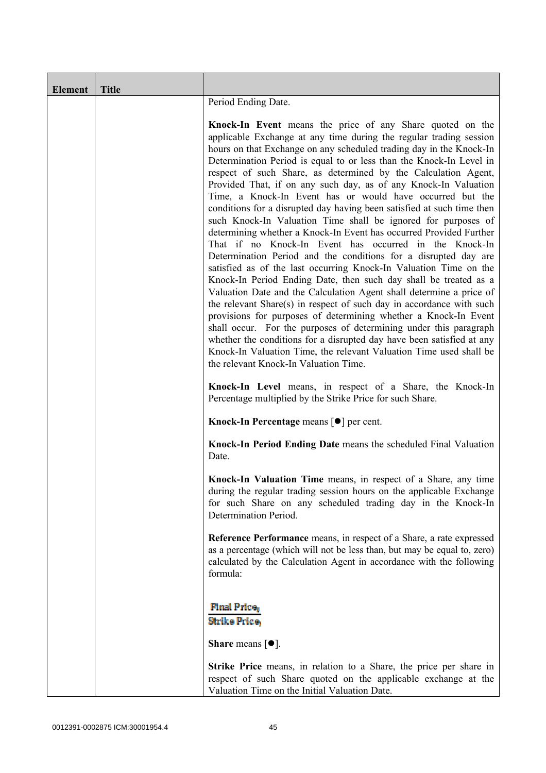| <b>Element</b> | <b>Title</b> |                                                                                                                                                                                                                                                                                                                                                                                                                                                                                                                                                                                                                                                                                                                                                                                                                                                                                                                                                                                                                                                                                                                                                                                                                                                                                                                                                                                                                                                       |  |  |
|----------------|--------------|-------------------------------------------------------------------------------------------------------------------------------------------------------------------------------------------------------------------------------------------------------------------------------------------------------------------------------------------------------------------------------------------------------------------------------------------------------------------------------------------------------------------------------------------------------------------------------------------------------------------------------------------------------------------------------------------------------------------------------------------------------------------------------------------------------------------------------------------------------------------------------------------------------------------------------------------------------------------------------------------------------------------------------------------------------------------------------------------------------------------------------------------------------------------------------------------------------------------------------------------------------------------------------------------------------------------------------------------------------------------------------------------------------------------------------------------------------|--|--|
|                |              | Period Ending Date.                                                                                                                                                                                                                                                                                                                                                                                                                                                                                                                                                                                                                                                                                                                                                                                                                                                                                                                                                                                                                                                                                                                                                                                                                                                                                                                                                                                                                                   |  |  |
|                |              | Knock-In Event means the price of any Share quoted on the<br>applicable Exchange at any time during the regular trading session<br>hours on that Exchange on any scheduled trading day in the Knock-In<br>Determination Period is equal to or less than the Knock-In Level in<br>respect of such Share, as determined by the Calculation Agent,<br>Provided That, if on any such day, as of any Knock-In Valuation<br>Time, a Knock-In Event has or would have occurred but the<br>conditions for a disrupted day having been satisfied at such time then<br>such Knock-In Valuation Time shall be ignored for purposes of<br>determining whether a Knock-In Event has occurred Provided Further<br>That if no Knock-In Event has occurred in the Knock-In<br>Determination Period and the conditions for a disrupted day are<br>satisfied as of the last occurring Knock-In Valuation Time on the<br>Knock-In Period Ending Date, then such day shall be treated as a<br>Valuation Date and the Calculation Agent shall determine a price of<br>the relevant Share(s) in respect of such day in accordance with such<br>provisions for purposes of determining whether a Knock-In Event<br>shall occur. For the purposes of determining under this paragraph<br>whether the conditions for a disrupted day have been satisfied at any<br>Knock-In Valuation Time, the relevant Valuation Time used shall be<br>the relevant Knock-In Valuation Time. |  |  |
|                |              | Knock-In Level means, in respect of a Share, the Knock-In<br>Percentage multiplied by the Strike Price for such Share.                                                                                                                                                                                                                                                                                                                                                                                                                                                                                                                                                                                                                                                                                                                                                                                                                                                                                                                                                                                                                                                                                                                                                                                                                                                                                                                                |  |  |
|                |              | Knock-In Percentage means [ <sup>●</sup> ] per cent.                                                                                                                                                                                                                                                                                                                                                                                                                                                                                                                                                                                                                                                                                                                                                                                                                                                                                                                                                                                                                                                                                                                                                                                                                                                                                                                                                                                                  |  |  |
|                |              | Knock-In Period Ending Date means the scheduled Final Valuation<br>Date.                                                                                                                                                                                                                                                                                                                                                                                                                                                                                                                                                                                                                                                                                                                                                                                                                                                                                                                                                                                                                                                                                                                                                                                                                                                                                                                                                                              |  |  |
|                |              | Knock-In Valuation Time means, in respect of a Share, any time<br>during the regular trading session hours on the applicable Exchange<br>for such Share on any scheduled trading day in the Knock-In<br>Determination Period.                                                                                                                                                                                                                                                                                                                                                                                                                                                                                                                                                                                                                                                                                                                                                                                                                                                                                                                                                                                                                                                                                                                                                                                                                         |  |  |
|                |              | Reference Performance means, in respect of a Share, a rate expressed<br>as a percentage (which will not be less than, but may be equal to, zero)<br>calculated by the Calculation Agent in accordance with the following<br>formula:                                                                                                                                                                                                                                                                                                                                                                                                                                                                                                                                                                                                                                                                                                                                                                                                                                                                                                                                                                                                                                                                                                                                                                                                                  |  |  |
|                |              | <b>Final Price</b><br><b>Strike Price,</b><br><b>Share</b> means $\lceil \bullet \rceil$ .                                                                                                                                                                                                                                                                                                                                                                                                                                                                                                                                                                                                                                                                                                                                                                                                                                                                                                                                                                                                                                                                                                                                                                                                                                                                                                                                                            |  |  |
|                |              | <b>Strike Price</b> means, in relation to a Share, the price per share in<br>respect of such Share quoted on the applicable exchange at the<br>Valuation Time on the Initial Valuation Date.                                                                                                                                                                                                                                                                                                                                                                                                                                                                                                                                                                                                                                                                                                                                                                                                                                                                                                                                                                                                                                                                                                                                                                                                                                                          |  |  |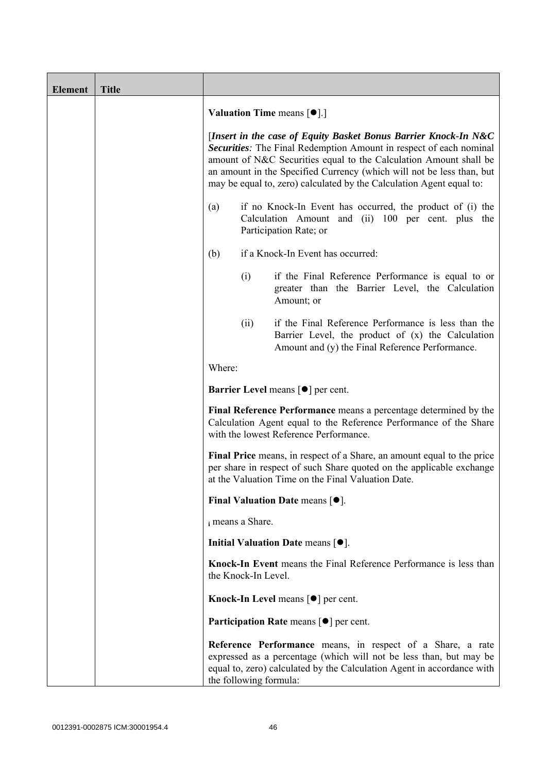| <b>Element</b> | <b>Title</b> |                                                                                                                                                                                                                                                                                                                                                             |      |                                                                                                                                                                                                            |
|----------------|--------------|-------------------------------------------------------------------------------------------------------------------------------------------------------------------------------------------------------------------------------------------------------------------------------------------------------------------------------------------------------------|------|------------------------------------------------------------------------------------------------------------------------------------------------------------------------------------------------------------|
|                |              | <b>Valuation Time means <math>[\bullet]</math>.</b> ]                                                                                                                                                                                                                                                                                                       |      |                                                                                                                                                                                                            |
|                |              | [Insert in the case of Equity Basket Bonus Barrier Knock-In N&C<br>Securities: The Final Redemption Amount in respect of each nominal<br>amount of N&C Securities equal to the Calculation Amount shall be<br>an amount in the Specified Currency (which will not be less than, but<br>may be equal to, zero) calculated by the Calculation Agent equal to: |      |                                                                                                                                                                                                            |
|                |              | (a)                                                                                                                                                                                                                                                                                                                                                         |      | if no Knock-In Event has occurred, the product of (i) the<br>Calculation Amount and (ii) 100 per cent. plus the<br>Participation Rate; or                                                                  |
|                |              | (b)                                                                                                                                                                                                                                                                                                                                                         |      | if a Knock-In Event has occurred:                                                                                                                                                                          |
|                |              |                                                                                                                                                                                                                                                                                                                                                             | (i)  | if the Final Reference Performance is equal to or<br>greater than the Barrier Level, the Calculation<br>Amount; or                                                                                         |
|                |              |                                                                                                                                                                                                                                                                                                                                                             | (ii) | if the Final Reference Performance is less than the<br>Barrier Level, the product of (x) the Calculation<br>Amount and (y) the Final Reference Performance.                                                |
|                |              | Where:                                                                                                                                                                                                                                                                                                                                                      |      |                                                                                                                                                                                                            |
|                |              |                                                                                                                                                                                                                                                                                                                                                             |      | <b>Barrier Level</b> means $\lceil \bullet \rceil$ per cent.                                                                                                                                               |
|                |              |                                                                                                                                                                                                                                                                                                                                                             |      | Final Reference Performance means a percentage determined by the<br>Calculation Agent equal to the Reference Performance of the Share<br>with the lowest Reference Performance.                            |
|                |              |                                                                                                                                                                                                                                                                                                                                                             |      | Final Price means, in respect of a Share, an amount equal to the price<br>per share in respect of such Share quoted on the applicable exchange<br>at the Valuation Time on the Final Valuation Date.       |
|                |              |                                                                                                                                                                                                                                                                                                                                                             |      | <b>Final Valuation Date means <math>\lceil \bullet \rceil</math>.</b>                                                                                                                                      |
|                |              | i means a Share.                                                                                                                                                                                                                                                                                                                                            |      |                                                                                                                                                                                                            |
|                |              |                                                                                                                                                                                                                                                                                                                                                             |      | Initial Valuation Date means $[•]$ .                                                                                                                                                                       |
|                |              | the Knock-In Level.                                                                                                                                                                                                                                                                                                                                         |      | Knock-In Event means the Final Reference Performance is less than                                                                                                                                          |
|                |              |                                                                                                                                                                                                                                                                                                                                                             |      | Knock-In Level means $\lceil \bullet \rceil$ per cent.                                                                                                                                                     |
|                |              |                                                                                                                                                                                                                                                                                                                                                             |      | <b>Participation Rate means <math>\lceil \bullet \rceil</math> per cent.</b>                                                                                                                               |
|                |              | the following formula:                                                                                                                                                                                                                                                                                                                                      |      | Reference Performance means, in respect of a Share, a rate<br>expressed as a percentage (which will not be less than, but may be<br>equal to, zero) calculated by the Calculation Agent in accordance with |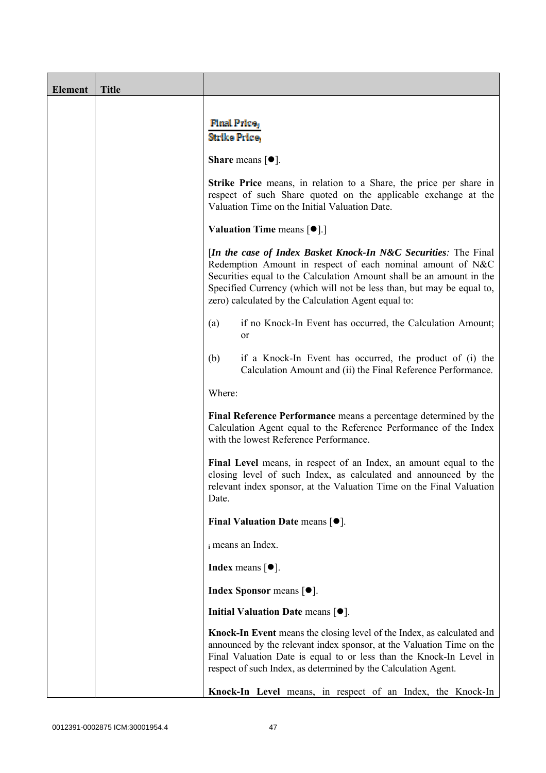| <b>Element</b> | <b>Title</b> |                                                                                                                                                                                                                                                                                                                                       |  |  |  |
|----------------|--------------|---------------------------------------------------------------------------------------------------------------------------------------------------------------------------------------------------------------------------------------------------------------------------------------------------------------------------------------|--|--|--|
|                |              | <b>Final Price</b><br>Strike Price.                                                                                                                                                                                                                                                                                                   |  |  |  |
|                |              | <b>Share</b> means $\lceil \bullet \rceil$ .                                                                                                                                                                                                                                                                                          |  |  |  |
|                |              | <b>Strike Price</b> means, in relation to a Share, the price per share in<br>respect of such Share quoted on the applicable exchange at the<br>Valuation Time on the Initial Valuation Date.                                                                                                                                          |  |  |  |
|                |              | <b>Valuation Time means <math>\lceil \bullet \rceil</math>.</b>                                                                                                                                                                                                                                                                       |  |  |  |
|                |              | [In the case of Index Basket Knock-In N&C Securities: The Final<br>Redemption Amount in respect of each nominal amount of N&C<br>Securities equal to the Calculation Amount shall be an amount in the<br>Specified Currency (which will not be less than, but may be equal to,<br>zero) calculated by the Calculation Agent equal to: |  |  |  |
|                |              | if no Knock-In Event has occurred, the Calculation Amount;<br>(a)<br>or                                                                                                                                                                                                                                                               |  |  |  |
|                |              | if a Knock-In Event has occurred, the product of (i) the<br>(b)<br>Calculation Amount and (ii) the Final Reference Performance.                                                                                                                                                                                                       |  |  |  |
|                |              | Where:                                                                                                                                                                                                                                                                                                                                |  |  |  |
|                |              | Final Reference Performance means a percentage determined by the<br>Calculation Agent equal to the Reference Performance of the Index<br>with the lowest Reference Performance.                                                                                                                                                       |  |  |  |
|                |              | Final Level means, in respect of an Index, an amount equal to the<br>closing level of such Index, as calculated and announced by the<br>relevant index sponsor, at the Valuation Time on the Final Valuation<br>Date.                                                                                                                 |  |  |  |
|                |              | Final Valuation Date means $[•]$ .                                                                                                                                                                                                                                                                                                    |  |  |  |
|                |              | i means an Index.                                                                                                                                                                                                                                                                                                                     |  |  |  |
|                |              | <b>Index</b> means $\lceil \bullet \rceil$ .                                                                                                                                                                                                                                                                                          |  |  |  |
|                |              | <b>Index Sponsor</b> means $[•]$ .                                                                                                                                                                                                                                                                                                    |  |  |  |
|                |              | Initial Valuation Date means $[•]$ .                                                                                                                                                                                                                                                                                                  |  |  |  |
|                |              | Knock-In Event means the closing level of the Index, as calculated and<br>announced by the relevant index sponsor, at the Valuation Time on the<br>Final Valuation Date is equal to or less than the Knock-In Level in<br>respect of such Index, as determined by the Calculation Agent.                                              |  |  |  |
|                |              | Knock-In Level means, in respect of an Index, the Knock-In                                                                                                                                                                                                                                                                            |  |  |  |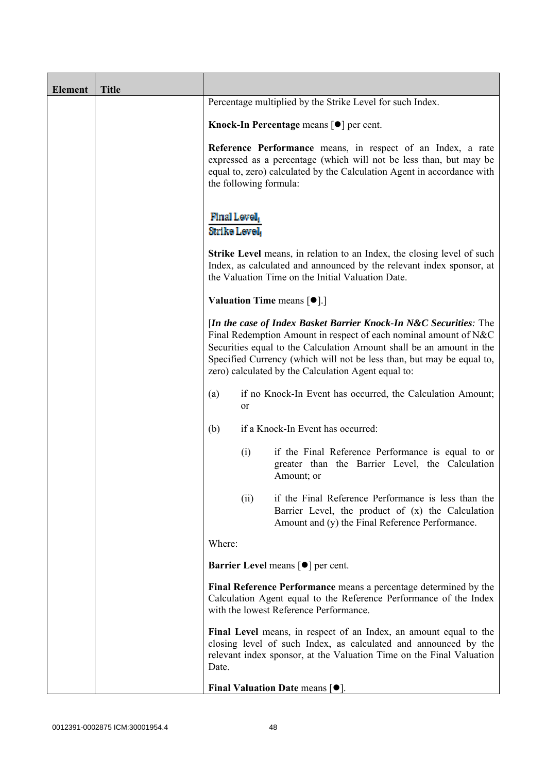| <b>Element</b> | <b>Title</b> |                                                                                                                          |                                                                                                                                                                                                                                                                                                                                               |  |
|----------------|--------------|--------------------------------------------------------------------------------------------------------------------------|-----------------------------------------------------------------------------------------------------------------------------------------------------------------------------------------------------------------------------------------------------------------------------------------------------------------------------------------------|--|
|                |              | Percentage multiplied by the Strike Level for such Index.<br>Knock-In Percentage means $\lceil \bullet \rceil$ per cent. |                                                                                                                                                                                                                                                                                                                                               |  |
|                |              |                                                                                                                          |                                                                                                                                                                                                                                                                                                                                               |  |
|                |              |                                                                                                                          | Reference Performance means, in respect of an Index, a rate<br>expressed as a percentage (which will not be less than, but may be<br>equal to, zero) calculated by the Calculation Agent in accordance with<br>the following formula:                                                                                                         |  |
|                |              | Final Level,<br>Strike Level                                                                                             |                                                                                                                                                                                                                                                                                                                                               |  |
|                |              |                                                                                                                          | <b>Strike Level</b> means, in relation to an Index, the closing level of such<br>Index, as calculated and announced by the relevant index sponsor, at<br>the Valuation Time on the Initial Valuation Date.                                                                                                                                    |  |
|                |              |                                                                                                                          | Valuation Time means [ <sup>•</sup> ].]                                                                                                                                                                                                                                                                                                       |  |
|                |              |                                                                                                                          | [In the case of Index Basket Barrier Knock-In N&C Securities: The<br>Final Redemption Amount in respect of each nominal amount of N&C<br>Securities equal to the Calculation Amount shall be an amount in the<br>Specified Currency (which will not be less than, but may be equal to,<br>zero) calculated by the Calculation Agent equal to: |  |
|                |              | (a)<br>or                                                                                                                | if no Knock-In Event has occurred, the Calculation Amount;                                                                                                                                                                                                                                                                                    |  |
|                |              | (b)                                                                                                                      | if a Knock-In Event has occurred:                                                                                                                                                                                                                                                                                                             |  |
|                |              | (i)                                                                                                                      | if the Final Reference Performance is equal to or<br>greater than the Barrier Level, the Calculation<br>Amount; or                                                                                                                                                                                                                            |  |
|                |              |                                                                                                                          | if the Final Reference Performance is less than the<br>(ii)<br>Barrier Level, the product of (x) the Calculation<br>Amount and (y) the Final Reference Performance.                                                                                                                                                                           |  |
|                |              | Where:                                                                                                                   |                                                                                                                                                                                                                                                                                                                                               |  |
|                |              |                                                                                                                          | <b>Barrier Level means [<math>\bullet</math>] per cent.</b>                                                                                                                                                                                                                                                                                   |  |
|                |              |                                                                                                                          | Final Reference Performance means a percentage determined by the<br>Calculation Agent equal to the Reference Performance of the Index<br>with the lowest Reference Performance.                                                                                                                                                               |  |
|                |              | Date.                                                                                                                    | Final Level means, in respect of an Index, an amount equal to the<br>closing level of such Index, as calculated and announced by the<br>relevant index sponsor, at the Valuation Time on the Final Valuation                                                                                                                                  |  |
|                |              |                                                                                                                          | <b>Final Valuation Date means <math>[•]</math>.</b>                                                                                                                                                                                                                                                                                           |  |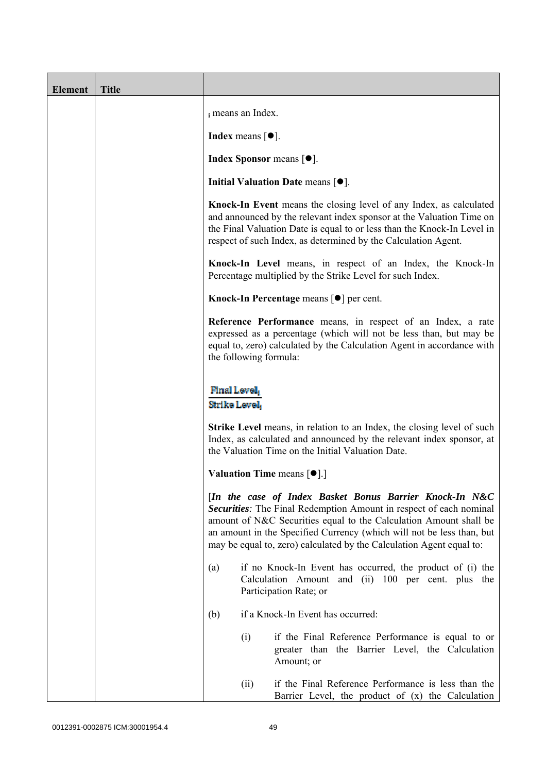| <b>Element</b> | <b>Title</b> |                                                                                                                                                                                                                                                                                                                                                     |      |                                                                                                                                                                                                                                                                                         |
|----------------|--------------|-----------------------------------------------------------------------------------------------------------------------------------------------------------------------------------------------------------------------------------------------------------------------------------------------------------------------------------------------------|------|-----------------------------------------------------------------------------------------------------------------------------------------------------------------------------------------------------------------------------------------------------------------------------------------|
|                |              | i means an Index.                                                                                                                                                                                                                                                                                                                                   |      |                                                                                                                                                                                                                                                                                         |
|                |              | <b>Index</b> means $\lceil \bullet \rceil$ .                                                                                                                                                                                                                                                                                                        |      |                                                                                                                                                                                                                                                                                         |
|                |              |                                                                                                                                                                                                                                                                                                                                                     |      | <b>Index Sponsor</b> means $[•]$ .                                                                                                                                                                                                                                                      |
|                |              |                                                                                                                                                                                                                                                                                                                                                     |      | Initial Valuation Date means $[•]$ .                                                                                                                                                                                                                                                    |
|                |              |                                                                                                                                                                                                                                                                                                                                                     |      | Knock-In Event means the closing level of any Index, as calculated<br>and announced by the relevant index sponsor at the Valuation Time on<br>the Final Valuation Date is equal to or less than the Knock-In Level in<br>respect of such Index, as determined by the Calculation Agent. |
|                |              |                                                                                                                                                                                                                                                                                                                                                     |      | Knock-In Level means, in respect of an Index, the Knock-In<br>Percentage multiplied by the Strike Level for such Index.                                                                                                                                                                 |
|                |              |                                                                                                                                                                                                                                                                                                                                                     |      | Knock-In Percentage means [●] per cent.                                                                                                                                                                                                                                                 |
|                |              | Reference Performance means, in respect of an Index, a rate<br>expressed as a percentage (which will not be less than, but may be<br>equal to, zero) calculated by the Calculation Agent in accordance with<br>the following formula:<br>Final Level,<br>Strike Level                                                                               |      |                                                                                                                                                                                                                                                                                         |
|                |              |                                                                                                                                                                                                                                                                                                                                                     |      |                                                                                                                                                                                                                                                                                         |
|                |              | <b>Strike Level</b> means, in relation to an Index, the closing level of such<br>Index, as calculated and announced by the relevant index sponsor, at<br>the Valuation Time on the Initial Valuation Date.                                                                                                                                          |      |                                                                                                                                                                                                                                                                                         |
|                |              |                                                                                                                                                                                                                                                                                                                                                     |      | <b>Valuation Time means <math>\lceil \bullet \rceil</math>.</b>                                                                                                                                                                                                                         |
|                |              | [In the case of Index Basket Bonus Barrier Knock-In N&C<br>Securities: The Final Redemption Amount in respect of each nominal<br>amount of N&C Securities equal to the Calculation Amount shall be<br>an amount in the Specified Currency (which will not be less than, but<br>may be equal to, zero) calculated by the Calculation Agent equal to: |      |                                                                                                                                                                                                                                                                                         |
|                |              | (a)                                                                                                                                                                                                                                                                                                                                                 |      | if no Knock-In Event has occurred, the product of (i) the<br>Calculation Amount and (ii) 100 per cent. plus the<br>Participation Rate; or                                                                                                                                               |
|                |              | (b)                                                                                                                                                                                                                                                                                                                                                 |      | if a Knock-In Event has occurred:                                                                                                                                                                                                                                                       |
|                |              |                                                                                                                                                                                                                                                                                                                                                     | (i)  | if the Final Reference Performance is equal to or<br>greater than the Barrier Level, the Calculation<br>Amount; or                                                                                                                                                                      |
|                |              |                                                                                                                                                                                                                                                                                                                                                     | (ii) | if the Final Reference Performance is less than the<br>Barrier Level, the product of $(x)$ the Calculation                                                                                                                                                                              |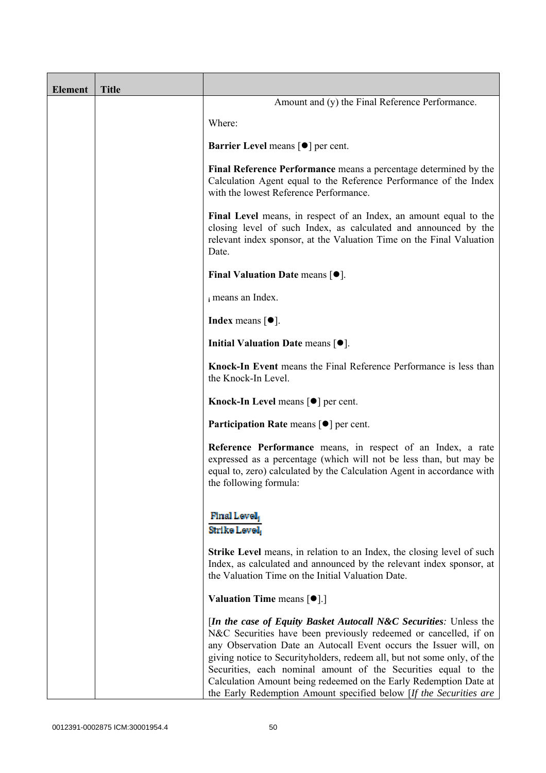| <b>Element</b> | <b>Title</b> |                                                                                                                                                                                                                                                                                                                                                                                                                                                                                                              |
|----------------|--------------|--------------------------------------------------------------------------------------------------------------------------------------------------------------------------------------------------------------------------------------------------------------------------------------------------------------------------------------------------------------------------------------------------------------------------------------------------------------------------------------------------------------|
|                |              | Amount and (y) the Final Reference Performance.                                                                                                                                                                                                                                                                                                                                                                                                                                                              |
|                |              | Where:                                                                                                                                                                                                                                                                                                                                                                                                                                                                                                       |
|                |              | <b>Barrier Level</b> means $\lceil \bullet \rceil$ per cent.                                                                                                                                                                                                                                                                                                                                                                                                                                                 |
|                |              | Final Reference Performance means a percentage determined by the<br>Calculation Agent equal to the Reference Performance of the Index<br>with the lowest Reference Performance.                                                                                                                                                                                                                                                                                                                              |
|                |              | Final Level means, in respect of an Index, an amount equal to the<br>closing level of such Index, as calculated and announced by the<br>relevant index sponsor, at the Valuation Time on the Final Valuation<br>Date.                                                                                                                                                                                                                                                                                        |
|                |              | Final Valuation Date means $[•]$ .                                                                                                                                                                                                                                                                                                                                                                                                                                                                           |
|                |              | i means an Index.                                                                                                                                                                                                                                                                                                                                                                                                                                                                                            |
|                |              | <b>Index</b> means $\lceil \bullet \rceil$ .                                                                                                                                                                                                                                                                                                                                                                                                                                                                 |
|                |              | Initial Valuation Date means $[•]$ .                                                                                                                                                                                                                                                                                                                                                                                                                                                                         |
|                |              | Knock-In Event means the Final Reference Performance is less than<br>the Knock-In Level.                                                                                                                                                                                                                                                                                                                                                                                                                     |
|                |              | Knock-In Level means $\lceil \bullet \rceil$ per cent.                                                                                                                                                                                                                                                                                                                                                                                                                                                       |
|                |              | <b>Participation Rate</b> means $\lceil \bullet \rceil$ per cent.                                                                                                                                                                                                                                                                                                                                                                                                                                            |
|                |              | Reference Performance means, in respect of an Index, a rate<br>expressed as a percentage (which will not be less than, but may be<br>equal to, zero) calculated by the Calculation Agent in accordance with<br>the following formula:                                                                                                                                                                                                                                                                        |
|                |              | Final Level<br>Strike Level                                                                                                                                                                                                                                                                                                                                                                                                                                                                                  |
|                |              | <b>Strike Level</b> means, in relation to an Index, the closing level of such<br>Index, as calculated and announced by the relevant index sponsor, at<br>the Valuation Time on the Initial Valuation Date.                                                                                                                                                                                                                                                                                                   |
|                |              | <b>Valuation Time means <math>\lceil \bullet \rceil</math>.</b>                                                                                                                                                                                                                                                                                                                                                                                                                                              |
|                |              | <i>In the case of Equity Basket Autocall N&amp;C Securities: Unless the</i><br>N&C Securities have been previously redeemed or cancelled, if on<br>any Observation Date an Autocall Event occurs the Issuer will, on<br>giving notice to Securityholders, redeem all, but not some only, of the<br>Securities, each nominal amount of the Securities equal to the<br>Calculation Amount being redeemed on the Early Redemption Date at<br>the Early Redemption Amount specified below [If the Securities are |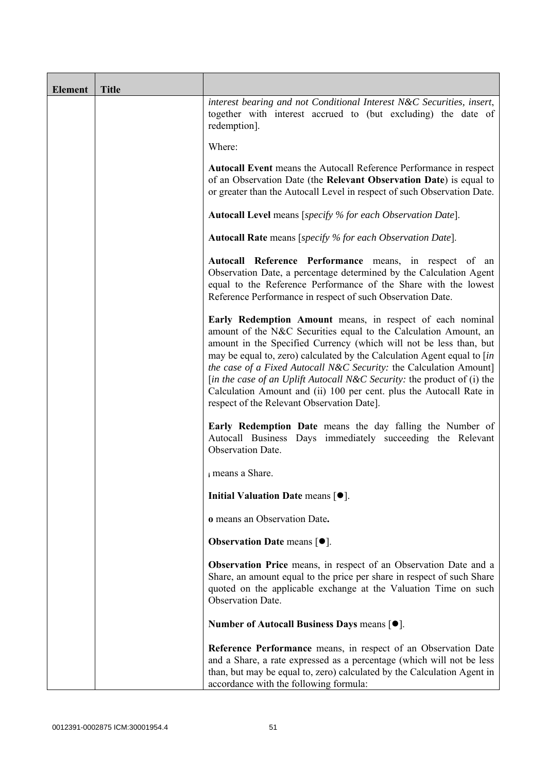| <b>Element</b> | <b>Title</b> |                                                                                                                                                                                                                                                                                                                                                                                                                                                                                                                                                       |  |
|----------------|--------------|-------------------------------------------------------------------------------------------------------------------------------------------------------------------------------------------------------------------------------------------------------------------------------------------------------------------------------------------------------------------------------------------------------------------------------------------------------------------------------------------------------------------------------------------------------|--|
|                |              | interest bearing and not Conditional Interest N&C Securities, insert,<br>together with interest accrued to (but excluding) the date of<br>redemption].                                                                                                                                                                                                                                                                                                                                                                                                |  |
|                |              | Where:                                                                                                                                                                                                                                                                                                                                                                                                                                                                                                                                                |  |
|                |              | <b>Autocall Event</b> means the Autocall Reference Performance in respect<br>of an Observation Date (the Relevant Observation Date) is equal to<br>or greater than the Autocall Level in respect of such Observation Date.                                                                                                                                                                                                                                                                                                                            |  |
|                |              | <b>Autocall Level</b> means [specify % for each Observation Date].                                                                                                                                                                                                                                                                                                                                                                                                                                                                                    |  |
|                |              | <b>Autocall Rate</b> means [specify % for each Observation Date].                                                                                                                                                                                                                                                                                                                                                                                                                                                                                     |  |
|                |              | Autocall Reference Performance means, in respect of an<br>Observation Date, a percentage determined by the Calculation Agent<br>equal to the Reference Performance of the Share with the lowest<br>Reference Performance in respect of such Observation Date.                                                                                                                                                                                                                                                                                         |  |
|                |              | Early Redemption Amount means, in respect of each nominal<br>amount of the N&C Securities equal to the Calculation Amount, an<br>amount in the Specified Currency (which will not be less than, but<br>may be equal to, zero) calculated by the Calculation Agent equal to [in]<br>the case of a Fixed Autocall N&C Security: the Calculation Amount]<br>[in the case of an Uplift Autocall N&C Security: the product of (i) the<br>Calculation Amount and (ii) 100 per cent. plus the Autocall Rate in<br>respect of the Relevant Observation Date]. |  |
|                |              | Early Redemption Date means the day falling the Number of<br>Autocall Business Days immediately succeeding the Relevant<br>Observation Date.                                                                                                                                                                                                                                                                                                                                                                                                          |  |
|                |              | i means a Share.                                                                                                                                                                                                                                                                                                                                                                                                                                                                                                                                      |  |
|                |              | Initial Valuation Date means $[•]$ .                                                                                                                                                                                                                                                                                                                                                                                                                                                                                                                  |  |
|                |              | o means an Observation Date.                                                                                                                                                                                                                                                                                                                                                                                                                                                                                                                          |  |
|                |              | <b>Observation Date means <math>\lceil \bullet \rceil</math>.</b>                                                                                                                                                                                                                                                                                                                                                                                                                                                                                     |  |
|                |              | Observation Price means, in respect of an Observation Date and a<br>Share, an amount equal to the price per share in respect of such Share<br>quoted on the applicable exchange at the Valuation Time on such<br>Observation Date.                                                                                                                                                                                                                                                                                                                    |  |
|                |              | Number of Autocall Business Days means [●].                                                                                                                                                                                                                                                                                                                                                                                                                                                                                                           |  |
|                |              | Reference Performance means, in respect of an Observation Date<br>and a Share, a rate expressed as a percentage (which will not be less<br>than, but may be equal to, zero) calculated by the Calculation Agent in<br>accordance with the following formula:                                                                                                                                                                                                                                                                                          |  |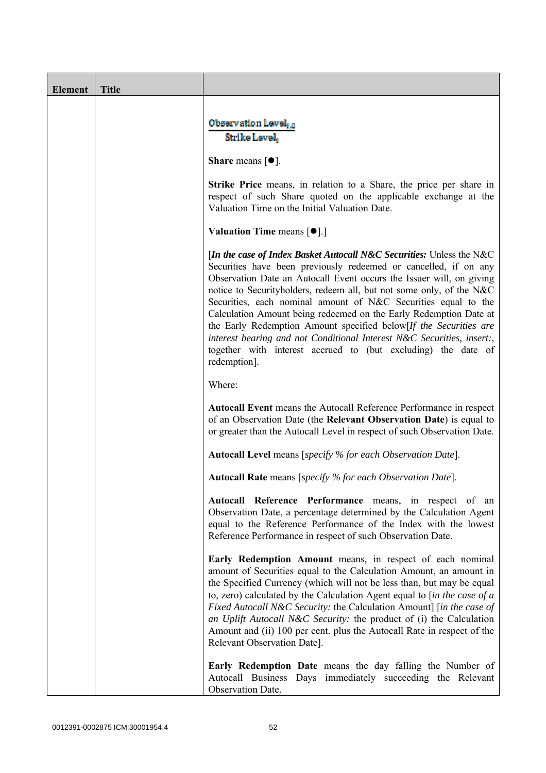| <b>Element</b> | <b>Title</b> |                                                                                                                                                                                                                                                                                                                                                                                                                                                                                                                                                                                                                                                                 |  |
|----------------|--------------|-----------------------------------------------------------------------------------------------------------------------------------------------------------------------------------------------------------------------------------------------------------------------------------------------------------------------------------------------------------------------------------------------------------------------------------------------------------------------------------------------------------------------------------------------------------------------------------------------------------------------------------------------------------------|--|
|                |              | Observation Level, o<br>Strike Level                                                                                                                                                                                                                                                                                                                                                                                                                                                                                                                                                                                                                            |  |
|                |              | <b>Share</b> means $[①]$ .                                                                                                                                                                                                                                                                                                                                                                                                                                                                                                                                                                                                                                      |  |
|                |              | <b>Strike Price</b> means, in relation to a Share, the price per share in<br>respect of such Share quoted on the applicable exchange at the<br>Valuation Time on the Initial Valuation Date.                                                                                                                                                                                                                                                                                                                                                                                                                                                                    |  |
|                |              | <b>Valuation Time means <math>[\bullet]</math>.</b> ]                                                                                                                                                                                                                                                                                                                                                                                                                                                                                                                                                                                                           |  |
|                |              | [In the case of Index Basket Autocall N&C Securities: Unless the N&C<br>Securities have been previously redeemed or cancelled, if on any<br>Observation Date an Autocall Event occurs the Issuer will, on giving<br>notice to Securityholders, redeem all, but not some only, of the N&C<br>Securities, each nominal amount of N&C Securities equal to the<br>Calculation Amount being redeemed on the Early Redemption Date at<br>the Early Redemption Amount specified below[If the Securities are<br>interest bearing and not Conditional Interest N&C Securities, insert:,<br>together with interest accrued to (but excluding) the date of<br>redemption]. |  |
|                |              | Where:                                                                                                                                                                                                                                                                                                                                                                                                                                                                                                                                                                                                                                                          |  |
|                |              | <b>Autocall Event</b> means the Autocall Reference Performance in respect<br>of an Observation Date (the Relevant Observation Date) is equal to<br>or greater than the Autocall Level in respect of such Observation Date.                                                                                                                                                                                                                                                                                                                                                                                                                                      |  |
|                |              | <b>Autocall Level</b> means [specify % for each Observation Date].                                                                                                                                                                                                                                                                                                                                                                                                                                                                                                                                                                                              |  |
|                |              | <b>Autocall Rate</b> means [specify % for each Observation Date].                                                                                                                                                                                                                                                                                                                                                                                                                                                                                                                                                                                               |  |
|                |              | Autocall Reference Performance means, in respect of an<br>Observation Date, a percentage determined by the Calculation Agent<br>equal to the Reference Performance of the Index with the lowest<br>Reference Performance in respect of such Observation Date.                                                                                                                                                                                                                                                                                                                                                                                                   |  |
|                |              | Early Redemption Amount means, in respect of each nominal<br>amount of Securities equal to the Calculation Amount, an amount in<br>the Specified Currency (which will not be less than, but may be equal<br>to, zero) calculated by the Calculation Agent equal to $\int$ <i>in the case of a</i><br>Fixed Autocall N&C Security: the Calculation Amount] [in the case of<br>an Uplift Autocall N&C Security: the product of (i) the Calculation<br>Amount and (ii) 100 per cent. plus the Autocall Rate in respect of the<br>Relevant Observation Date].                                                                                                       |  |
|                |              | <b>Early Redemption Date</b> means the day falling the Number of<br>Autocall Business Days immediately succeeding the Relevant<br>Observation Date.                                                                                                                                                                                                                                                                                                                                                                                                                                                                                                             |  |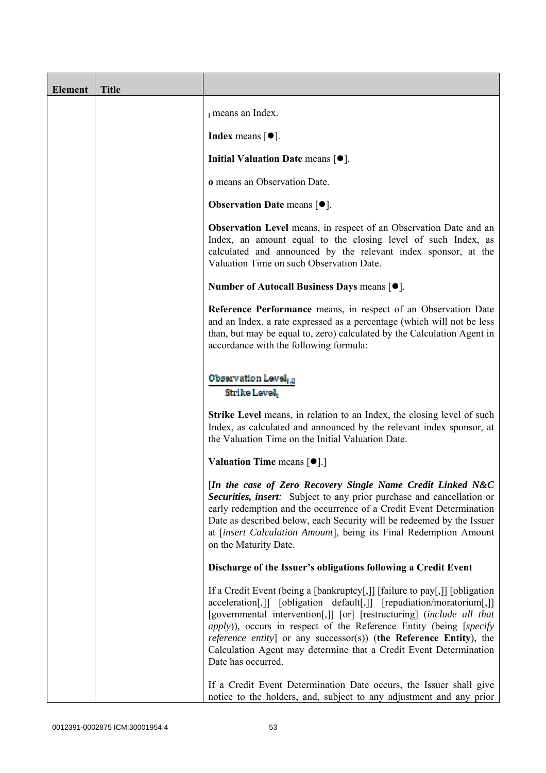| <b>Element</b> | <b>Title</b> |                                                                                                                                                                                                                                                                                                                                                                                                                                                                                    |
|----------------|--------------|------------------------------------------------------------------------------------------------------------------------------------------------------------------------------------------------------------------------------------------------------------------------------------------------------------------------------------------------------------------------------------------------------------------------------------------------------------------------------------|
|                |              | i means an Index.                                                                                                                                                                                                                                                                                                                                                                                                                                                                  |
|                |              | <b>Index</b> means $\lceil \bullet \rceil$ .                                                                                                                                                                                                                                                                                                                                                                                                                                       |
|                |              | Initial Valuation Date means $[•]$ .                                                                                                                                                                                                                                                                                                                                                                                                                                               |
|                |              | o means an Observation Date.                                                                                                                                                                                                                                                                                                                                                                                                                                                       |
|                |              | <b>Observation Date means <math>[•]</math>.</b>                                                                                                                                                                                                                                                                                                                                                                                                                                    |
|                |              | <b>Observation Level</b> means, in respect of an Observation Date and an<br>Index, an amount equal to the closing level of such Index, as<br>calculated and announced by the relevant index sponsor, at the<br>Valuation Time on such Observation Date.                                                                                                                                                                                                                            |
|                |              | Number of Autocall Business Days means $[•]$ .                                                                                                                                                                                                                                                                                                                                                                                                                                     |
|                |              | Reference Performance means, in respect of an Observation Date<br>and an Index, a rate expressed as a percentage (which will not be less<br>than, but may be equal to, zero) calculated by the Calculation Agent in<br>accordance with the following formula:                                                                                                                                                                                                                      |
|                |              | Observation Level, o<br>Strike Level                                                                                                                                                                                                                                                                                                                                                                                                                                               |
|                |              | Strike Level means, in relation to an Index, the closing level of such<br>Index, as calculated and announced by the relevant index sponsor, at<br>the Valuation Time on the Initial Valuation Date.                                                                                                                                                                                                                                                                                |
|                |              | <b>Valuation Time means <math>\lceil \bullet \rceil</math>.</b>                                                                                                                                                                                                                                                                                                                                                                                                                    |
|                |              | [In the case of Zero Recovery Single Name Credit Linked N&C<br>Securities, insert: Subject to any prior purchase and cancellation or<br>early redemption and the occurrence of a Credit Event Determination<br>Date as described below, each Security will be redeemed by the Issuer<br>at [insert Calculation Amount], being its Final Redemption Amount<br>on the Maturity Date.                                                                                                 |
|                |              | Discharge of the Issuer's obligations following a Credit Event                                                                                                                                                                                                                                                                                                                                                                                                                     |
|                |              | If a Credit Event (being a [bankruptcy[,]] [failure to pay[,]] [obligation<br>acceleration[,]] [obligation default[,]] [repudiation/moratorium[,]]<br>[governmental intervention[,]] [or] [restructuring] (include all that<br><i>apply</i> )), occurs in respect of the Reference Entity (being [specify<br><i>reference entity</i> ] or any successor(s)) (the Reference Entity), the<br>Calculation Agent may determine that a Credit Event Determination<br>Date has occurred. |
|                |              | If a Credit Event Determination Date occurs, the Issuer shall give<br>notice to the holders, and, subject to any adjustment and any prior                                                                                                                                                                                                                                                                                                                                          |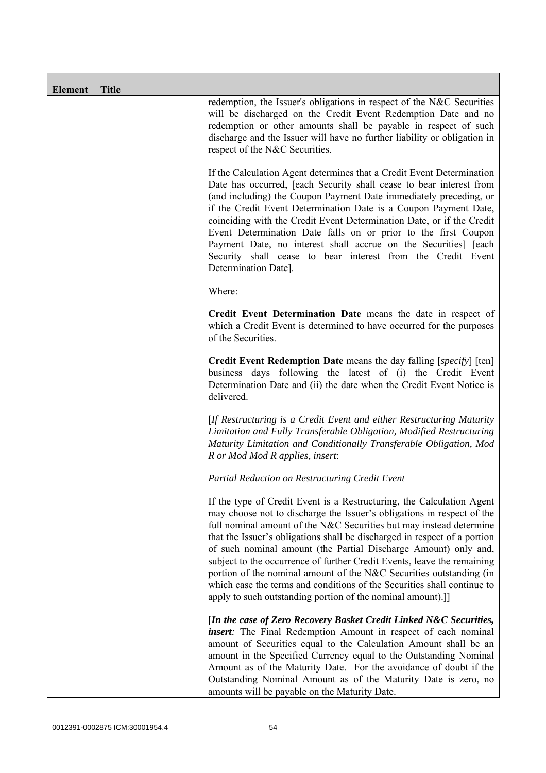| <b>Element</b> | <b>Title</b> |                                                                                                                                                                                                                                                                                                                                                                                                                                                                                                                                                                                                                                                                   |
|----------------|--------------|-------------------------------------------------------------------------------------------------------------------------------------------------------------------------------------------------------------------------------------------------------------------------------------------------------------------------------------------------------------------------------------------------------------------------------------------------------------------------------------------------------------------------------------------------------------------------------------------------------------------------------------------------------------------|
|                |              | redemption, the Issuer's obligations in respect of the N&C Securities<br>will be discharged on the Credit Event Redemption Date and no<br>redemption or other amounts shall be payable in respect of such<br>discharge and the Issuer will have no further liability or obligation in<br>respect of the N&C Securities.                                                                                                                                                                                                                                                                                                                                           |
|                |              | If the Calculation Agent determines that a Credit Event Determination<br>Date has occurred, [each Security shall cease to bear interest from<br>(and including) the Coupon Payment Date immediately preceding, or<br>if the Credit Event Determination Date is a Coupon Payment Date,<br>coinciding with the Credit Event Determination Date, or if the Credit<br>Event Determination Date falls on or prior to the first Coupon<br>Payment Date, no interest shall accrue on the Securities] [each<br>Security shall cease to bear interest from the Credit Event<br>Determination Date].                                                                        |
|                |              | Where:                                                                                                                                                                                                                                                                                                                                                                                                                                                                                                                                                                                                                                                            |
|                |              | Credit Event Determination Date means the date in respect of<br>which a Credit Event is determined to have occurred for the purposes<br>of the Securities.                                                                                                                                                                                                                                                                                                                                                                                                                                                                                                        |
|                |              | Credit Event Redemption Date means the day falling [specify] [ten]<br>business days following the latest of (i) the Credit Event<br>Determination Date and (ii) the date when the Credit Event Notice is<br>delivered.                                                                                                                                                                                                                                                                                                                                                                                                                                            |
|                |              | [If Restructuring is a Credit Event and either Restructuring Maturity<br>Limitation and Fully Transferable Obligation, Modified Restructuring<br>Maturity Limitation and Conditionally Transferable Obligation, Mod<br>R or Mod Mod R applies, insert:                                                                                                                                                                                                                                                                                                                                                                                                            |
|                |              | Partial Reduction on Restructuring Credit Event                                                                                                                                                                                                                                                                                                                                                                                                                                                                                                                                                                                                                   |
|                |              | If the type of Credit Event is a Restructuring, the Calculation Agent<br>may choose not to discharge the Issuer's obligations in respect of the<br>full nominal amount of the N&C Securities but may instead determine<br>that the Issuer's obligations shall be discharged in respect of a portion<br>of such nominal amount (the Partial Discharge Amount) only and,<br>subject to the occurrence of further Credit Events, leave the remaining<br>portion of the nominal amount of the N&C Securities outstanding (in<br>which case the terms and conditions of the Securities shall continue to<br>apply to such outstanding portion of the nominal amount).] |
|                |              | [In the case of Zero Recovery Basket Credit Linked N&C Securities,<br><i>insert</i> : The Final Redemption Amount in respect of each nominal<br>amount of Securities equal to the Calculation Amount shall be an<br>amount in the Specified Currency equal to the Outstanding Nominal<br>Amount as of the Maturity Date. For the avoidance of doubt if the<br>Outstanding Nominal Amount as of the Maturity Date is zero, no<br>amounts will be payable on the Maturity Date.                                                                                                                                                                                     |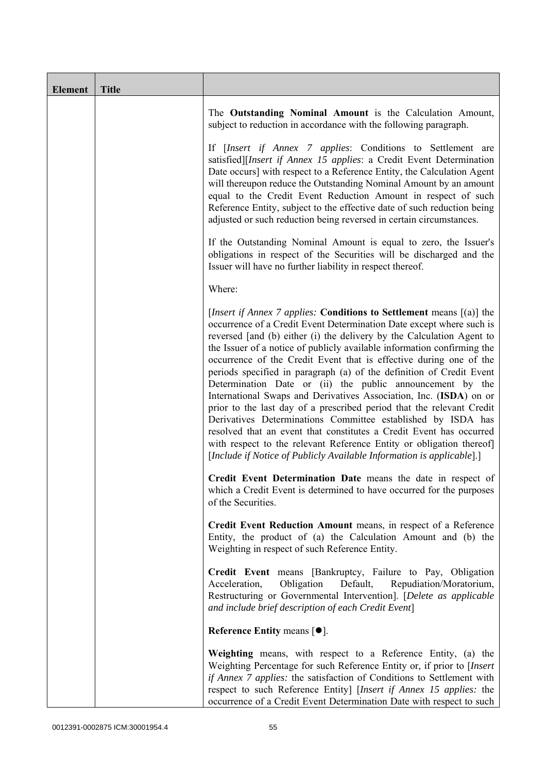| <b>Element</b> | <b>Title</b> |                                                                                                                                                                                                                                                                                                                                                                                                                                                                                                                                                                                                                                                                                                                                                                                                                                                                                                                                                             |
|----------------|--------------|-------------------------------------------------------------------------------------------------------------------------------------------------------------------------------------------------------------------------------------------------------------------------------------------------------------------------------------------------------------------------------------------------------------------------------------------------------------------------------------------------------------------------------------------------------------------------------------------------------------------------------------------------------------------------------------------------------------------------------------------------------------------------------------------------------------------------------------------------------------------------------------------------------------------------------------------------------------|
|                |              | The Outstanding Nominal Amount is the Calculation Amount,<br>subject to reduction in accordance with the following paragraph.                                                                                                                                                                                                                                                                                                                                                                                                                                                                                                                                                                                                                                                                                                                                                                                                                               |
|                |              | If [Insert if Annex 7 applies: Conditions to Settlement are<br>satisfied][Insert if Annex 15 applies: a Credit Event Determination<br>Date occurs] with respect to a Reference Entity, the Calculation Agent<br>will thereupon reduce the Outstanding Nominal Amount by an amount<br>equal to the Credit Event Reduction Amount in respect of such<br>Reference Entity, subject to the effective date of such reduction being<br>adjusted or such reduction being reversed in certain circumstances.                                                                                                                                                                                                                                                                                                                                                                                                                                                        |
|                |              | If the Outstanding Nominal Amount is equal to zero, the Issuer's<br>obligations in respect of the Securities will be discharged and the<br>Issuer will have no further liability in respect thereof.                                                                                                                                                                                                                                                                                                                                                                                                                                                                                                                                                                                                                                                                                                                                                        |
|                |              | Where:                                                                                                                                                                                                                                                                                                                                                                                                                                                                                                                                                                                                                                                                                                                                                                                                                                                                                                                                                      |
|                |              | [ <i>Insert if Annex 7 applies:</i> Conditions to Settlement means $[(a)]$ the<br>occurrence of a Credit Event Determination Date except where such is<br>reversed [and (b) either (i) the delivery by the Calculation Agent to<br>the Issuer of a notice of publicly available information confirming the<br>occurrence of the Credit Event that is effective during one of the<br>periods specified in paragraph (a) of the definition of Credit Event<br>Determination Date or (ii) the public announcement by the<br>International Swaps and Derivatives Association, Inc. (ISDA) on or<br>prior to the last day of a prescribed period that the relevant Credit<br>Derivatives Determinations Committee established by ISDA has<br>resolved that an event that constitutes a Credit Event has occurred<br>with respect to the relevant Reference Entity or obligation thereof<br>[Include if Notice of Publicly Available Information is applicable].] |
|                |              | Credit Event Determination Date means the date in respect of<br>which a Credit Event is determined to have occurred for the purposes<br>of the Securities.                                                                                                                                                                                                                                                                                                                                                                                                                                                                                                                                                                                                                                                                                                                                                                                                  |
|                |              | Credit Event Reduction Amount means, in respect of a Reference<br>Entity, the product of (a) the Calculation Amount and (b) the<br>Weighting in respect of such Reference Entity.                                                                                                                                                                                                                                                                                                                                                                                                                                                                                                                                                                                                                                                                                                                                                                           |
|                |              | Credit Event means [Bankruptcy, Failure to Pay, Obligation<br>Obligation<br>Default,<br>Repudiation/Moratorium,<br>Acceleration,<br>Restructuring or Governmental Intervention]. [Delete as applicable<br>and include brief description of each Credit Event]                                                                                                                                                                                                                                                                                                                                                                                                                                                                                                                                                                                                                                                                                               |
|                |              | Reference Entity means $[•]$ .                                                                                                                                                                                                                                                                                                                                                                                                                                                                                                                                                                                                                                                                                                                                                                                                                                                                                                                              |
|                |              | Weighting means, with respect to a Reference Entity, (a) the<br>Weighting Percentage for such Reference Entity or, if prior to [Insert]<br>if Annex 7 applies: the satisfaction of Conditions to Settlement with<br>respect to such Reference Entity] [Insert if Annex 15 applies: the<br>occurrence of a Credit Event Determination Date with respect to such                                                                                                                                                                                                                                                                                                                                                                                                                                                                                                                                                                                              |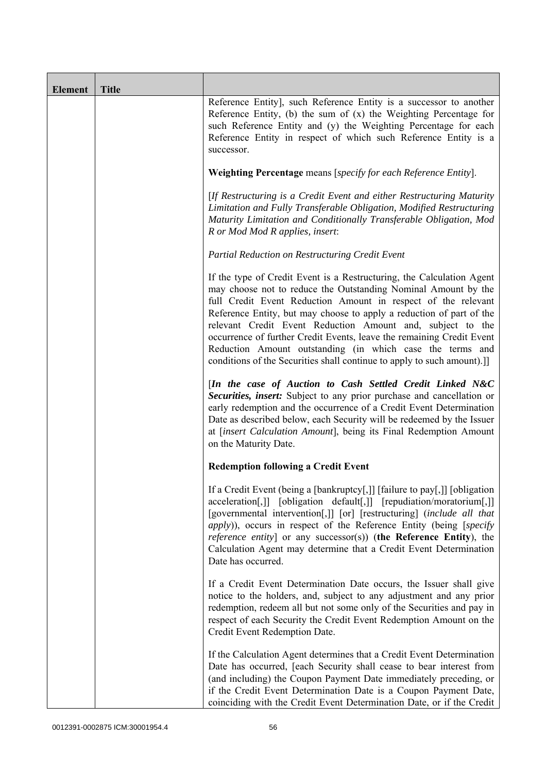| <b>Element</b> | <b>Title</b> |                                                                                                                                                                                                                                                                                                                                                                                                                                                                                                                                                                 |
|----------------|--------------|-----------------------------------------------------------------------------------------------------------------------------------------------------------------------------------------------------------------------------------------------------------------------------------------------------------------------------------------------------------------------------------------------------------------------------------------------------------------------------------------------------------------------------------------------------------------|
|                |              | Reference Entity], such Reference Entity is a successor to another<br>Reference Entity, (b) the sum of $(x)$ the Weighting Percentage for<br>such Reference Entity and (y) the Weighting Percentage for each<br>Reference Entity in respect of which such Reference Entity is a<br>successor.                                                                                                                                                                                                                                                                   |
|                |              | Weighting Percentage means [specify for each Reference Entity].                                                                                                                                                                                                                                                                                                                                                                                                                                                                                                 |
|                |              | [If Restructuring is a Credit Event and either Restructuring Maturity<br>Limitation and Fully Transferable Obligation, Modified Restructuring<br>Maturity Limitation and Conditionally Transferable Obligation, Mod<br>R or Mod Mod R applies, insert:                                                                                                                                                                                                                                                                                                          |
|                |              | Partial Reduction on Restructuring Credit Event                                                                                                                                                                                                                                                                                                                                                                                                                                                                                                                 |
|                |              | If the type of Credit Event is a Restructuring, the Calculation Agent<br>may choose not to reduce the Outstanding Nominal Amount by the<br>full Credit Event Reduction Amount in respect of the relevant<br>Reference Entity, but may choose to apply a reduction of part of the<br>relevant Credit Event Reduction Amount and, subject to the<br>occurrence of further Credit Events, leave the remaining Credit Event<br>Reduction Amount outstanding (in which case the terms and<br>conditions of the Securities shall continue to apply to such amount).]] |
|                |              | [In the case of Auction to Cash Settled Credit Linked N&C<br>Securities, insert: Subject to any prior purchase and cancellation or<br>early redemption and the occurrence of a Credit Event Determination<br>Date as described below, each Security will be redeemed by the Issuer<br>at [insert Calculation Amount], being its Final Redemption Amount<br>on the Maturity Date.                                                                                                                                                                                |
|                |              | <b>Redemption following a Credit Event</b>                                                                                                                                                                                                                                                                                                                                                                                                                                                                                                                      |
|                |              | If a Credit Event (being a [bankruptcy[,]] [failure to pay[,]] [obligation<br>acceleration[,]] [obligation default[,]] [repudiation/moratorium[,]]<br>[governmental intervention[,]] [or] [restructuring] (include all that<br><i>apply</i> )), occurs in respect of the Reference Entity (being [specify<br><i>reference entity</i> ] or any successor(s)) (the Reference Entity), the<br>Calculation Agent may determine that a Credit Event Determination<br>Date has occurred.                                                                              |
|                |              | If a Credit Event Determination Date occurs, the Issuer shall give<br>notice to the holders, and, subject to any adjustment and any prior<br>redemption, redeem all but not some only of the Securities and pay in<br>respect of each Security the Credit Event Redemption Amount on the<br>Credit Event Redemption Date.                                                                                                                                                                                                                                       |
|                |              | If the Calculation Agent determines that a Credit Event Determination<br>Date has occurred, [each Security shall cease to bear interest from<br>(and including) the Coupon Payment Date immediately preceding, or<br>if the Credit Event Determination Date is a Coupon Payment Date,<br>coinciding with the Credit Event Determination Date, or if the Credit                                                                                                                                                                                                  |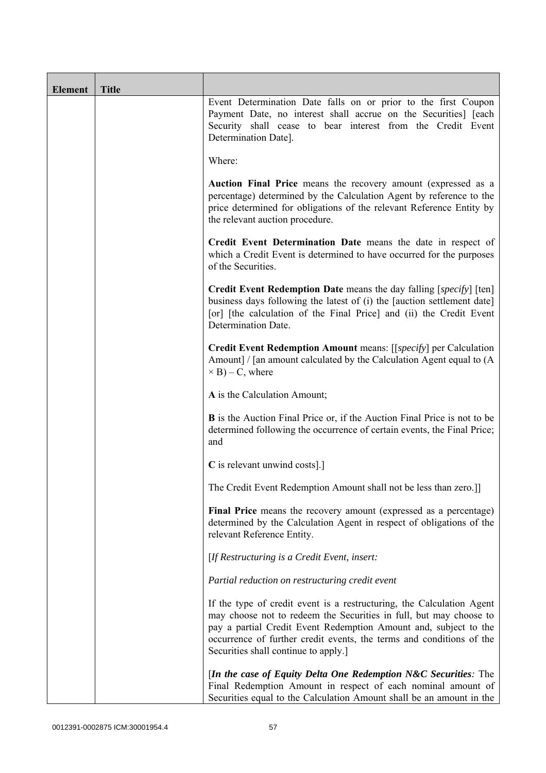| <b>Element</b> | <b>Title</b> |                                                                                                                                                                                                                                                                                                                                 |
|----------------|--------------|---------------------------------------------------------------------------------------------------------------------------------------------------------------------------------------------------------------------------------------------------------------------------------------------------------------------------------|
|                |              | Event Determination Date falls on or prior to the first Coupon<br>Payment Date, no interest shall accrue on the Securities] [each<br>Security shall cease to bear interest from the Credit Event<br>Determination Date].                                                                                                        |
|                |              | Where:                                                                                                                                                                                                                                                                                                                          |
|                |              | Auction Final Price means the recovery amount (expressed as a<br>percentage) determined by the Calculation Agent by reference to the<br>price determined for obligations of the relevant Reference Entity by<br>the relevant auction procedure.                                                                                 |
|                |              | Credit Event Determination Date means the date in respect of<br>which a Credit Event is determined to have occurred for the purposes<br>of the Securities.                                                                                                                                                                      |
|                |              | <b>Credit Event Redemption Date</b> means the day falling [specify] [ten]<br>business days following the latest of (i) the [auction settlement date]<br>[or] [the calculation of the Final Price] and (ii) the Credit Event<br>Determination Date.                                                                              |
|                |              | Credit Event Redemption Amount means: [[specify] per Calculation<br>Amount] / [an amount calculated by the Calculation Agent equal to (A)<br>$\times$ B) – C, where                                                                                                                                                             |
|                |              | A is the Calculation Amount;                                                                                                                                                                                                                                                                                                    |
|                |              | <b>B</b> is the Auction Final Price or, if the Auction Final Price is not to be<br>determined following the occurrence of certain events, the Final Price;<br>and                                                                                                                                                               |
|                |              | C is relevant unwind costs].]                                                                                                                                                                                                                                                                                                   |
|                |              | The Credit Event Redemption Amount shall not be less than zero.]]                                                                                                                                                                                                                                                               |
|                |              | Final Price means the recovery amount (expressed as a percentage)<br>determined by the Calculation Agent in respect of obligations of the<br>relevant Reference Entity.                                                                                                                                                         |
|                |              | [If Restructuring is a Credit Event, insert:                                                                                                                                                                                                                                                                                    |
|                |              | Partial reduction on restructuring credit event                                                                                                                                                                                                                                                                                 |
|                |              | If the type of credit event is a restructuring, the Calculation Agent<br>may choose not to redeem the Securities in full, but may choose to<br>pay a partial Credit Event Redemption Amount and, subject to the<br>occurrence of further credit events, the terms and conditions of the<br>Securities shall continue to apply.] |
|                |              | [In the case of Equity Delta One Redemption N&C Securities: The<br>Final Redemption Amount in respect of each nominal amount of<br>Securities equal to the Calculation Amount shall be an amount in the                                                                                                                         |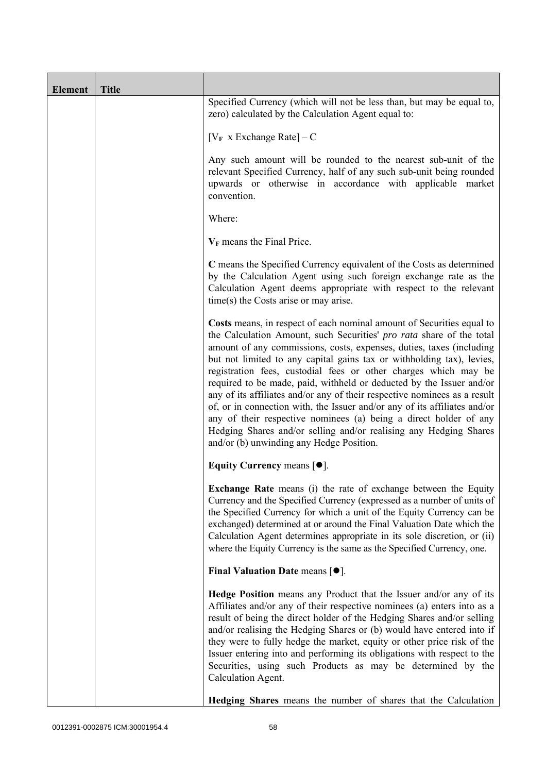| <b>Element</b> | <b>Title</b> |                                                                                                                                                                                                                                                                                                                                                                                                                                                                                                                                                                                                                                                                                                                                                                                           |  |
|----------------|--------------|-------------------------------------------------------------------------------------------------------------------------------------------------------------------------------------------------------------------------------------------------------------------------------------------------------------------------------------------------------------------------------------------------------------------------------------------------------------------------------------------------------------------------------------------------------------------------------------------------------------------------------------------------------------------------------------------------------------------------------------------------------------------------------------------|--|
|                |              | Specified Currency (which will not be less than, but may be equal to,<br>zero) calculated by the Calculation Agent equal to:                                                                                                                                                                                                                                                                                                                                                                                                                                                                                                                                                                                                                                                              |  |
|                |              | $[V_F \times Exchange Rate] - C$                                                                                                                                                                                                                                                                                                                                                                                                                                                                                                                                                                                                                                                                                                                                                          |  |
|                |              | Any such amount will be rounded to the nearest sub-unit of the<br>relevant Specified Currency, half of any such sub-unit being rounded<br>upwards or otherwise in accordance with applicable market<br>convention.                                                                                                                                                                                                                                                                                                                                                                                                                                                                                                                                                                        |  |
|                |              | Where:                                                                                                                                                                                                                                                                                                                                                                                                                                                                                                                                                                                                                                                                                                                                                                                    |  |
|                |              | $V_F$ means the Final Price.                                                                                                                                                                                                                                                                                                                                                                                                                                                                                                                                                                                                                                                                                                                                                              |  |
|                |              | C means the Specified Currency equivalent of the Costs as determined<br>by the Calculation Agent using such foreign exchange rate as the<br>Calculation Agent deems appropriate with respect to the relevant<br>$time(s)$ the Costs arise or may arise.                                                                                                                                                                                                                                                                                                                                                                                                                                                                                                                                   |  |
|                |              | Costs means, in respect of each nominal amount of Securities equal to<br>the Calculation Amount, such Securities' pro rata share of the total<br>amount of any commissions, costs, expenses, duties, taxes (including<br>but not limited to any capital gains tax or withholding tax), levies,<br>registration fees, custodial fees or other charges which may be<br>required to be made, paid, withheld or deducted by the Issuer and/or<br>any of its affiliates and/or any of their respective nominees as a result<br>of, or in connection with, the Issuer and/or any of its affiliates and/or<br>any of their respective nominees (a) being a direct holder of any<br>Hedging Shares and/or selling and/or realising any Hedging Shares<br>and/or (b) unwinding any Hedge Position. |  |
|                |              | Equity Currency means $[•]$ .                                                                                                                                                                                                                                                                                                                                                                                                                                                                                                                                                                                                                                                                                                                                                             |  |
|                |              | <b>Exchange Rate</b> means (i) the rate of exchange between the Equity<br>Currency and the Specified Currency (expressed as a number of units of<br>the Specified Currency for which a unit of the Equity Currency can be<br>exchanged) determined at or around the Final Valuation Date which the<br>Calculation Agent determines appropriate in its sole discretion, or (ii)<br>where the Equity Currency is the same as the Specified Currency, one.                                                                                                                                                                                                                                                                                                                                   |  |
|                |              | Final Valuation Date means $[•]$ .                                                                                                                                                                                                                                                                                                                                                                                                                                                                                                                                                                                                                                                                                                                                                        |  |
|                |              | Hedge Position means any Product that the Issuer and/or any of its<br>Affiliates and/or any of their respective nominees (a) enters into as a<br>result of being the direct holder of the Hedging Shares and/or selling<br>and/or realising the Hedging Shares or (b) would have entered into if<br>they were to fully hedge the market, equity or other price risk of the<br>Issuer entering into and performing its obligations with respect to the<br>Securities, using such Products as may be determined by the<br>Calculation Agent.                                                                                                                                                                                                                                                |  |
|                |              | Hedging Shares means the number of shares that the Calculation                                                                                                                                                                                                                                                                                                                                                                                                                                                                                                                                                                                                                                                                                                                            |  |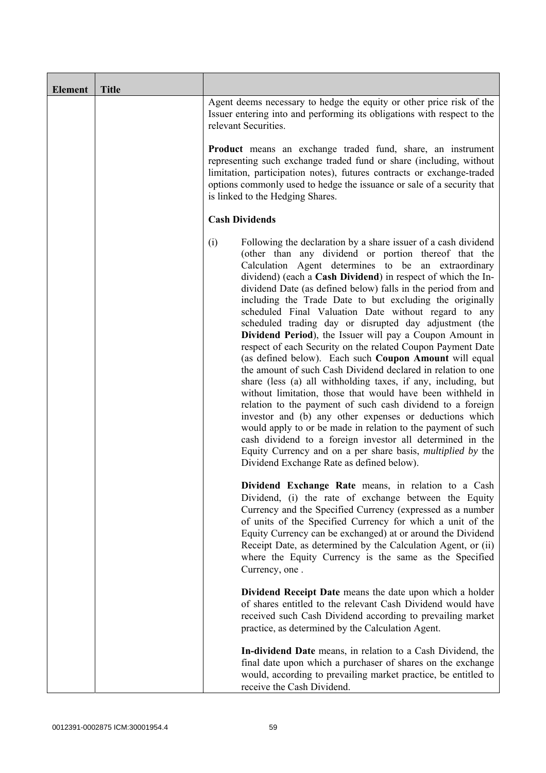| Element | <b>Title</b> |                                                                                                                                                                                                                                                                                                                                                                                                                                                                                                                                                                                                                                                                                                                                                                                                                                                                                                                                                                                                                                                                                                                                                                                                                                                                  |  |
|---------|--------------|------------------------------------------------------------------------------------------------------------------------------------------------------------------------------------------------------------------------------------------------------------------------------------------------------------------------------------------------------------------------------------------------------------------------------------------------------------------------------------------------------------------------------------------------------------------------------------------------------------------------------------------------------------------------------------------------------------------------------------------------------------------------------------------------------------------------------------------------------------------------------------------------------------------------------------------------------------------------------------------------------------------------------------------------------------------------------------------------------------------------------------------------------------------------------------------------------------------------------------------------------------------|--|
|         |              | Agent deems necessary to hedge the equity or other price risk of the<br>Issuer entering into and performing its obligations with respect to the<br>relevant Securities.<br><b>Product</b> means an exchange traded fund, share, an instrument<br>representing such exchange traded fund or share (including, without<br>limitation, participation notes), futures contracts or exchange-traded<br>options commonly used to hedge the issuance or sale of a security that<br>is linked to the Hedging Shares.                                                                                                                                                                                                                                                                                                                                                                                                                                                                                                                                                                                                                                                                                                                                                     |  |
|         |              |                                                                                                                                                                                                                                                                                                                                                                                                                                                                                                                                                                                                                                                                                                                                                                                                                                                                                                                                                                                                                                                                                                                                                                                                                                                                  |  |
|         |              | <b>Cash Dividends</b>                                                                                                                                                                                                                                                                                                                                                                                                                                                                                                                                                                                                                                                                                                                                                                                                                                                                                                                                                                                                                                                                                                                                                                                                                                            |  |
|         |              | (i)<br>Following the declaration by a share issuer of a cash dividend<br>(other than any dividend or portion thereof that the<br>Calculation Agent determines to be an extraordinary<br>dividend) (each a Cash Dividend) in respect of which the In-<br>dividend Date (as defined below) falls in the period from and<br>including the Trade Date to but excluding the originally<br>scheduled Final Valuation Date without regard to any<br>scheduled trading day or disrupted day adjustment (the<br>Dividend Period), the Issuer will pay a Coupon Amount in<br>respect of each Security on the related Coupon Payment Date<br>(as defined below). Each such Coupon Amount will equal<br>the amount of such Cash Dividend declared in relation to one<br>share (less (a) all withholding taxes, if any, including, but<br>without limitation, those that would have been withheld in<br>relation to the payment of such cash dividend to a foreign<br>investor and (b) any other expenses or deductions which<br>would apply to or be made in relation to the payment of such<br>cash dividend to a foreign investor all determined in the<br>Equity Currency and on a per share basis, <i>multiplied by</i> the<br>Dividend Exchange Rate as defined below). |  |
|         |              | Dividend Exchange Rate means, in relation to a Cash<br>Dividend, (i) the rate of exchange between the Equity<br>Currency and the Specified Currency (expressed as a number<br>of units of the Specified Currency for which a unit of the<br>Equity Currency can be exchanged) at or around the Dividend<br>Receipt Date, as determined by the Calculation Agent, or (ii)<br>where the Equity Currency is the same as the Specified<br>Currency, one.                                                                                                                                                                                                                                                                                                                                                                                                                                                                                                                                                                                                                                                                                                                                                                                                             |  |
|         |              | Dividend Receipt Date means the date upon which a holder<br>of shares entitled to the relevant Cash Dividend would have<br>received such Cash Dividend according to prevailing market<br>practice, as determined by the Calculation Agent.                                                                                                                                                                                                                                                                                                                                                                                                                                                                                                                                                                                                                                                                                                                                                                                                                                                                                                                                                                                                                       |  |
|         |              | In-dividend Date means, in relation to a Cash Dividend, the<br>final date upon which a purchaser of shares on the exchange<br>would, according to prevailing market practice, be entitled to<br>receive the Cash Dividend.                                                                                                                                                                                                                                                                                                                                                                                                                                                                                                                                                                                                                                                                                                                                                                                                                                                                                                                                                                                                                                       |  |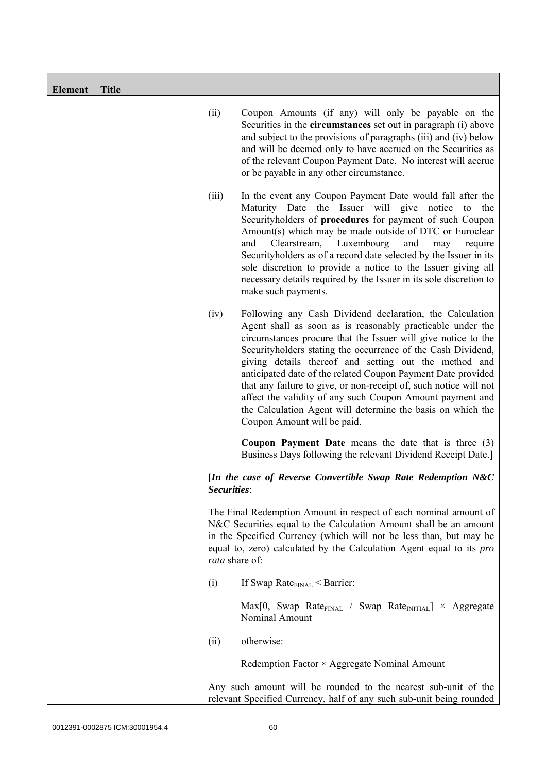| <b>Element</b> | <b>Title</b> |                                                                                                                                                                                                                                                                                                              |                                                                                                                                                                                                                                                                                                                                                                                                                                                                                                                                                                                                                  |
|----------------|--------------|--------------------------------------------------------------------------------------------------------------------------------------------------------------------------------------------------------------------------------------------------------------------------------------------------------------|------------------------------------------------------------------------------------------------------------------------------------------------------------------------------------------------------------------------------------------------------------------------------------------------------------------------------------------------------------------------------------------------------------------------------------------------------------------------------------------------------------------------------------------------------------------------------------------------------------------|
|                |              | (ii)                                                                                                                                                                                                                                                                                                         | Coupon Amounts (if any) will only be payable on the<br>Securities in the <b>circumstances</b> set out in paragraph (i) above<br>and subject to the provisions of paragraphs (iii) and (iv) below<br>and will be deemed only to have accrued on the Securities as<br>of the relevant Coupon Payment Date. No interest will accrue<br>or be payable in any other circumstance.                                                                                                                                                                                                                                     |
|                |              | (iii)<br>and                                                                                                                                                                                                                                                                                                 | In the event any Coupon Payment Date would fall after the<br>Maturity Date the Issuer will give notice<br>the<br>to<br>Securityholders of procedures for payment of such Coupon<br>Amount(s) which may be made outside of DTC or Euroclear<br>Clearstream,<br>Luxembourg<br>and<br>require<br>may<br>Securityholders as of a record date selected by the Issuer in its<br>sole discretion to provide a notice to the Issuer giving all<br>necessary details required by the Issuer in its sole discretion to<br>make such payments.                                                                              |
|                |              | (iv)                                                                                                                                                                                                                                                                                                         | Following any Cash Dividend declaration, the Calculation<br>Agent shall as soon as is reasonably practicable under the<br>circumstances procure that the Issuer will give notice to the<br>Securityholders stating the occurrence of the Cash Dividend,<br>giving details thereof and setting out the method and<br>anticipated date of the related Coupon Payment Date provided<br>that any failure to give, or non-receipt of, such notice will not<br>affect the validity of any such Coupon Amount payment and<br>the Calculation Agent will determine the basis on which the<br>Coupon Amount will be paid. |
|                |              |                                                                                                                                                                                                                                                                                                              | Coupon Payment Date means the date that is three (3)<br>Business Days following the relevant Dividend Receipt Date.]                                                                                                                                                                                                                                                                                                                                                                                                                                                                                             |
|                |              | Securities:                                                                                                                                                                                                                                                                                                  | [In the case of Reverse Convertible Swap Rate Redemption N&C                                                                                                                                                                                                                                                                                                                                                                                                                                                                                                                                                     |
|                |              | The Final Redemption Amount in respect of each nominal amount of<br>N&C Securities equal to the Calculation Amount shall be an amount<br>in the Specified Currency (which will not be less than, but may be<br>equal to, zero) calculated by the Calculation Agent equal to its <i>pro</i><br>rata share of: |                                                                                                                                                                                                                                                                                                                                                                                                                                                                                                                                                                                                                  |
|                |              | (i)                                                                                                                                                                                                                                                                                                          | If Swap Rate $_{\text{FINAL}}$ < Barrier:                                                                                                                                                                                                                                                                                                                                                                                                                                                                                                                                                                        |
|                |              |                                                                                                                                                                                                                                                                                                              | $Max[0, Swap Rate_{FINAL} / Swap Rate_{INITIAL}] \times Aggregate$<br>Nominal Amount                                                                                                                                                                                                                                                                                                                                                                                                                                                                                                                             |
|                |              | otherwise:<br>(ii)                                                                                                                                                                                                                                                                                           |                                                                                                                                                                                                                                                                                                                                                                                                                                                                                                                                                                                                                  |
|                |              | Redemption Factor × Aggregate Nominal Amount                                                                                                                                                                                                                                                                 |                                                                                                                                                                                                                                                                                                                                                                                                                                                                                                                                                                                                                  |
|                |              |                                                                                                                                                                                                                                                                                                              | Any such amount will be rounded to the nearest sub-unit of the<br>relevant Specified Currency, half of any such sub-unit being rounded                                                                                                                                                                                                                                                                                                                                                                                                                                                                           |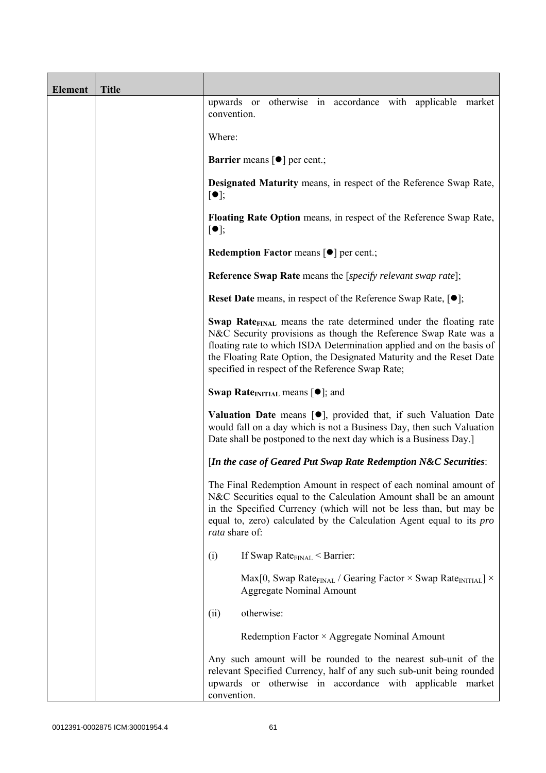| <b>Element</b> | <b>Title</b> |                                                                                                                                                                                                                                                                                                                                                             |
|----------------|--------------|-------------------------------------------------------------------------------------------------------------------------------------------------------------------------------------------------------------------------------------------------------------------------------------------------------------------------------------------------------------|
|                |              | otherwise in accordance with applicable market<br>upwards or<br>convention.                                                                                                                                                                                                                                                                                 |
|                |              | Where:                                                                                                                                                                                                                                                                                                                                                      |
|                |              | <b>Barrier</b> means $\lceil \bullet \rceil$ per cent.;                                                                                                                                                                                                                                                                                                     |
|                |              | <b>Designated Maturity means, in respect of the Reference Swap Rate,</b><br>$\lceil \bullet \rceil;$                                                                                                                                                                                                                                                        |
|                |              | <b>Floating Rate Option</b> means, in respect of the Reference Swap Rate,<br>$[\bullet]$ ;                                                                                                                                                                                                                                                                  |
|                |              | Redemption Factor means [ $\bullet$ ] per cent.;                                                                                                                                                                                                                                                                                                            |
|                |              | <b>Reference Swap Rate</b> means the [specify relevant swap rate];                                                                                                                                                                                                                                                                                          |
|                |              | <b>Reset Date</b> means, in respect of the Reference Swap Rate, $[•]$ ;                                                                                                                                                                                                                                                                                     |
|                |              | <b>Swap Rate</b> <sub>FINAL</sub> means the rate determined under the floating rate<br>N&C Security provisions as though the Reference Swap Rate was a<br>floating rate to which ISDA Determination applied and on the basis of<br>the Floating Rate Option, the Designated Maturity and the Reset Date<br>specified in respect of the Reference Swap Rate; |
|                |              | <b>Swap Rate</b> <sub>INITIAL</sub> means $[\bullet]$ ; and                                                                                                                                                                                                                                                                                                 |
|                |              | <b>Valuation Date</b> means $[\bullet]$ , provided that, if such Valuation Date<br>would fall on a day which is not a Business Day, then such Valuation<br>Date shall be postponed to the next day which is a Business Day.]                                                                                                                                |
|                |              | [In the case of Geared Put Swap Rate Redemption N&C Securities:                                                                                                                                                                                                                                                                                             |
|                |              | The Final Redemption Amount in respect of each nominal amount of<br>N&C Securities equal to the Calculation Amount shall be an amount<br>in the Specified Currency (which will not be less than, but may be<br>equal to, zero) calculated by the Calculation Agent equal to its <i>pro</i><br>rata share of:                                                |
|                |              | If Swap Rate $_{\text{FINAL}}$ < Barrier:<br>(i)                                                                                                                                                                                                                                                                                                            |
|                |              | Max[0, Swap Rate <sub>FINAL</sub> / Gearing Factor $\times$ Swap Rate <sub>INITIAL</sub> ] $\times$<br><b>Aggregate Nominal Amount</b>                                                                                                                                                                                                                      |
|                |              | otherwise:<br>(ii)                                                                                                                                                                                                                                                                                                                                          |
|                |              | Redemption Factor × Aggregate Nominal Amount                                                                                                                                                                                                                                                                                                                |
|                |              | Any such amount will be rounded to the nearest sub-unit of the<br>relevant Specified Currency, half of any such sub-unit being rounded<br>upwards or otherwise in accordance with applicable market<br>convention.                                                                                                                                          |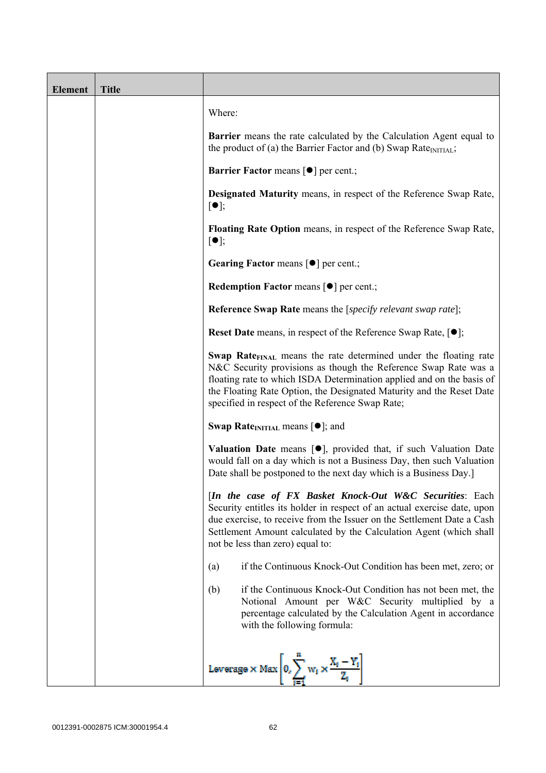| <b>Element</b> | <b>Title</b> |                                                                                                                                                                                                                                                                                                                                                      |
|----------------|--------------|------------------------------------------------------------------------------------------------------------------------------------------------------------------------------------------------------------------------------------------------------------------------------------------------------------------------------------------------------|
|                |              | Where:                                                                                                                                                                                                                                                                                                                                               |
|                |              | <b>Barrier</b> means the rate calculated by the Calculation Agent equal to<br>the product of (a) the Barrier Factor and (b) Swap Rate <sub>INITIAL</sub> ;                                                                                                                                                                                           |
|                |              | <b>Barrier Factor means [O] per cent.;</b>                                                                                                                                                                                                                                                                                                           |
|                |              | Designated Maturity means, in respect of the Reference Swap Rate,<br>$\lceil \bullet \rceil;$                                                                                                                                                                                                                                                        |
|                |              | Floating Rate Option means, in respect of the Reference Swap Rate,<br>$[\bullet]$ ;                                                                                                                                                                                                                                                                  |
|                |              | Gearing Factor means [ $\bullet$ ] per cent.;                                                                                                                                                                                                                                                                                                        |
|                |              | <b>Redemption Factor means <math>\lceil \bullet \rceil</math> per cent.;</b>                                                                                                                                                                                                                                                                         |
|                |              | <b>Reference Swap Rate</b> means the [specify relevant swap rate];                                                                                                                                                                                                                                                                                   |
|                |              | <b>Reset Date</b> means, in respect of the Reference Swap Rate, $[•]$ ;                                                                                                                                                                                                                                                                              |
|                |              | Swap Rate <sub>FINAL</sub> means the rate determined under the floating rate<br>N&C Security provisions as though the Reference Swap Rate was a<br>floating rate to which ISDA Determination applied and on the basis of<br>the Floating Rate Option, the Designated Maturity and the Reset Date<br>specified in respect of the Reference Swap Rate; |
|                |              | <b>Swap Rate</b> <sub>INITIAL</sub> means $[\bullet]$ ; and                                                                                                                                                                                                                                                                                          |
|                |              | <b>Valuation Date</b> means $[\bullet]$ , provided that, if such Valuation Date<br>would fall on a day which is not a Business Day, then such Valuation<br>Date shall be postponed to the next day which is a Business Day.]                                                                                                                         |
|                |              | [In the case of FX Basket Knock-Out W&C Securities: Each<br>Security entitles its holder in respect of an actual exercise date, upon<br>due exercise, to receive from the Issuer on the Settlement Date a Cash<br>Settlement Amount calculated by the Calculation Agent (which shall<br>not be less than zero) equal to:                             |
|                |              | if the Continuous Knock-Out Condition has been met, zero; or<br>(a)                                                                                                                                                                                                                                                                                  |
|                |              | if the Continuous Knock-Out Condition has not been met, the<br>(b)<br>Notional Amount per W&C Security multiplied by a<br>percentage calculated by the Calculation Agent in accordance<br>with the following formula:                                                                                                                                |
|                |              | Leverage $\times$ Max $\left 0, \sum_{i=1}^{n} w_i \times \frac{X_i - Y_i}{Z_i}\right $                                                                                                                                                                                                                                                              |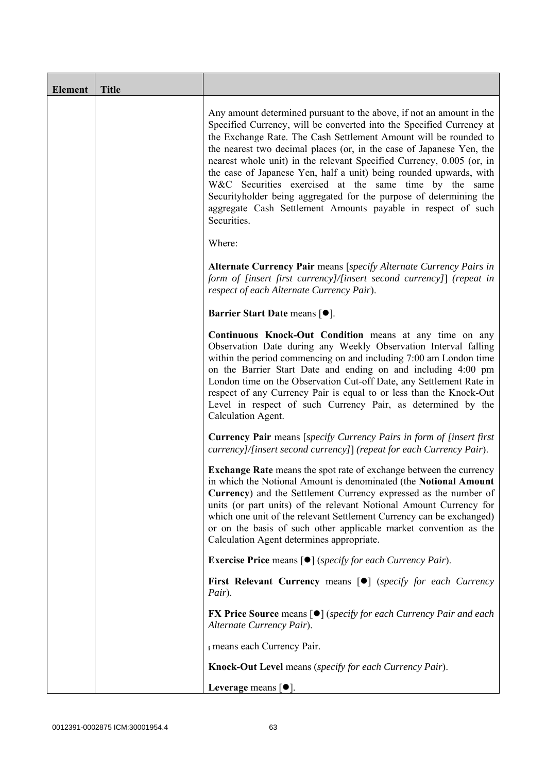| <b>Element</b> | <b>Title</b> |                                                                                                                                                                                                                                                                                                                                                                                                                                                                                                                                                                                                                                                       |
|----------------|--------------|-------------------------------------------------------------------------------------------------------------------------------------------------------------------------------------------------------------------------------------------------------------------------------------------------------------------------------------------------------------------------------------------------------------------------------------------------------------------------------------------------------------------------------------------------------------------------------------------------------------------------------------------------------|
|                |              | Any amount determined pursuant to the above, if not an amount in the<br>Specified Currency, will be converted into the Specified Currency at<br>the Exchange Rate. The Cash Settlement Amount will be rounded to<br>the nearest two decimal places (or, in the case of Japanese Yen, the<br>nearest whole unit) in the relevant Specified Currency, 0.005 (or, in<br>the case of Japanese Yen, half a unit) being rounded upwards, with<br>W&C Securities exercised at the same time by the same<br>Securityholder being aggregated for the purpose of determining the<br>aggregate Cash Settlement Amounts payable in respect of such<br>Securities. |
|                |              | Where:                                                                                                                                                                                                                                                                                                                                                                                                                                                                                                                                                                                                                                                |
|                |              | Alternate Currency Pair means [specify Alternate Currency Pairs in<br>form of [insert first currency]/[insert second currency]] (repeat in<br>respect of each Alternate Currency Pair).                                                                                                                                                                                                                                                                                                                                                                                                                                                               |
|                |              | <b>Barrier Start Date means [<math>\bullet</math>].</b>                                                                                                                                                                                                                                                                                                                                                                                                                                                                                                                                                                                               |
|                |              | Continuous Knock-Out Condition means at any time on any<br>Observation Date during any Weekly Observation Interval falling<br>within the period commencing on and including 7:00 am London time<br>on the Barrier Start Date and ending on and including 4:00 pm<br>London time on the Observation Cut-off Date, any Settlement Rate in<br>respect of any Currency Pair is equal to or less than the Knock-Out<br>Level in respect of such Currency Pair, as determined by the<br>Calculation Agent.                                                                                                                                                  |
|                |              | <b>Currency Pair</b> means [specify Currency Pairs in form of [insert first]<br>currency]/[insert second currency]] (repeat for each Currency Pair).                                                                                                                                                                                                                                                                                                                                                                                                                                                                                                  |
|                |              | <b>Exchange Rate</b> means the spot rate of exchange between the currency<br>in which the Notional Amount is denominated (the Notional Amount<br>Currency) and the Settlement Currency expressed as the number of<br>units (or part units) of the relevant Notional Amount Currency for<br>which one unit of the relevant Settlement Currency can be exchanged)<br>or on the basis of such other applicable market convention as the<br>Calculation Agent determines appropriate.                                                                                                                                                                     |
|                |              | <b>Exercise Price</b> means $\lceil \bullet \rceil$ ( <i>specify for each Currency Pair</i> ).                                                                                                                                                                                                                                                                                                                                                                                                                                                                                                                                                        |
|                |              | <b>First Relevant Currency means [O]</b> (specify for each Currency<br>Pair).                                                                                                                                                                                                                                                                                                                                                                                                                                                                                                                                                                         |
|                |              | <b>FX Price Source</b> means $\lceil \bullet \rceil$ (specify for each Currency Pair and each<br>Alternate Currency Pair).                                                                                                                                                                                                                                                                                                                                                                                                                                                                                                                            |
|                |              | i means each Currency Pair.                                                                                                                                                                                                                                                                                                                                                                                                                                                                                                                                                                                                                           |
|                |              | Knock-Out Level means (specify for each Currency Pair).                                                                                                                                                                                                                                                                                                                                                                                                                                                                                                                                                                                               |
|                |              | Leverage means $[\bullet].$                                                                                                                                                                                                                                                                                                                                                                                                                                                                                                                                                                                                                           |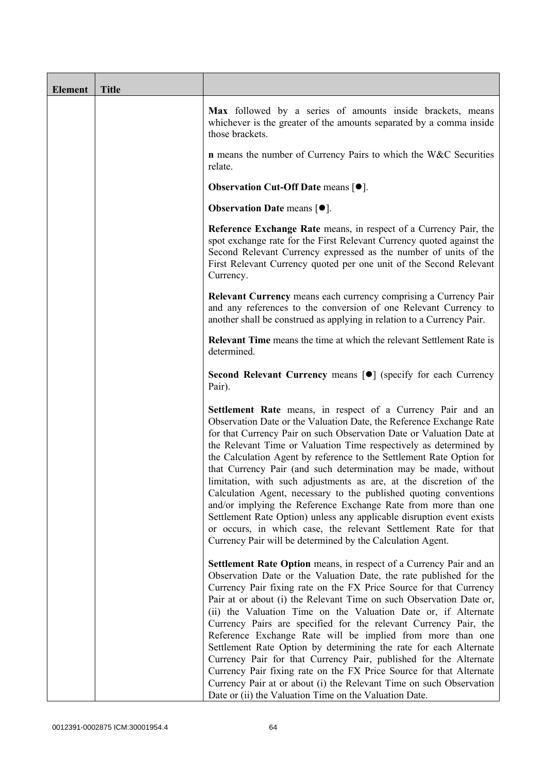| <b>Element</b> | <b>Title</b> |                                                                                                                                                                                                                                                                                                                                                                                                                                                                                                                                                                                                                                                                                                                                                                                                                                                   |
|----------------|--------------|---------------------------------------------------------------------------------------------------------------------------------------------------------------------------------------------------------------------------------------------------------------------------------------------------------------------------------------------------------------------------------------------------------------------------------------------------------------------------------------------------------------------------------------------------------------------------------------------------------------------------------------------------------------------------------------------------------------------------------------------------------------------------------------------------------------------------------------------------|
|                |              | Max followed by a series of amounts inside brackets, means<br>whichever is the greater of the amounts separated by a comma inside<br>those brackets.                                                                                                                                                                                                                                                                                                                                                                                                                                                                                                                                                                                                                                                                                              |
|                |              | n means the number of Currency Pairs to which the W&C Securities<br>relate.                                                                                                                                                                                                                                                                                                                                                                                                                                                                                                                                                                                                                                                                                                                                                                       |
|                |              | <b>Observation Cut-Off Date means <math>[•]</math>.</b>                                                                                                                                                                                                                                                                                                                                                                                                                                                                                                                                                                                                                                                                                                                                                                                           |
|                |              | <b>Observation Date means <math>\lceil \bullet \rceil</math>.</b>                                                                                                                                                                                                                                                                                                                                                                                                                                                                                                                                                                                                                                                                                                                                                                                 |
|                |              | Reference Exchange Rate means, in respect of a Currency Pair, the<br>spot exchange rate for the First Relevant Currency quoted against the<br>Second Relevant Currency expressed as the number of units of the<br>First Relevant Currency quoted per one unit of the Second Relevant<br>Currency.                                                                                                                                                                                                                                                                                                                                                                                                                                                                                                                                                 |
|                |              | <b>Relevant Currency</b> means each currency comprising a Currency Pair<br>and any references to the conversion of one Relevant Currency to<br>another shall be construed as applying in relation to a Currency Pair.                                                                                                                                                                                                                                                                                                                                                                                                                                                                                                                                                                                                                             |
|                |              | Relevant Time means the time at which the relevant Settlement Rate is<br>determined.                                                                                                                                                                                                                                                                                                                                                                                                                                                                                                                                                                                                                                                                                                                                                              |
|                |              | Second Relevant Currency means [ $\bullet$ ] (specify for each Currency<br>Pair).                                                                                                                                                                                                                                                                                                                                                                                                                                                                                                                                                                                                                                                                                                                                                                 |
|                |              | Settlement Rate means, in respect of a Currency Pair and an<br>Observation Date or the Valuation Date, the Reference Exchange Rate<br>for that Currency Pair on such Observation Date or Valuation Date at<br>the Relevant Time or Valuation Time respectively as determined by<br>the Calculation Agent by reference to the Settlement Rate Option for<br>that Currency Pair (and such determination may be made, without<br>limitation, with such adjustments as are, at the discretion of the<br>Calculation Agent, necessary to the published quoting conventions<br>and/or implying the Reference Exchange Rate from more than one<br>Settlement Rate Option) unless any applicable disruption event exists<br>or occurs, in which case, the relevant Settlement Rate for that<br>Currency Pair will be determined by the Calculation Agent. |
|                |              | Settlement Rate Option means, in respect of a Currency Pair and an<br>Observation Date or the Valuation Date, the rate published for the<br>Currency Pair fixing rate on the FX Price Source for that Currency<br>Pair at or about (i) the Relevant Time on such Observation Date or,<br>(ii) the Valuation Time on the Valuation Date or, if Alternate<br>Currency Pairs are specified for the relevant Currency Pair, the<br>Reference Exchange Rate will be implied from more than one<br>Settlement Rate Option by determining the rate for each Alternate<br>Currency Pair for that Currency Pair, published for the Alternate<br>Currency Pair fixing rate on the FX Price Source for that Alternate<br>Currency Pair at or about (i) the Relevant Time on such Observation<br>Date or (ii) the Valuation Time on the Valuation Date.       |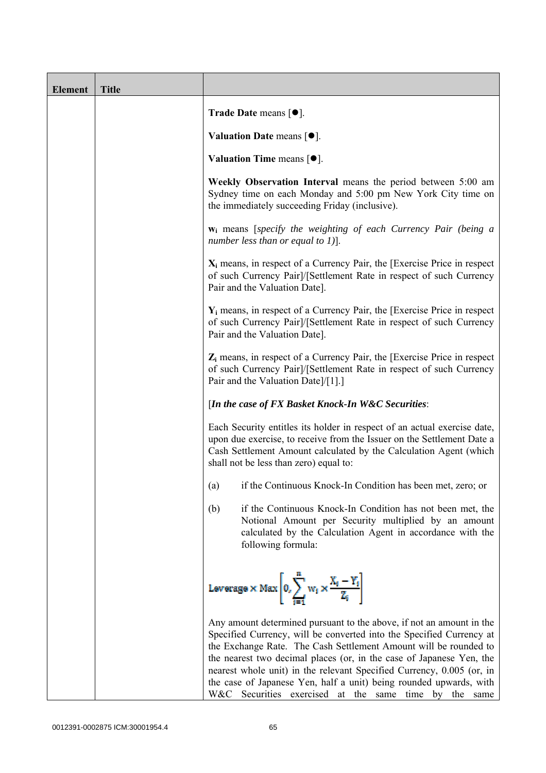| <b>Element</b> | <b>Title</b> |                                                                                                                                                                                                                                                                                                                                                                                                                                                                                                  |
|----------------|--------------|--------------------------------------------------------------------------------------------------------------------------------------------------------------------------------------------------------------------------------------------------------------------------------------------------------------------------------------------------------------------------------------------------------------------------------------------------------------------------------------------------|
|                |              | Trade Date means $[\bullet].$                                                                                                                                                                                                                                                                                                                                                                                                                                                                    |
|                |              | Valuation Date means $\lceil \bullet \rceil$ .                                                                                                                                                                                                                                                                                                                                                                                                                                                   |
|                |              | Valuation Time means $[•]$ .                                                                                                                                                                                                                                                                                                                                                                                                                                                                     |
|                |              | Weekly Observation Interval means the period between 5:00 am<br>Sydney time on each Monday and 5:00 pm New York City time on<br>the immediately succeeding Friday (inclusive).                                                                                                                                                                                                                                                                                                                   |
|                |              | $w_i$ means [specify the weighting of each Currency Pair (being a<br>number less than or equal to 1)].                                                                                                                                                                                                                                                                                                                                                                                           |
|                |              | $X_i$ means, in respect of a Currency Pair, the [Exercise Price in respect]<br>of such Currency Pair]/[Settlement Rate in respect of such Currency<br>Pair and the Valuation Date].                                                                                                                                                                                                                                                                                                              |
|                |              | $Y_i$ means, in respect of a Currency Pair, the [Exercise Price in respect]<br>of such Currency Pair]/[Settlement Rate in respect of such Currency<br>Pair and the Valuation Date].                                                                                                                                                                                                                                                                                                              |
|                |              | $Z_i$ means, in respect of a Currency Pair, the [Exercise Price in respect<br>of such Currency Pair]/[Settlement Rate in respect of such Currency<br>Pair and the Valuation Date]/[1].]                                                                                                                                                                                                                                                                                                          |
|                |              | [In the case of FX Basket Knock-In W&C Securities:                                                                                                                                                                                                                                                                                                                                                                                                                                               |
|                |              | Each Security entitles its holder in respect of an actual exercise date,<br>upon due exercise, to receive from the Issuer on the Settlement Date a<br>Cash Settlement Amount calculated by the Calculation Agent (which<br>shall not be less than zero) equal to:                                                                                                                                                                                                                                |
|                |              | if the Continuous Knock-In Condition has been met, zero; or<br>(a)                                                                                                                                                                                                                                                                                                                                                                                                                               |
|                |              | (b)<br>if the Continuous Knock-In Condition has not been met, the<br>Notional Amount per Security multiplied by an amount<br>calculated by the Calculation Agent in accordance with the<br>following formula:                                                                                                                                                                                                                                                                                    |
|                |              | Leverage $\times$ Max $\left  0, \sum_{i=1}^m w_i \times \frac{X_i - Y_i}{Z_i} \right $                                                                                                                                                                                                                                                                                                                                                                                                          |
|                |              | Any amount determined pursuant to the above, if not an amount in the<br>Specified Currency, will be converted into the Specified Currency at<br>the Exchange Rate. The Cash Settlement Amount will be rounded to<br>the nearest two decimal places (or, in the case of Japanese Yen, the<br>nearest whole unit) in the relevant Specified Currency, 0.005 (or, in<br>the case of Japanese Yen, half a unit) being rounded upwards, with<br>W&C Securities exercised at the same time by the same |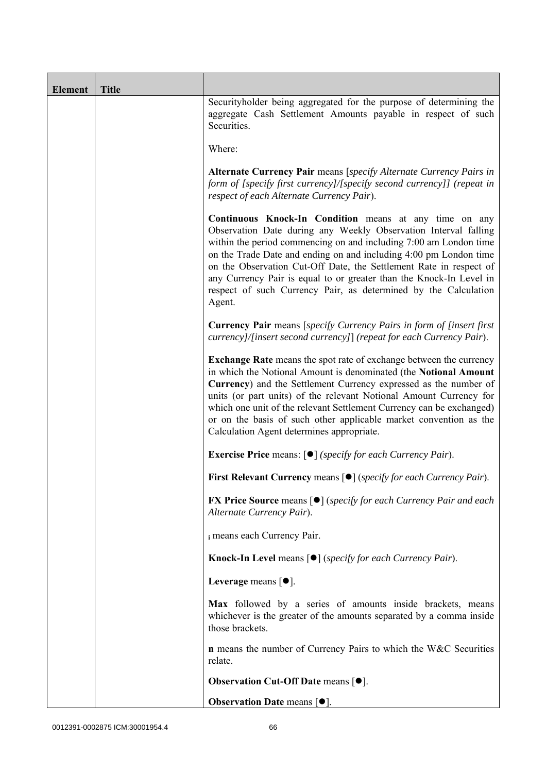| <b>Element</b> | <b>Title</b> |                                                                                                                                                                                                                                                                                                                                                                                                                                                                                               |
|----------------|--------------|-----------------------------------------------------------------------------------------------------------------------------------------------------------------------------------------------------------------------------------------------------------------------------------------------------------------------------------------------------------------------------------------------------------------------------------------------------------------------------------------------|
|                |              | Securityholder being aggregated for the purpose of determining the<br>aggregate Cash Settlement Amounts payable in respect of such<br>Securities.                                                                                                                                                                                                                                                                                                                                             |
|                |              | Where:                                                                                                                                                                                                                                                                                                                                                                                                                                                                                        |
|                |              | Alternate Currency Pair means [specify Alternate Currency Pairs in<br>form of [specify first currency]/[specify second currency]] (repeat in<br>respect of each Alternate Currency Pair).                                                                                                                                                                                                                                                                                                     |
|                |              | Continuous Knock-In Condition means at any time on any<br>Observation Date during any Weekly Observation Interval falling<br>within the period commencing on and including 7:00 am London time<br>on the Trade Date and ending on and including 4:00 pm London time<br>on the Observation Cut-Off Date, the Settlement Rate in respect of<br>any Currency Pair is equal to or greater than the Knock-In Level in<br>respect of such Currency Pair, as determined by the Calculation<br>Agent. |
|                |              | <b>Currency Pair</b> means [specify Currency Pairs in form of [insert first<br>currency]/[insert second currency]] (repeat for each Currency Pair).                                                                                                                                                                                                                                                                                                                                           |
|                |              | <b>Exchange Rate</b> means the spot rate of exchange between the currency<br>in which the Notional Amount is denominated (the Notional Amount<br>Currency) and the Settlement Currency expressed as the number of<br>units (or part units) of the relevant Notional Amount Currency for<br>which one unit of the relevant Settlement Currency can be exchanged)<br>or on the basis of such other applicable market convention as the<br>Calculation Agent determines appropriate.             |
|                |              | <b>Exercise Price</b> means: $\lceil \bullet \rceil$ ( <i>specify for each Currency Pair</i> ).                                                                                                                                                                                                                                                                                                                                                                                               |
|                |              | First Relevant Currency means [ $\bullet$ ] (specify for each Currency Pair).                                                                                                                                                                                                                                                                                                                                                                                                                 |
|                |              | <b>FX Price Source means [<math>\bullet</math>]</b> ( <i>specify for each Currency Pair and each</i><br>Alternate Currency Pair).                                                                                                                                                                                                                                                                                                                                                             |
|                |              | i means each Currency Pair.                                                                                                                                                                                                                                                                                                                                                                                                                                                                   |
|                |              | <b>Knock-In Level</b> means $\lceil \bullet \rceil$ ( <i>specify for each Currency Pair</i> ).                                                                                                                                                                                                                                                                                                                                                                                                |
|                |              | Leverage means $[•]$ .                                                                                                                                                                                                                                                                                                                                                                                                                                                                        |
|                |              | Max followed by a series of amounts inside brackets, means<br>whichever is the greater of the amounts separated by a comma inside<br>those brackets.                                                                                                                                                                                                                                                                                                                                          |
|                |              | <b>n</b> means the number of Currency Pairs to which the W&C Securities<br>relate.                                                                                                                                                                                                                                                                                                                                                                                                            |
|                |              | <b>Observation Cut-Off Date means [<math>\bullet</math>].</b>                                                                                                                                                                                                                                                                                                                                                                                                                                 |
|                |              | <b>Observation Date means <math>\lceil \bullet \rceil</math>.</b>                                                                                                                                                                                                                                                                                                                                                                                                                             |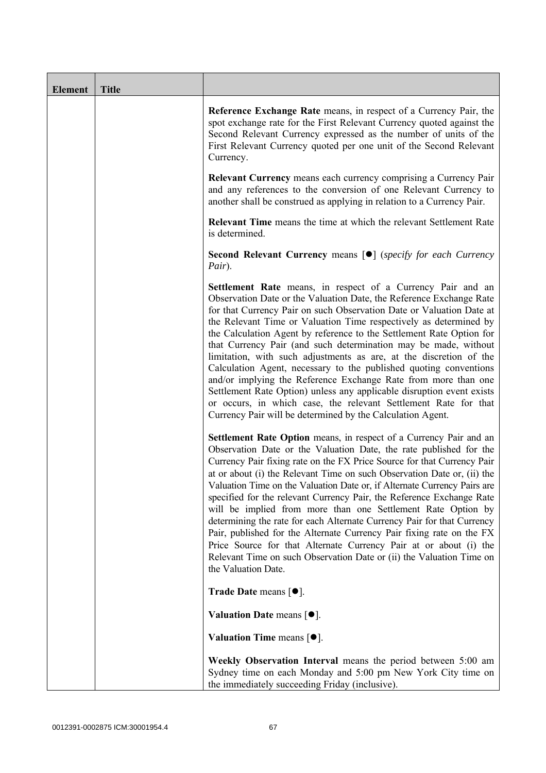| <b>Element</b> | <b>Title</b> |                                                                                                                                                                                                                                                                                                                                                                                                                                                                                                                                                                                                                                                                                                                                                                                                                                                    |
|----------------|--------------|----------------------------------------------------------------------------------------------------------------------------------------------------------------------------------------------------------------------------------------------------------------------------------------------------------------------------------------------------------------------------------------------------------------------------------------------------------------------------------------------------------------------------------------------------------------------------------------------------------------------------------------------------------------------------------------------------------------------------------------------------------------------------------------------------------------------------------------------------|
|                |              | Reference Exchange Rate means, in respect of a Currency Pair, the<br>spot exchange rate for the First Relevant Currency quoted against the<br>Second Relevant Currency expressed as the number of units of the<br>First Relevant Currency quoted per one unit of the Second Relevant<br>Currency.                                                                                                                                                                                                                                                                                                                                                                                                                                                                                                                                                  |
|                |              | <b>Relevant Currency</b> means each currency comprising a Currency Pair<br>and any references to the conversion of one Relevant Currency to<br>another shall be construed as applying in relation to a Currency Pair.                                                                                                                                                                                                                                                                                                                                                                                                                                                                                                                                                                                                                              |
|                |              | <b>Relevant Time</b> means the time at which the relevant Settlement Rate<br>is determined.                                                                                                                                                                                                                                                                                                                                                                                                                                                                                                                                                                                                                                                                                                                                                        |
|                |              | Second Relevant Currency means [ $\bullet$ ] (specify for each Currency<br>Pair).                                                                                                                                                                                                                                                                                                                                                                                                                                                                                                                                                                                                                                                                                                                                                                  |
|                |              | Settlement Rate means, in respect of a Currency Pair and an<br>Observation Date or the Valuation Date, the Reference Exchange Rate<br>for that Currency Pair on such Observation Date or Valuation Date at<br>the Relevant Time or Valuation Time respectively as determined by<br>the Calculation Agent by reference to the Settlement Rate Option for<br>that Currency Pair (and such determination may be made, without<br>limitation, with such adjustments as are, at the discretion of the<br>Calculation Agent, necessary to the published quoting conventions<br>and/or implying the Reference Exchange Rate from more than one<br>Settlement Rate Option) unless any applicable disruption event exists<br>or occurs, in which case, the relevant Settlement Rate for that<br>Currency Pair will be determined by the Calculation Agent.  |
|                |              | <b>Settlement Rate Option</b> means, in respect of a Currency Pair and an<br>Observation Date or the Valuation Date, the rate published for the<br>Currency Pair fixing rate on the FX Price Source for that Currency Pair<br>at or about (i) the Relevant Time on such Observation Date or, (ii) the<br>Valuation Time on the Valuation Date or, if Alternate Currency Pairs are<br>specified for the relevant Currency Pair, the Reference Exchange Rate<br>will be implied from more than one Settlement Rate Option by<br>determining the rate for each Alternate Currency Pair for that Currency<br>Pair, published for the Alternate Currency Pair fixing rate on the FX<br>Price Source for that Alternate Currency Pair at or about (i) the<br>Relevant Time on such Observation Date or (ii) the Valuation Time on<br>the Valuation Date. |
|                |              | Trade Date means [ $\bullet$ ].                                                                                                                                                                                                                                                                                                                                                                                                                                                                                                                                                                                                                                                                                                                                                                                                                    |
|                |              | Valuation Date means $[•]$ .                                                                                                                                                                                                                                                                                                                                                                                                                                                                                                                                                                                                                                                                                                                                                                                                                       |
|                |              | Valuation Time means $[•]$ .                                                                                                                                                                                                                                                                                                                                                                                                                                                                                                                                                                                                                                                                                                                                                                                                                       |
|                |              | Weekly Observation Interval means the period between 5:00 am<br>Sydney time on each Monday and 5:00 pm New York City time on<br>the immediately succeeding Friday (inclusive).                                                                                                                                                                                                                                                                                                                                                                                                                                                                                                                                                                                                                                                                     |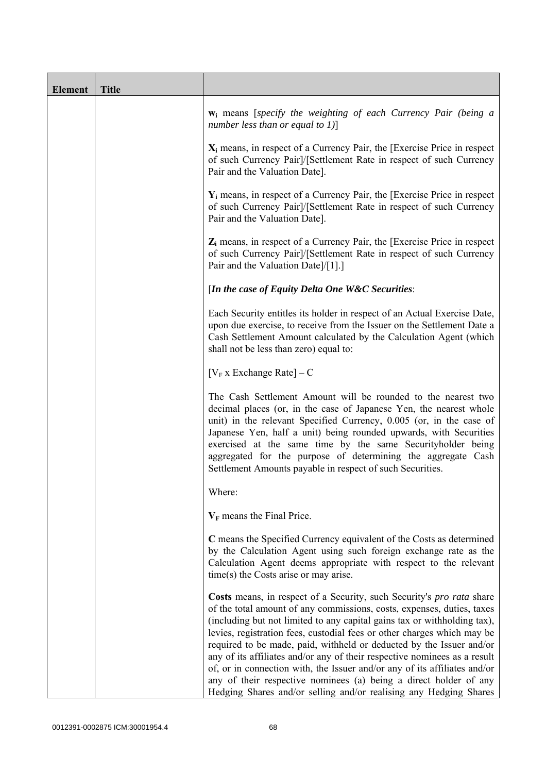| <b>Element</b> | <b>Title</b> |                                                                                                                                                                                                                                                                                                                                                                                                                                                                                                                                                                                                                                                                                    |
|----------------|--------------|------------------------------------------------------------------------------------------------------------------------------------------------------------------------------------------------------------------------------------------------------------------------------------------------------------------------------------------------------------------------------------------------------------------------------------------------------------------------------------------------------------------------------------------------------------------------------------------------------------------------------------------------------------------------------------|
|                |              | $w_i$ means [specify the weighting of each Currency Pair (being a<br>number less than or equal to $1$ ]                                                                                                                                                                                                                                                                                                                                                                                                                                                                                                                                                                            |
|                |              | $X_i$ means, in respect of a Currency Pair, the [Exercise Price in respect<br>of such Currency Pair]/[Settlement Rate in respect of such Currency<br>Pair and the Valuation Date].                                                                                                                                                                                                                                                                                                                                                                                                                                                                                                 |
|                |              | $Y_i$ means, in respect of a Currency Pair, the [Exercise Price in respect<br>of such Currency Pair]/[Settlement Rate in respect of such Currency<br>Pair and the Valuation Date].                                                                                                                                                                                                                                                                                                                                                                                                                                                                                                 |
|                |              | $Z_i$ means, in respect of a Currency Pair, the [Exercise Price in respect<br>of such Currency Pair]/[Settlement Rate in respect of such Currency<br>Pair and the Valuation Date]/[1].]                                                                                                                                                                                                                                                                                                                                                                                                                                                                                            |
|                |              | [In the case of Equity Delta One W&C Securities:                                                                                                                                                                                                                                                                                                                                                                                                                                                                                                                                                                                                                                   |
|                |              | Each Security entitles its holder in respect of an Actual Exercise Date,<br>upon due exercise, to receive from the Issuer on the Settlement Date a<br>Cash Settlement Amount calculated by the Calculation Agent (which<br>shall not be less than zero) equal to:                                                                                                                                                                                                                                                                                                                                                                                                                  |
|                |              | [ $V_F$ x Exchange Rate] – C                                                                                                                                                                                                                                                                                                                                                                                                                                                                                                                                                                                                                                                       |
|                |              | The Cash Settlement Amount will be rounded to the nearest two<br>decimal places (or, in the case of Japanese Yen, the nearest whole<br>unit) in the relevant Specified Currency, 0.005 (or, in the case of<br>Japanese Yen, half a unit) being rounded upwards, with Securities<br>exercised at the same time by the same Securityholder being<br>aggregated for the purpose of determining the aggregate Cash<br>Settlement Amounts payable in respect of such Securities.                                                                                                                                                                                                        |
|                |              | Where:                                                                                                                                                                                                                                                                                                                                                                                                                                                                                                                                                                                                                                                                             |
|                |              | $V_F$ means the Final Price.                                                                                                                                                                                                                                                                                                                                                                                                                                                                                                                                                                                                                                                       |
|                |              | C means the Specified Currency equivalent of the Costs as determined<br>by the Calculation Agent using such foreign exchange rate as the<br>Calculation Agent deems appropriate with respect to the relevant<br>$time(s)$ the Costs arise or may arise.                                                                                                                                                                                                                                                                                                                                                                                                                            |
|                |              | Costs means, in respect of a Security, such Security's pro rata share<br>of the total amount of any commissions, costs, expenses, duties, taxes<br>(including but not limited to any capital gains tax or withholding tax),<br>levies, registration fees, custodial fees or other charges which may be<br>required to be made, paid, withheld or deducted by the Issuer and/or<br>any of its affiliates and/or any of their respective nominees as a result<br>of, or in connection with, the Issuer and/or any of its affiliates and/or<br>any of their respective nominees (a) being a direct holder of any<br>Hedging Shares and/or selling and/or realising any Hedging Shares |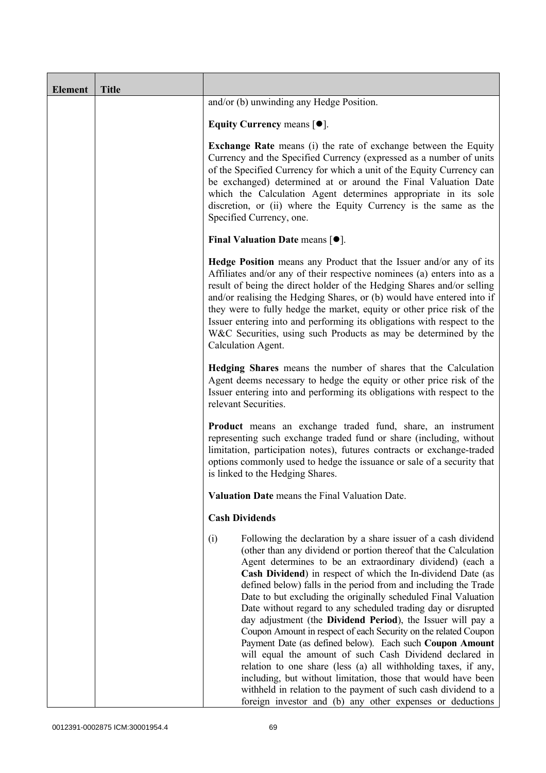| <b>Element</b> | <b>Title</b> |                                                                                                                                                                                                                                                                                                                                                                                                                                                                                                                                                                                                                                                                                                                                                                                                                                                                                                                                                                                                        |
|----------------|--------------|--------------------------------------------------------------------------------------------------------------------------------------------------------------------------------------------------------------------------------------------------------------------------------------------------------------------------------------------------------------------------------------------------------------------------------------------------------------------------------------------------------------------------------------------------------------------------------------------------------------------------------------------------------------------------------------------------------------------------------------------------------------------------------------------------------------------------------------------------------------------------------------------------------------------------------------------------------------------------------------------------------|
|                |              | and/or (b) unwinding any Hedge Position.                                                                                                                                                                                                                                                                                                                                                                                                                                                                                                                                                                                                                                                                                                                                                                                                                                                                                                                                                               |
|                |              | Equity Currency means $[\bullet].$                                                                                                                                                                                                                                                                                                                                                                                                                                                                                                                                                                                                                                                                                                                                                                                                                                                                                                                                                                     |
|                |              | <b>Exchange Rate</b> means (i) the rate of exchange between the Equity<br>Currency and the Specified Currency (expressed as a number of units<br>of the Specified Currency for which a unit of the Equity Currency can<br>be exchanged) determined at or around the Final Valuation Date<br>which the Calculation Agent determines appropriate in its sole<br>discretion, or (ii) where the Equity Currency is the same as the<br>Specified Currency, one.                                                                                                                                                                                                                                                                                                                                                                                                                                                                                                                                             |
|                |              | <b>Final Valuation Date means <math>\lceil \bullet \rceil</math>.</b>                                                                                                                                                                                                                                                                                                                                                                                                                                                                                                                                                                                                                                                                                                                                                                                                                                                                                                                                  |
|                |              | <b>Hedge Position</b> means any Product that the Issuer and/or any of its<br>Affiliates and/or any of their respective nominees (a) enters into as a<br>result of being the direct holder of the Hedging Shares and/or selling<br>and/or realising the Hedging Shares, or (b) would have entered into if<br>they were to fully hedge the market, equity or other price risk of the<br>Issuer entering into and performing its obligations with respect to the<br>W&C Securities, using such Products as may be determined by the<br>Calculation Agent.                                                                                                                                                                                                                                                                                                                                                                                                                                                 |
|                |              | Hedging Shares means the number of shares that the Calculation<br>Agent deems necessary to hedge the equity or other price risk of the<br>Issuer entering into and performing its obligations with respect to the<br>relevant Securities.                                                                                                                                                                                                                                                                                                                                                                                                                                                                                                                                                                                                                                                                                                                                                              |
|                |              | Product means an exchange traded fund, share, an instrument<br>representing such exchange traded fund or share (including, without<br>limitation, participation notes), futures contracts or exchange-traded<br>options commonly used to hedge the issuance or sale of a security that<br>is linked to the Hedging Shares.                                                                                                                                                                                                                                                                                                                                                                                                                                                                                                                                                                                                                                                                             |
|                |              | Valuation Date means the Final Valuation Date.                                                                                                                                                                                                                                                                                                                                                                                                                                                                                                                                                                                                                                                                                                                                                                                                                                                                                                                                                         |
|                |              | <b>Cash Dividends</b>                                                                                                                                                                                                                                                                                                                                                                                                                                                                                                                                                                                                                                                                                                                                                                                                                                                                                                                                                                                  |
|                |              | Following the declaration by a share issuer of a cash dividend<br>(i)<br>(other than any dividend or portion thereof that the Calculation<br>Agent determines to be an extraordinary dividend) (each a<br>Cash Dividend) in respect of which the In-dividend Date (as<br>defined below) falls in the period from and including the Trade<br>Date to but excluding the originally scheduled Final Valuation<br>Date without regard to any scheduled trading day or disrupted<br>day adjustment (the Dividend Period), the Issuer will pay a<br>Coupon Amount in respect of each Security on the related Coupon<br>Payment Date (as defined below). Each such Coupon Amount<br>will equal the amount of such Cash Dividend declared in<br>relation to one share (less (a) all withholding taxes, if any,<br>including, but without limitation, those that would have been<br>withheld in relation to the payment of such cash dividend to a<br>foreign investor and (b) any other expenses or deductions |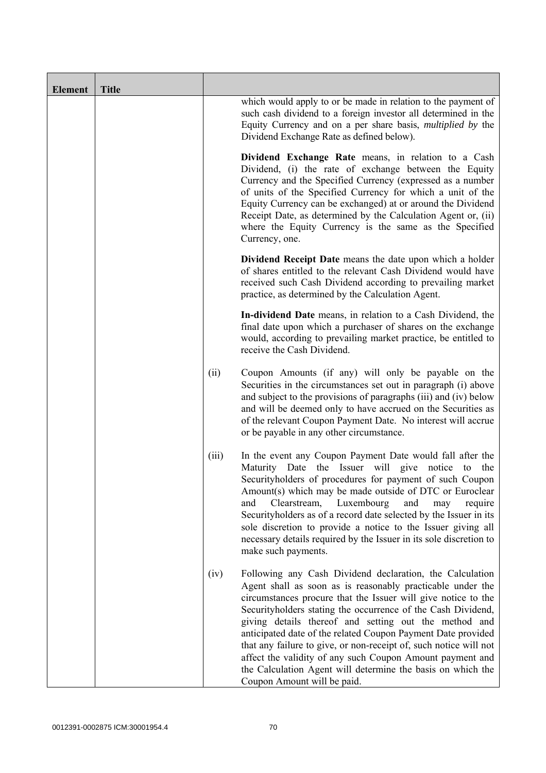| <b>Element</b> | <b>Title</b> |       |                                                                                                                                                                                                                                                                                                                                                                                                                                                                                                                                                                                                                  |
|----------------|--------------|-------|------------------------------------------------------------------------------------------------------------------------------------------------------------------------------------------------------------------------------------------------------------------------------------------------------------------------------------------------------------------------------------------------------------------------------------------------------------------------------------------------------------------------------------------------------------------------------------------------------------------|
|                |              |       | which would apply to or be made in relation to the payment of<br>such cash dividend to a foreign investor all determined in the<br>Equity Currency and on a per share basis, <i>multiplied by</i> the<br>Dividend Exchange Rate as defined below).                                                                                                                                                                                                                                                                                                                                                               |
|                |              |       | Dividend Exchange Rate means, in relation to a Cash<br>Dividend, (i) the rate of exchange between the Equity<br>Currency and the Specified Currency (expressed as a number<br>of units of the Specified Currency for which a unit of the<br>Equity Currency can be exchanged) at or around the Dividend<br>Receipt Date, as determined by the Calculation Agent or, (ii)<br>where the Equity Currency is the same as the Specified<br>Currency, one.                                                                                                                                                             |
|                |              |       | Dividend Receipt Date means the date upon which a holder<br>of shares entitled to the relevant Cash Dividend would have<br>received such Cash Dividend according to prevailing market<br>practice, as determined by the Calculation Agent.                                                                                                                                                                                                                                                                                                                                                                       |
|                |              |       | In-dividend Date means, in relation to a Cash Dividend, the<br>final date upon which a purchaser of shares on the exchange<br>would, according to prevailing market practice, be entitled to<br>receive the Cash Dividend.                                                                                                                                                                                                                                                                                                                                                                                       |
|                |              | (ii)  | Coupon Amounts (if any) will only be payable on the<br>Securities in the circumstances set out in paragraph (i) above<br>and subject to the provisions of paragraphs (iii) and (iv) below<br>and will be deemed only to have accrued on the Securities as<br>of the relevant Coupon Payment Date. No interest will accrue<br>or be payable in any other circumstance.                                                                                                                                                                                                                                            |
|                |              | (iii) | In the event any Coupon Payment Date would fall after the<br>Maturity Date the Issuer will give notice to the<br>Security holders of procedures for payment of such Coupon<br>Amount(s) which may be made outside of DTC or Euroclear<br>Luxembourg<br>and<br>Clearstream,<br>and<br>may<br>require<br>Securityholders as of a record date selected by the Issuer in its<br>sole discretion to provide a notice to the Issuer giving all<br>necessary details required by the Issuer in its sole discretion to<br>make such payments.                                                                            |
|                |              | (iv)  | Following any Cash Dividend declaration, the Calculation<br>Agent shall as soon as is reasonably practicable under the<br>circumstances procure that the Issuer will give notice to the<br>Securityholders stating the occurrence of the Cash Dividend,<br>giving details thereof and setting out the method and<br>anticipated date of the related Coupon Payment Date provided<br>that any failure to give, or non-receipt of, such notice will not<br>affect the validity of any such Coupon Amount payment and<br>the Calculation Agent will determine the basis on which the<br>Coupon Amount will be paid. |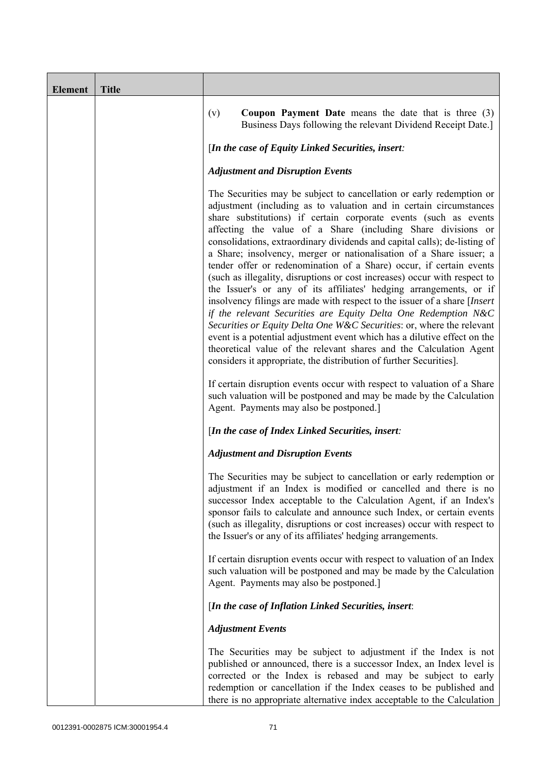| <b>Element</b> | <b>Title</b> |                                                                                                                                                                                                                                                                                                                                                                                                                                                                                                                                                                                                                                                                                                                                                                                                                                                                                                                                                                                                                                                                                                                                                                                                                                                                 |
|----------------|--------------|-----------------------------------------------------------------------------------------------------------------------------------------------------------------------------------------------------------------------------------------------------------------------------------------------------------------------------------------------------------------------------------------------------------------------------------------------------------------------------------------------------------------------------------------------------------------------------------------------------------------------------------------------------------------------------------------------------------------------------------------------------------------------------------------------------------------------------------------------------------------------------------------------------------------------------------------------------------------------------------------------------------------------------------------------------------------------------------------------------------------------------------------------------------------------------------------------------------------------------------------------------------------|
|                |              | <b>Coupon Payment Date</b> means the date that is three $(3)$<br>(v)<br>Business Days following the relevant Dividend Receipt Date.]                                                                                                                                                                                                                                                                                                                                                                                                                                                                                                                                                                                                                                                                                                                                                                                                                                                                                                                                                                                                                                                                                                                            |
|                |              | [In the case of Equity Linked Securities, insert:                                                                                                                                                                                                                                                                                                                                                                                                                                                                                                                                                                                                                                                                                                                                                                                                                                                                                                                                                                                                                                                                                                                                                                                                               |
|                |              | <b>Adjustment and Disruption Events</b>                                                                                                                                                                                                                                                                                                                                                                                                                                                                                                                                                                                                                                                                                                                                                                                                                                                                                                                                                                                                                                                                                                                                                                                                                         |
|                |              | The Securities may be subject to cancellation or early redemption or<br>adjustment (including as to valuation and in certain circumstances<br>share substitutions) if certain corporate events (such as events<br>affecting the value of a Share (including Share divisions or<br>consolidations, extraordinary dividends and capital calls); de-listing of<br>a Share; insolvency, merger or nationalisation of a Share issuer; a<br>tender offer or redenomination of a Share) occur, if certain events<br>(such as illegality, disruptions or cost increases) occur with respect to<br>the Issuer's or any of its affiliates' hedging arrangements, or if<br>insolvency filings are made with respect to the issuer of a share [Insert]<br>if the relevant Securities are Equity Delta One Redemption N&C<br>Securities or Equity Delta One W&C Securities: or, where the relevant<br>event is a potential adjustment event which has a dilutive effect on the<br>theoretical value of the relevant shares and the Calculation Agent<br>considers it appropriate, the distribution of further Securities].<br>If certain disruption events occur with respect to valuation of a Share<br>such valuation will be postponed and may be made by the Calculation |
|                |              | Agent. Payments may also be postponed.]                                                                                                                                                                                                                                                                                                                                                                                                                                                                                                                                                                                                                                                                                                                                                                                                                                                                                                                                                                                                                                                                                                                                                                                                                         |
|                |              | [In the case of Index Linked Securities, insert:                                                                                                                                                                                                                                                                                                                                                                                                                                                                                                                                                                                                                                                                                                                                                                                                                                                                                                                                                                                                                                                                                                                                                                                                                |
|                |              | <b>Adjustment and Disruption Events</b>                                                                                                                                                                                                                                                                                                                                                                                                                                                                                                                                                                                                                                                                                                                                                                                                                                                                                                                                                                                                                                                                                                                                                                                                                         |
|                |              | The Securities may be subject to cancellation or early redemption or<br>adjustment if an Index is modified or cancelled and there is no<br>successor Index acceptable to the Calculation Agent, if an Index's<br>sponsor fails to calculate and announce such Index, or certain events<br>(such as illegality, disruptions or cost increases) occur with respect to<br>the Issuer's or any of its affiliates' hedging arrangements.                                                                                                                                                                                                                                                                                                                                                                                                                                                                                                                                                                                                                                                                                                                                                                                                                             |
|                |              | If certain disruption events occur with respect to valuation of an Index<br>such valuation will be postponed and may be made by the Calculation<br>Agent. Payments may also be postponed.]                                                                                                                                                                                                                                                                                                                                                                                                                                                                                                                                                                                                                                                                                                                                                                                                                                                                                                                                                                                                                                                                      |
|                |              | [In the case of Inflation Linked Securities, insert:                                                                                                                                                                                                                                                                                                                                                                                                                                                                                                                                                                                                                                                                                                                                                                                                                                                                                                                                                                                                                                                                                                                                                                                                            |
|                |              | <b>Adjustment Events</b>                                                                                                                                                                                                                                                                                                                                                                                                                                                                                                                                                                                                                                                                                                                                                                                                                                                                                                                                                                                                                                                                                                                                                                                                                                        |
|                |              | The Securities may be subject to adjustment if the Index is not<br>published or announced, there is a successor Index, an Index level is<br>corrected or the Index is rebased and may be subject to early<br>redemption or cancellation if the Index ceases to be published and<br>there is no appropriate alternative index acceptable to the Calculation                                                                                                                                                                                                                                                                                                                                                                                                                                                                                                                                                                                                                                                                                                                                                                                                                                                                                                      |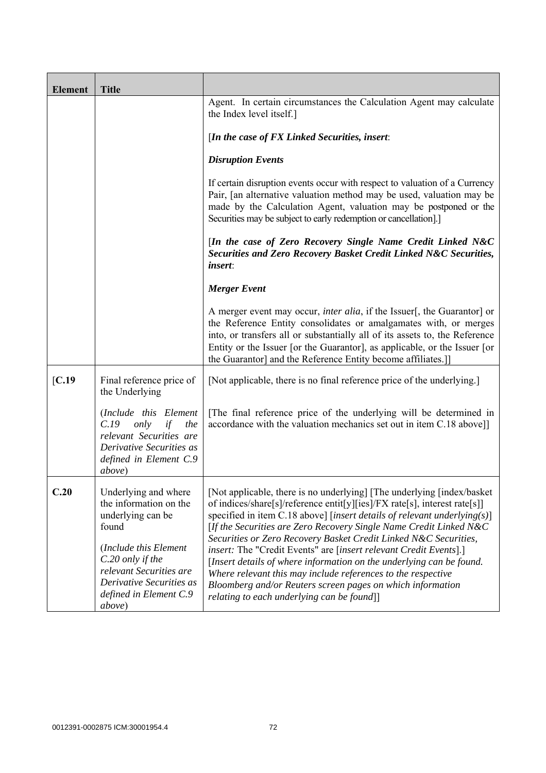| <b>Element</b> | <b>Title</b>                                                                                                                                                                                                                 |                                                                                                                                                                                                                                                                                                                                                                                                                                                                                                                                                                                                                                                                                                     |
|----------------|------------------------------------------------------------------------------------------------------------------------------------------------------------------------------------------------------------------------------|-----------------------------------------------------------------------------------------------------------------------------------------------------------------------------------------------------------------------------------------------------------------------------------------------------------------------------------------------------------------------------------------------------------------------------------------------------------------------------------------------------------------------------------------------------------------------------------------------------------------------------------------------------------------------------------------------------|
|                |                                                                                                                                                                                                                              | Agent. In certain circumstances the Calculation Agent may calculate<br>the Index level itself.]                                                                                                                                                                                                                                                                                                                                                                                                                                                                                                                                                                                                     |
|                |                                                                                                                                                                                                                              | [In the case of $FX$ Linked Securities, insert:                                                                                                                                                                                                                                                                                                                                                                                                                                                                                                                                                                                                                                                     |
|                |                                                                                                                                                                                                                              | <b>Disruption Events</b>                                                                                                                                                                                                                                                                                                                                                                                                                                                                                                                                                                                                                                                                            |
|                |                                                                                                                                                                                                                              | If certain disruption events occur with respect to valuation of a Currency<br>Pair, [an alternative valuation method may be used, valuation may be<br>made by the Calculation Agent, valuation may be postponed or the<br>Securities may be subject to early redemption or cancellation].]                                                                                                                                                                                                                                                                                                                                                                                                          |
|                |                                                                                                                                                                                                                              | [In the case of Zero Recovery Single Name Credit Linked N&C<br>Securities and Zero Recovery Basket Credit Linked N&C Securities,<br><i>insert:</i>                                                                                                                                                                                                                                                                                                                                                                                                                                                                                                                                                  |
|                |                                                                                                                                                                                                                              | <b>Merger Event</b>                                                                                                                                                                                                                                                                                                                                                                                                                                                                                                                                                                                                                                                                                 |
|                |                                                                                                                                                                                                                              | A merger event may occur, <i>inter alia</i> , if the Issuer[, the Guarantor] or<br>the Reference Entity consolidates or amalgamates with, or merges<br>into, or transfers all or substantially all of its assets to, the Reference<br>Entity or the Issuer [or the Guarantor], as applicable, or the Issuer [or<br>the Guarantor] and the Reference Entity become affiliates.]                                                                                                                                                                                                                                                                                                                      |
| [C.19]         | Final reference price of<br>the Underlying                                                                                                                                                                                   | [Not applicable, there is no final reference price of the underlying.]                                                                                                                                                                                                                                                                                                                                                                                                                                                                                                                                                                                                                              |
|                | (Include this Element<br>C.19<br>only<br>if<br>the<br>relevant Securities are<br>Derivative Securities as<br>defined in Element C.9<br><i>above</i> )                                                                        | The final reference price of the underlying will be determined in<br>accordance with the valuation mechanics set out in item C.18 above]]                                                                                                                                                                                                                                                                                                                                                                                                                                                                                                                                                           |
| C.20           | Underlying and where<br>the information on the<br>underlying can be<br>found<br>(Include this Element<br>C.20 only if the<br>relevant Securities are<br>Derivative Securities as<br>defined in Element C.9<br><i>above</i> ) | [Not applicable, there is no underlying] [The underlying [index/basket]<br>of indices/share[s]/reference entit[y][ies]/FX rate[s], interest rate[s]]<br>specified in item C.18 above] [insert details of relevant underlying(s)]<br>[If the Securities are Zero Recovery Single Name Credit Linked N&C<br>Securities or Zero Recovery Basket Credit Linked N&C Securities,<br>insert: The "Credit Events" are [insert relevant Credit Events].]<br>[Insert details of where information on the underlying can be found.<br>Where relevant this may include references to the respective<br>Bloomberg and/or Reuters screen pages on which information<br>relating to each underlying can be found]] |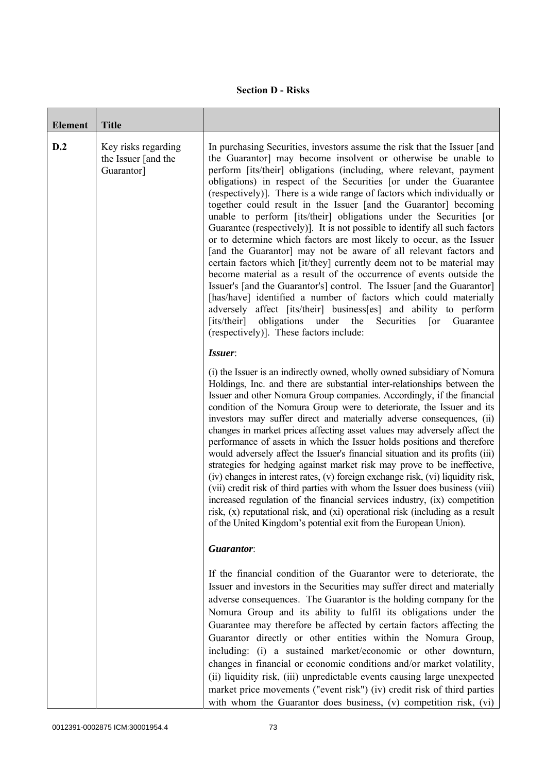## **Section D - Risks**

| <b>Element</b> | <b>Title</b>                                             |                                                                                                                                                                                                                                                                                                                                                                                                                                                                                                                                                                                                                                                                                                                                                                                                                                                                                                                                                                                                                                                                                                                                                                                                                                           |
|----------------|----------------------------------------------------------|-------------------------------------------------------------------------------------------------------------------------------------------------------------------------------------------------------------------------------------------------------------------------------------------------------------------------------------------------------------------------------------------------------------------------------------------------------------------------------------------------------------------------------------------------------------------------------------------------------------------------------------------------------------------------------------------------------------------------------------------------------------------------------------------------------------------------------------------------------------------------------------------------------------------------------------------------------------------------------------------------------------------------------------------------------------------------------------------------------------------------------------------------------------------------------------------------------------------------------------------|
| D.2            | Key risks regarding<br>the Issuer [and the<br>Guarantor] | In purchasing Securities, investors assume the risk that the Issuer [and<br>the Guarantor] may become insolvent or otherwise be unable to<br>perform [its/their] obligations (including, where relevant, payment<br>obligations) in respect of the Securities [or under the Guarantee<br>(respectively)]. There is a wide range of factors which individually or<br>together could result in the Issuer [and the Guarantor] becoming<br>unable to perform [its/their] obligations under the Securities [or<br>Guarantee (respectively). It is not possible to identify all such factors<br>or to determine which factors are most likely to occur, as the Issuer<br>[and the Guarantor] may not be aware of all relevant factors and<br>certain factors which [it/they] currently deem not to be material may<br>become material as a result of the occurrence of events outside the<br>Issuer's [and the Guarantor's] control. The Issuer [and the Guarantor]<br>[has/have] identified a number of factors which could materially<br>adversely affect [its/their] business[es] and ability to perform<br>obligations<br>[its/their]<br>under<br>the<br>Guarantee<br>Securities<br>$\lceil$ or<br>(respectively)]. These factors include: |
|                |                                                          | Issuer:<br>(i) the Issuer is an indirectly owned, wholly owned subsidiary of Nomura<br>Holdings, Inc. and there are substantial inter-relationships between the<br>Issuer and other Nomura Group companies. Accordingly, if the financial<br>condition of the Nomura Group were to deteriorate, the Issuer and its<br>investors may suffer direct and materially adverse consequences, (ii)<br>changes in market prices affecting asset values may adversely affect the<br>performance of assets in which the Issuer holds positions and therefore<br>would adversely affect the Issuer's financial situation and its profits (iii)<br>strategies for hedging against market risk may prove to be ineffective,<br>(iv) changes in interest rates, (v) foreign exchange risk, (vi) liquidity risk,<br>(vii) credit risk of third parties with whom the Issuer does business (viii)<br>increased regulation of the financial services industry, (ix) competition<br>risk, (x) reputational risk, and (xi) operational risk (including as a result<br>of the United Kingdom's potential exit from the European Union).                                                                                                                       |
|                |                                                          | Guarantor:                                                                                                                                                                                                                                                                                                                                                                                                                                                                                                                                                                                                                                                                                                                                                                                                                                                                                                                                                                                                                                                                                                                                                                                                                                |
|                |                                                          | If the financial condition of the Guarantor were to deteriorate, the<br>Issuer and investors in the Securities may suffer direct and materially<br>adverse consequences. The Guarantor is the holding company for the<br>Nomura Group and its ability to fulfil its obligations under the<br>Guarantee may therefore be affected by certain factors affecting the<br>Guarantor directly or other entities within the Nomura Group,<br>including: (i) a sustained market/economic or other downturn,<br>changes in financial or economic conditions and/or market volatility,<br>(ii) liquidity risk, (iii) unpredictable events causing large unexpected<br>market price movements ("event risk") (iv) credit risk of third parties<br>with whom the Guarantor does business, (v) competition risk, (vi)                                                                                                                                                                                                                                                                                                                                                                                                                                  |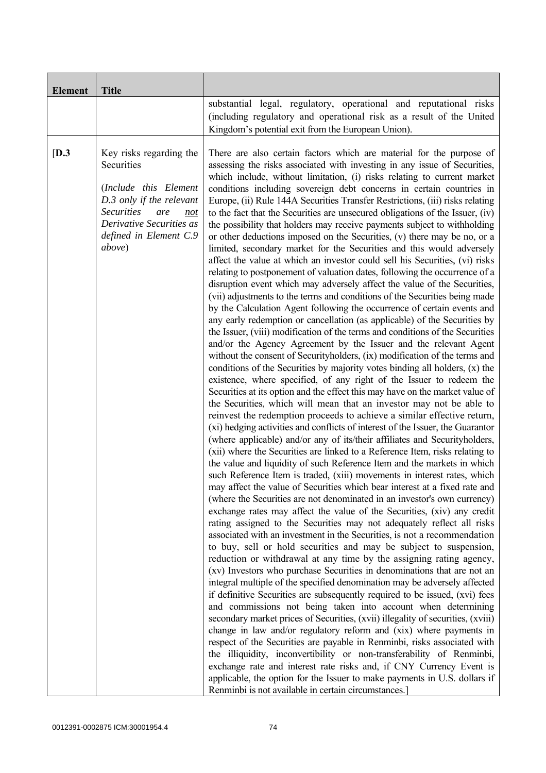| <b>Element</b> | <b>Title</b>                                                                                                                                                                                          |                                                                                                                                                                                                                                                                                                                                                                                                                                                                                                                                                                                                                                                                                                                                                                                                                                                                                                                                                                                                                                                                                                                                                                                                                                                                                                                                                                                                                                                                                                                                                                                                                                                                                                                                                                                                                                                                                                                                                                                                                                                                                                                                                                                                                                                                                                                                                                                                                                                                                                                                                                                                                                                                                                                                                                                                                                                                                                                                                                                                                                                                                                                                                                                                                                                                                                                                                                                                                                                                                                                                                                                                      |
|----------------|-------------------------------------------------------------------------------------------------------------------------------------------------------------------------------------------------------|------------------------------------------------------------------------------------------------------------------------------------------------------------------------------------------------------------------------------------------------------------------------------------------------------------------------------------------------------------------------------------------------------------------------------------------------------------------------------------------------------------------------------------------------------------------------------------------------------------------------------------------------------------------------------------------------------------------------------------------------------------------------------------------------------------------------------------------------------------------------------------------------------------------------------------------------------------------------------------------------------------------------------------------------------------------------------------------------------------------------------------------------------------------------------------------------------------------------------------------------------------------------------------------------------------------------------------------------------------------------------------------------------------------------------------------------------------------------------------------------------------------------------------------------------------------------------------------------------------------------------------------------------------------------------------------------------------------------------------------------------------------------------------------------------------------------------------------------------------------------------------------------------------------------------------------------------------------------------------------------------------------------------------------------------------------------------------------------------------------------------------------------------------------------------------------------------------------------------------------------------------------------------------------------------------------------------------------------------------------------------------------------------------------------------------------------------------------------------------------------------------------------------------------------------------------------------------------------------------------------------------------------------------------------------------------------------------------------------------------------------------------------------------------------------------------------------------------------------------------------------------------------------------------------------------------------------------------------------------------------------------------------------------------------------------------------------------------------------------------------------------------------------------------------------------------------------------------------------------------------------------------------------------------------------------------------------------------------------------------------------------------------------------------------------------------------------------------------------------------------------------------------------------------------------------------------------------------------------|
|                |                                                                                                                                                                                                       | substantial legal, regulatory, operational and reputational risks<br>(including regulatory and operational risk as a result of the United<br>Kingdom's potential exit from the European Union).                                                                                                                                                                                                                                                                                                                                                                                                                                                                                                                                                                                                                                                                                                                                                                                                                                                                                                                                                                                                                                                                                                                                                                                                                                                                                                                                                                                                                                                                                                                                                                                                                                                                                                                                                                                                                                                                                                                                                                                                                                                                                                                                                                                                                                                                                                                                                                                                                                                                                                                                                                                                                                                                                                                                                                                                                                                                                                                                                                                                                                                                                                                                                                                                                                                                                                                                                                                                      |
| [D.3]          | Key risks regarding the<br>Securities<br>(Include this Element<br>D.3 only if the relevant<br><b>Securities</b><br>are<br>not<br>Derivative Securities as<br>defined in Element C.9<br><i>above</i> ) | There are also certain factors which are material for the purpose of<br>assessing the risks associated with investing in any issue of Securities,<br>which include, without limitation, (i) risks relating to current market<br>conditions including sovereign debt concerns in certain countries in<br>Europe, (ii) Rule 144A Securities Transfer Restrictions, (iii) risks relating<br>to the fact that the Securities are unsecured obligations of the Issuer, (iv)<br>the possibility that holders may receive payments subject to withholding<br>or other deductions imposed on the Securities, (v) there may be no, or a<br>limited, secondary market for the Securities and this would adversely<br>affect the value at which an investor could sell his Securities, (vi) risks<br>relating to postponement of valuation dates, following the occurrence of a<br>disruption event which may adversely affect the value of the Securities,<br>(vii) adjustments to the terms and conditions of the Securities being made<br>by the Calculation Agent following the occurrence of certain events and<br>any early redemption or cancellation (as applicable) of the Securities by<br>the Issuer, (viii) modification of the terms and conditions of the Securities<br>and/or the Agency Agreement by the Issuer and the relevant Agent<br>without the consent of Securityholders, (ix) modification of the terms and<br>conditions of the Securities by majority votes binding all holders, $(x)$ the<br>existence, where specified, of any right of the Issuer to redeem the<br>Securities at its option and the effect this may have on the market value of<br>the Securities, which will mean that an investor may not be able to<br>reinvest the redemption proceeds to achieve a similar effective return,<br>(xi) hedging activities and conflicts of interest of the Issuer, the Guarantor<br>(where applicable) and/or any of its/their affiliates and Securityholders,<br>(xii) where the Securities are linked to a Reference Item, risks relating to<br>the value and liquidity of such Reference Item and the markets in which<br>such Reference Item is traded, (xiii) movements in interest rates, which<br>may affect the value of Securities which bear interest at a fixed rate and<br>(where the Securities are not denominated in an investor's own currency)<br>exchange rates may affect the value of the Securities, (xiv) any credit<br>rating assigned to the Securities may not adequately reflect all risks<br>associated with an investment in the Securities, is not a recommendation<br>to buy, sell or hold securities and may be subject to suspension,<br>reduction or withdrawal at any time by the assigning rating agency,<br>(xv) Investors who purchase Securities in denominations that are not an<br>integral multiple of the specified denomination may be adversely affected<br>if definitive Securities are subsequently required to be issued, (xvi) fees<br>and commissions not being taken into account when determining<br>secondary market prices of Securities, (xvii) illegality of securities, (xviii)<br>change in law and/or regulatory reform and (xix) where payments in<br>respect of the Securities are payable in Renminbi, risks associated with<br>the illiquidity, inconvertibility or non-transferability of Renminbi,<br>exchange rate and interest rate risks and, if CNY Currency Event is<br>applicable, the option for the Issuer to make payments in U.S. dollars if<br>Renminbi is not available in certain circumstances.] |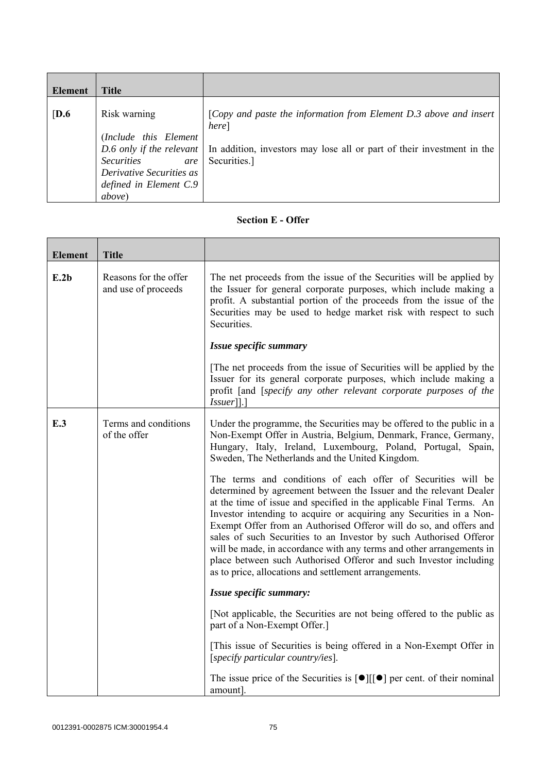| Element          | <b>Title</b>                                                                                                                              |                                                                                                                                                                                                 |
|------------------|-------------------------------------------------------------------------------------------------------------------------------------------|-------------------------------------------------------------------------------------------------------------------------------------------------------------------------------------------------|
| $\overline{D.6}$ | Risk warning<br>(Include this Element<br><b>Securities</b><br>are<br>Derivative Securities as<br>defined in Element C.9<br><i>above</i> ) | [Copy and paste the information from Element D.3 above and insert<br>here]<br>D.6 only if the relevant   In addition, investors may lose all or part of their investment in the<br>Securities.] |

## **Section E - Offer**

| <b>Element</b> | <b>Title</b>                                 |                                                                                                                                                                                                                                                                                                                                                                                                                                                                                                                                                                                                                                     |
|----------------|----------------------------------------------|-------------------------------------------------------------------------------------------------------------------------------------------------------------------------------------------------------------------------------------------------------------------------------------------------------------------------------------------------------------------------------------------------------------------------------------------------------------------------------------------------------------------------------------------------------------------------------------------------------------------------------------|
| E.2b           | Reasons for the offer<br>and use of proceeds | The net proceeds from the issue of the Securities will be applied by<br>the Issuer for general corporate purposes, which include making a<br>profit. A substantial portion of the proceeds from the issue of the<br>Securities may be used to hedge market risk with respect to such<br>Securities.                                                                                                                                                                                                                                                                                                                                 |
|                |                                              | Issue specific summary                                                                                                                                                                                                                                                                                                                                                                                                                                                                                                                                                                                                              |
|                |                                              | The net proceeds from the issue of Securities will be applied by the<br>Issuer for its general corporate purposes, which include making a<br>profit [and [specify any other relevant corporate purposes of the<br>$Issuer$ [].]                                                                                                                                                                                                                                                                                                                                                                                                     |
| E.3            | Terms and conditions<br>of the offer         | Under the programme, the Securities may be offered to the public in a<br>Non-Exempt Offer in Austria, Belgium, Denmark, France, Germany,<br>Hungary, Italy, Ireland, Luxembourg, Poland, Portugal, Spain,<br>Sweden, The Netherlands and the United Kingdom.                                                                                                                                                                                                                                                                                                                                                                        |
|                |                                              | The terms and conditions of each offer of Securities will be<br>determined by agreement between the Issuer and the relevant Dealer<br>at the time of issue and specified in the applicable Final Terms. An<br>Investor intending to acquire or acquiring any Securities in a Non-<br>Exempt Offer from an Authorised Offeror will do so, and offers and<br>sales of such Securities to an Investor by such Authorised Offeror<br>will be made, in accordance with any terms and other arrangements in<br>place between such Authorised Offeror and such Investor including<br>as to price, allocations and settlement arrangements. |
|                |                                              | Issue specific summary:                                                                                                                                                                                                                                                                                                                                                                                                                                                                                                                                                                                                             |
|                |                                              | [Not applicable, the Securities are not being offered to the public as<br>part of a Non-Exempt Offer.]                                                                                                                                                                                                                                                                                                                                                                                                                                                                                                                              |
|                |                                              | [This issue of Securities is being offered in a Non-Exempt Offer in<br>[specify particular country/ies].                                                                                                                                                                                                                                                                                                                                                                                                                                                                                                                            |
|                |                                              | The issue price of the Securities is $\lceil \bullet \rceil \lceil \cdot \rceil$ per cent. of their nominal<br>amount].                                                                                                                                                                                                                                                                                                                                                                                                                                                                                                             |